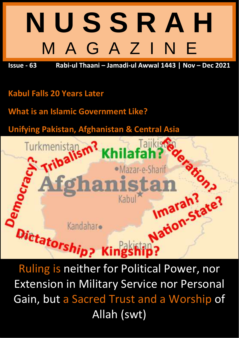# **N U S S R A H** M A G A Z I N E

**Issue - 63 Rabi-ul Thaani – Jamadi-ul Awwal 1443 | Nov – Dec 2021**

# **Kabul Falls 20 Years Later**

**What is an Islamic Government Like?**

**Unifying Pakistan, Afghanistan & Central Asia**



Extension in Military Service nor Personal Gain, but a Sacred Trust and a Worship of Allah (swt)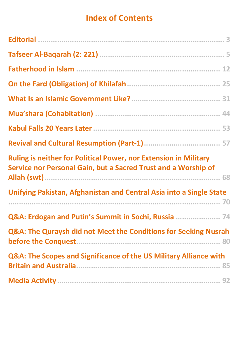# **Index of Contents**

<span id="page-1-0"></span>

| <b>Ruling is neither for Political Power, nor Extension in Military</b><br>Service nor Personal Gain, but a Sacred Trust and a Worship of |
|-------------------------------------------------------------------------------------------------------------------------------------------|
| Unifying Pakistan, Afghanistan and Central Asia into a Single State                                                                       |
|                                                                                                                                           |
| Q&A: Erdogan and Putin's Summit in Sochi, Russia  74                                                                                      |
| Q&A: The Quraysh did not Meet the Conditions for Seeking Nusrah                                                                           |
| Q&A: The Scopes and Significance of the US Military Alliance with                                                                         |
|                                                                                                                                           |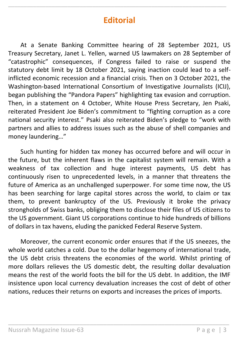## **Editorial**

<span id="page-2-0"></span>\_\_\_\_\_\_\_\_\_\_\_\_\_\_\_\_\_\_\_\_\_\_\_\_\_\_\_\_\_\_\_\_\_\_\_\_\_\_\_\_\_\_\_\_\_\_\_\_\_\_\_\_\_\_\_\_\_\_\_\_\_\_\_\_\_\_\_\_\_\_

At a Senate Banking Committee hearing of 28 September 2021, US Treasury Secretary, Janet L. Yellen, warned US lawmakers on 28 September of "catastrophic" consequences, if Congress failed to raise or suspend the statutory debt limit by 18 October 2021, saying inaction could lead to a selfinflicted economic recession and a financial crisis. Then on 3 October 2021, the Washington-based International Consortium of Investigative Journalists (ICIJ), began publishing the "Pandora Papers" highlighting tax evasion and corruption. Then, in a statement on 4 October, White House Press Secretary, Jen Psaki, reiterated President Joe Biden's commitment to "fighting corruption as a core national security interest." Psaki also reiterated Biden's pledge to "work with partners and allies to address issues such as the abuse of shell companies and money laundering…"

Such hunting for hidden tax money has occurred before and will occur in the future, but the inherent flaws in the capitalist system will remain. With a weakness of tax collection and huge interest payments, US debt has continuously risen to unprecedented levels, in a manner that threatens the future of America as an unchallenged superpower. For some time now, the US has been searching for large capital stores across the world, to claim or tax them, to prevent bankruptcy of the US. Previously it broke the privacy strongholds of Swiss banks, obliging them to disclose their files of US citizens to the US government. Giant US corporations continue to hide hundreds of billions of dollars in tax havens, eluding the panicked Federal Reserve System.

Moreover, the current economic order ensures that if the US sneezes, the whole world catches a cold. Due to the dollar hegemony of international trade, the US debt crisis threatens the economies of the world. Whilst printing of more dollars relieves the US domestic debt, the resulting dollar devaluation means the rest of the world foots the bill for the US debt. In addition, the IMF insistence upon local currency devaluation increases the cost of debt of other nations, reduces their returns on exports and increases the prices of imports.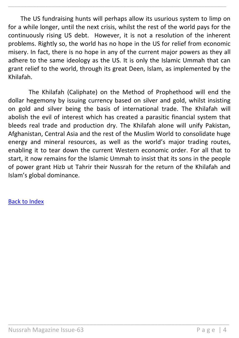The US fundraising hunts will perhaps allow its usurious system to limp on for a while longer, until the next crisis, whilst the rest of the world pays for the continuously rising US debt. However, it is not a resolution of the inherent problems. Rightly so, the world has no hope in the US for relief from economic misery. In fact, there is no hope in any of the current major powers as they all adhere to the same ideology as the US. It is only the Islamic Ummah that can grant relief to the world, through its great Deen, Islam, as implemented by the Khilafah.

\_\_\_\_\_\_\_\_\_\_\_\_\_\_\_\_\_\_\_\_\_\_\_\_\_\_\_\_\_\_\_\_\_\_\_\_\_\_\_\_\_\_\_\_\_\_\_\_\_\_\_\_\_\_\_\_\_\_\_\_\_\_\_\_\_\_\_\_\_\_

The Khilafah (Caliphate) on the Method of Prophethood will end the dollar hegemony by issuing currency based on silver and gold, whilst insisting on gold and silver being the basis of international trade. The Khilafah will abolish the evil of interest which has created a parasitic financial system that bleeds real trade and production dry. The Khilafah alone will unify Pakistan, Afghanistan, Central Asia and the rest of the Muslim World to consolidate huge energy and mineral resources, as well as the world's major trading routes, enabling it to tear down the current Western economic order. For all that to start, it now remains for the Islamic Ummah to insist that its sons in the people of power grant Hizb ut Tahrir their Nussrah for the return of the Khilafah and Islam's global dominance.

\_\_\_\_\_\_\_\_\_\_\_\_\_\_\_\_\_\_\_\_\_\_\_\_\_\_\_\_\_\_\_\_\_\_\_\_\_\_\_\_\_\_\_\_\_\_\_\_\_\_\_\_\_\_\_\_\_\_\_\_\_\_\_\_\_

#### [Back to Index](#page-1-0)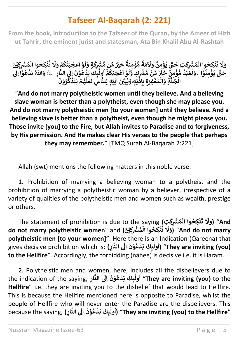# **Tafseer Al-Baqarah (2: 221)**

<span id="page-4-0"></span>\_\_\_\_\_\_\_\_\_\_\_\_\_\_\_\_\_\_\_\_\_\_\_\_\_\_\_\_\_\_\_\_\_\_\_\_\_\_\_\_\_\_\_\_\_\_\_\_\_\_\_\_\_\_\_\_\_\_\_\_\_\_\_\_\_\_\_\_\_\_

**From the book, Introduction to the Tafseer of the Quran, by the Ameer of Hizb ut Tahrir, the eminent jurist and statesman, Ata Bin Khalil Abu Al-Rashtah**

**نْكِحُوا الْمُشْرِكْتِ حَتّٰي يُؤْمِنَّ<br>والْمُسْتَرَبِّيَّةُ وَهُلَّا لَهُ مَنْ الْمَرْضَ ْ ُ ٰ ْ ُ ْ َ ت َ** وَلَا تَنْكِحُوا الْمُشْرِكْتِ حَتّْ يُؤْمِنَّ وَلَامَةٌ مُّؤْمِنَةٌ خَيْرٌ مِّنْ مُّشْرِكَةٍ وَّلَوْ اَعْجَبَتْكُمْ **ْ ُ ْ ْ ا ْ َ ل ٍة و َ** ِ<br>خَيْرٌ مِّنْ مُّشْ*وِكَ* **ْ ٌ ة َ ن ِ م ؤ ُّ م ْ ٌ ِ<br>لَاَمَةٌ** وَلَامَةٌ مُّؤْمِنَةٌ خَيْرٌ مِّنْ مُّشْرِكَةٍ وَّلَوْ اَعْجَبَتْكُمْ وَلَا تُنْكِحُوا الْمُشْرِكِيْنَ<br>وَالْمَةُ مُّؤْمِنَةُ خَيْرٌ مِّنْ مُّشْرِكَةٍ وَلَوْ اَعْجَبَتْكُمْ وَلَا تُنْكِحُوا الْمُشْرِكِيْنَ **ن ْ ُ ْ ُ َ َل َ و ا ْ و ن ِ م ؤ ي ّٰت ى َ ح ؕ ُ ْ ُ َ** سَّرَكِّ فَلَّى يَرْمَنُ دَكَّ مَنْ مُشْرِكٍ وَّلَوْ أَعْجَبَكُمْ أُولَبِكَ دَكَّنَ الْمَارِكِيِّ.<br>وَلَعَبْدُ مُؤْمِنٌ خَيْرٌ مِّنْ مُشْرِكٍ وَّلَوْ أَعْجَبَكُمْ أُولَبِكَ يَدْعُوْنَ إِلَى النَّارِ **َ** نَبِرِكَ يَدْعُوْنَ إِلَي<br>لِٰٓبِكَ يَدْعُوْنَ إِلَي **ْ ُ ْ ٰ ول ُ ا ؕ ْ** ِّ<br>وْ اَعْجَبَكُمْ **ُ ْ ا ْ َ** رِكِ فَلَى يَوْمِلُ رَكَ مَنْ سَنَّارِ مِنْ مَسْرِكٍ ۚ رَكُو الْتَجَبَّدُونَ إِلَى النَّارِ ۚ وَلَا ا<br>مَثَلاً مُّؤْمِنٌ خَيْرٌ مِّنْ مُّشْرِكٍ وَلَوْ اَعْجَبَكُمْ أُولَٰبِكَ يَذْعُوْنَ إِلَى النَّارِ ۚ ۖ **ْ ْ ْ َ** حَتَـِـَــِــَــِّــَـَّــِّــَّـفُوْٓاً اِلَى **ْ ُ ْ** مَرْسِ فَيْرَسْ مَسَارِكٍ رَبُّو الْجَبْعَامِ الرَّبِّعَ يَتَحَسَّونَ فِي الْعَالِمِينَ.<br>الْجَنَّةِ وَالْمَغْفِرَةِ بِإِذْنِهِ وَيُبَيِّنُ اٰيٰتِهٖ لِلنَّاسِ لَعَلَّهُمْ يَتَذَكَّرُوْنَ **ْ ْ ْ ْ ْ ُ َّ ك َ ذ َ ت َ ي م ه ْ ُ َّ ل َ ع َ** د<del>ر معبد السيد السيد السيد السيد</del><br>وَيُبَيِّنُ ايْتِهِ لِلنَّاسِ لَا **ٰ ٰ ا ُ ن ُ**

"**And do not marry polytheistic women until they believe. And a believing slave woman is better than a polytheist, even though she may please you. And do not marry polytheistic men [to your women] until they believe. And a believing slave is better than a polytheist, even though he might please you. Those invite [you] to the Fire, but Allah invites to Paradise and to forgiveness, by His permission. And He makes clear His verses to the people that perhaps they may remember.**" [TMQ Surah Al-Baqarah 2:221]

Allah (swt) mentions the following matters in this noble verse:

1. Prohibition of marrying a believing woman to a polytheist and the prohibition of marrying a polytheistic woman by a believer, irrespective of a variety of qualities of the polytheistic men and women such as wealth, prestige or others.

The statement of prohibition is due to the saying **(تِ ِك ُ ْش ْ م وا ال ِكح ن ٰ ْ ُ ْ َ ت َ َل َ And)** "**و do not marry polytheistic women**" and **( َ ِْي ْ ِك ُ ْش ْ م وا ال ِكح ن ت ن ْ ُ ْ ُ َ َل َ و**" **(And do not marry polytheistic men [to your women]".** Here there is an Indication (Qareena) that  $\frac{1}{2}$ gives decisive prohibition which is: **( ِ ار الن َ ِاَل َ ن و ع د َ ي ِٕٮكَ ول ا**" **(They are inviting (you) ْ ُ ْ ٰ ُ to the Hellfire**". Accordingly, the forbidding (nahee) is decisive i.e. it is Haram.

2. Polytheistic men and women, here, includes all the disbelievers due to **ٰٓ** the indication of the saying, **ِ ار الن َ ِاَل َ ن و ع د َ ي ِٕٮكَ ول ا**" **They are inviting (you) to the ْ ُ ْ ٰ ُ Hellfire**" i.e. they are inviting you to the disbelief that would lead to Hellfire. This is because the Hellfire mentioned here is opposite to Paradise, whilst the people of Hellfire who will never enter the Paradise are the disbelievers. This **ٰٓ** because the saying, **( ِ ار الن َ** rin hever enter the Faraalse are the assemevers: This (اَوَلَيْكَ يَدْعُوْنَ اِلَى **ْ ُ ْ ٰ ُ**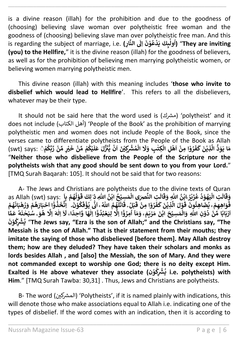is a divine reason (illah) for the prohibition and due to the goodness of (choosing) believing slave woman over polytheistic free woman and the goodness of (choosing) believing slave man over polytheistic free man. And this **ٰٓ** is regarding the subject of marriage, i.e. **( الن َ ِاَل َ ن و ع د َ ي ِٕٮكَ ول ِ ار**" **( They are inviting ْ ُ ْ ٰ ُ ا (you) to the Hellfire,**" it is the divine reason (illah) for the goodness of believers, as well as for the prohibition of believing men marrying polytheistic women, or believing women marrying polytheistic men.

\_\_\_\_\_\_\_\_\_\_\_\_\_\_\_\_\_\_\_\_\_\_\_\_\_\_\_\_\_\_\_\_\_\_\_\_\_\_\_\_\_\_\_\_\_\_\_\_\_\_\_\_\_\_\_\_\_\_\_\_\_\_\_\_\_\_\_\_\_\_

This divine reason (illah) with this meaning includes '**those who invite to disbelief which would lead to Hellfire**'. This refers to all the disbelievers, whatever may be their type.

It should not be said here that the word used is (رشك م' (polytheist' and it does not include (أهل الكتاب) 'People of the Book' as the prohibition of marrying polytheistic men and women does not include People of the Book, since the verses came to differentiate polytheists from the People of the Book as Allah .<br>لِّذِيْنَ كَفَرُوْا مِنْ اَهْلِ الْكِتْبِ وَلَا الْمُشْرِكِيْنَ اَنْ يُّنَزَّلَ عَلَيْكُمْ مِّنْ خَيْرٍ مِّنْ رَبِّكُمْ حَ اب<br>1 co amcremate polythebits from the 1 copic of the book as Aman.<br>مَا يَوَدُّ الَّذِيْنَ كَفَرُوْا مِنْ اَهْلِ الْكِتٰبِ وَلَا الْمُشْرِكِيْنَ اَنْ يُّنَزَّلَ عَلَيْكُمْ مِّنْ خَيْرٍ مِّنْ رَّبِّكُمْ **ْ ُ ْ ْ ْ ُ ْ َ** الْمُشْرِكِيْنَ اَنْ يُّنَزَّلَ عَلَّا **ن ْ ا ن ْ َ َل َ ِب و ِكت ِل ال ه َ ِمن و ر ٰ ْ ْ ا ْ ا ْ ُ َ ف َ** مُّتَّ كَفَرُوْا مِنْ آهْلِ الْكِتْبِ وَلَا الْمُشْرِكِيْنَ آنْ يُٰنَزَّلَ عَلَيْكُمْ مِّنْ خَيْرٍ مِّنْ زَيِّكُمْ "**Neither those who disbelieve from the People of the Scripture nor the polytheists wish that any good should be sent down to you from your Lord.**" [TMQ Surah Baqarah: 105]. It should not be said that for two reasons:

A- The Jews and Christians are polytheists due to the divine texts of Quran as Allah (swt) says: **ْ اب ح ِسي َ م ى ال ٰٰصَ ِت الن ُ ْ ْ َ ال َ ق َ ِ و اّٰلل ه ن ۨاب ر ي َ ز ع د و ه َ ي ِت ال ُ ْ ُ ْ ُ** ا<br>• **ْ ُ ْ َ ال َ** الله الله عليه السيسمان المستعدد الله عليه السيسمان السيسم السيسم السيسم<br>وَقَالَتِ الْيَهُوْدُ عُزَيْزُ ابْنُ اللّٰهِ وَقَالَتِ النَّصْرَىِ الْمَسِيْحُ ابْنُ اللهِ **ُ َ ا ِ ب م ه ل و ْ ُ ُ ْ َ** د: لِكَ **قَ**<br>ذ<sup>ر</sup> لِكَ قَ **ٰ ْ** فُّوَاهِهِمْ ۦ يُّضَّاهِئُونَّ ۖ قَوْلَ الَّذِيْنَ كَفَرُوْا مِنْ ۖ قَبْلُ<br>مَسْتَنْفُسُونَا لِلَّهِ وَ تَقْتُلُونَ **ا ْ ْ َ ق ِمن و ر ْ ا ْ ُ َ ف َ ك َ ن ِذي ْ َّ ال َ ل و ْ َ يَهَ** الْقَرَّيْنَ الْقَدِيْنَ كَفَرُوْا مِنْ قَبْلُ قَاتَلَهُمُ اللّٰهُ<br>يُضَاهِئُونَ قَوْلَ الَّذِيْنَ كَفَرُوْا مِنْ قَبْلُ قَاتَلَهُمُ اللّٰهُ ا<br>بالا **ُ ُ ُ َ ل َ ات َ** سِّيعِ مِنْ مَعْرِّدِ عِنْ صَحِّدٍ<br>قَاتَلَهُمُ اللّ*هُ* ۦَ اَئِّی یُؤْفَکُوْنَ **ْ ُ َ ف ؤ ي ْ ُ ى ن** د عِنْ حَرَبِهِمْ بِهِمْ .<br>اَنَّى يُؤْفَكُوْنَ. اِتَّخَذُوْۤا اَحْبَارَهُمْ وَرُهْبَانَهُمْ **ا ْ ُ َ** ار آ**خبَارَهُمْ وَرُهْبَاذَ ْ ُ ْ ُ ْ ْۤ ْ و ذ َ خ ُ . ِات** عواليهم على سنة مستويات على التوفق العربي على السنة من السنة من السنة من السنة من السنة السنة والسنة<br>أَزْبَابًا مِّنْ دُوْنِ اللهِ وَالْمَسِيْحَ ابْنَ مَرْيَمَ ۚ وَمَآ أُمِرُوْٓا اِلَّا لِيَعْبُدُوْٓا اِلْهَا وَاحِدًا **ْ ْ ْ ْ ْ ُ ْ ْ ا ا ٰ ْۤ ْ لِيَعْبُدُوَّ ُ ُ ْ ا ِاَل ْۤ ْ و ِمر ُ** ر<br>ا **ا ۤ** ِ<br>وَمَاۤ اُمِرُوَّا اِلَّا <sup>لِ</sup>لِيَعْبُدُوَّا اِلٰهَا وَّاحِدًا، لَآ اِلٰهَ اِلَّا هُوَ **ُ**  اِڪٽوا<br>لَاَ اِلٰهَ اِلَّا **ٰ** يحتور معبر السياسية<br>لَاَ اِلٰهَ اِلَّا هُوَ ـ سُبْحٰنَهُ عَمَّا **ٗ ٰ ْ َ ن و ِك ْش ْ ي**" **The Jews say, "Ezra is the son of Allah;" and the Christians say, "The ْ ُ ُ Messiah is the son of Allah." That is their statement from their mouths; they imitate the saying of those who disbelieved [before them]. May Allah destroy them; how are they deluded? They have taken their scholars and monks as lords besides Allah , and [also] the Messiah, the son of Mary. And they were not commanded except to worship one God; there is no deity except Him. Exalted is He above whatever they associate (ن و ِك ْش ْ ي i.e. polytheists) with ْ ُ ُ Him**." [TMQ Surah Tawba: 30,31] . Thus, Jews and Christians are polytheists.

B- The word (المشركين) 'Polytheists', if it is named plainly with indications, this will denote those who make associations equal to Allah i.e. indicating one of the types of disbelief. If the word comes with an indication, then it is according to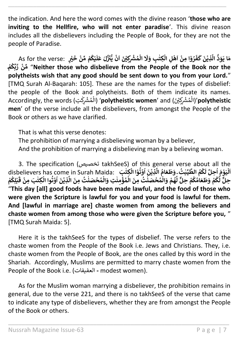the indication. And here the word comes with the divine reason '**those who are inviting to the Hellfire, who will not enter paradise**'. This divine reason includes all the disbelievers including the People of Book, for they are not the people of Paradise.

\_\_\_\_\_\_\_\_\_\_\_\_\_\_\_\_\_\_\_\_\_\_\_\_\_\_\_\_\_\_\_\_\_\_\_\_\_\_\_\_\_\_\_\_\_\_\_\_\_\_\_\_\_\_\_\_\_\_\_\_\_\_\_\_\_\_\_\_\_\_

As for the verse: **َ ف َ ك َ ن ِذي ْ َّ** مَا يَوَدُّ الَّذِيْنَ كَفَرُوْا مِنْ اَهْلِ الْكِتٰبِ وَلَا الْمُشْرِكِيْنَ اَنْ يُّنَزَّلَ عَلَيْكُمْ مِّنْ خَيْرٍ **ْ ْ ُ ْ َ** الْمُشْرِكِيْنَ اَنْ يُّنْزَّلَ عَلَ **ن ْ ا ن ْ َ** رُوْا مِنْ اَهْلِ الْكِتٰبِ وَلَا **ٰ ْ ْ ا ْ ا ْ ُ ْ <br>بِیَّ مَنْ رَبِّکُمْ (Neither those who disbelieve from the People of the Book nor the ' ُ ْ polytheists wish that any good should be sent down to you from your Lord.**" [TMQ Surah Al-Baqarah: 105]. These are the names for the types of disbelief: the people of the Book and polytheists. Both of them indicate its names. re poppe of the Doom and <sub>(</sub>الْمُشْرِكْتِنَ) (**polytheistic women**' and (الْمُشْرِكْتِ) (Accordingly, the words ٰ ؚ<br>ا í '<br>أ **men**' of the verse include all the disbelievers, from amongst the People of the Book or others as we have clarified.

That is what this verse denotes:

The prohibition of marrying a disbelieving woman by a believer,

And the prohibition of marrying a disbelieving man by a believing woman.

3. The specification (تخصيص takhSeeS) of this general verse about all the disbelievers has come in Surah Maida: **ُ <sup>ت</sup>ٰ ب ِّ ي الط م ـك ُ ُ** ر<br>1 about an the<br>اَلْيَوْمَ اُحِلَّ لَكُمُ الطَّيِّبْتُ ٍ وَطَعَامُ الَّذِيْنَ اُوْدُ ا<br>ا **ا ْ ْ** ا<br>• **ْ ُ ا ْ** ا<br>أ .<br>وَطَعَامُ الَّذِيْنَ اُوْتُوْا الْكِتٰبَ **ُ ٰ ْ ْ ْ م ه ُ َّ ل ِحلٌّ م ك ام َ ع َ ط َ و م ـک ْ ُ ُ ْ ُ َّ** حِلٌّ لَّكُمْ وَطَعَاٰمُكُمْ حِلٌّ لَهُمْ وَالْمُحْصَلْتُ مِنَ الَّمُؤْمِنٰتِ وَالْمُحْصَنٰتُ مِنَ الَّذِيْنَ اوْتُوا الْكِتٰبَ مِنْ قَبْلِكُمْ **ْ ُ ْ َ** ۔۔۔۔۔۔۔۔۔۔۔<br>نِوِيْنَ اُوْتُوا الْكِتٰبَ مِنْ قَ **ْ ٰ ـ ْ ُ ْ ُ ا ْ َّ ال َ ِمن ت ُ ن صَ ح م ال َ ِت و ن ِ م ؤ م ال َ ِمن ت ُ ن صَ ح م ال َ و ٰ ْ ُ ْ ٰ ْ ُ ْ ٰ ْ ُ ْ** "**This day [all] good foods have been made lawful, and the food of those who were given the Scripture is lawful for you and your food is lawful for them. And [lawful in marriage are] chaste women from among the believers and chaste women from among those who were given the Scripture before you,** " [TMQ Surah Maida: 5].

Here it is the takhSeeS for the types of disbelief. The verse refers to the chaste women from the People of the Book i.e. Jews and Christians. They, i.e. chaste women from the People of Book, are the ones called by this word in the Shariah. Accordingly, Muslims are permitted to marry chaste women from the People of the Book i.e. (العفيفات **-** modest women).

As for the Muslim woman marrying a disbeliever, the prohibition remains in general, due to the verse 221, and there is no takhSeeS of the verse that came to indicate any type of disbelievers, whether they are from amongst the People of the Book or others.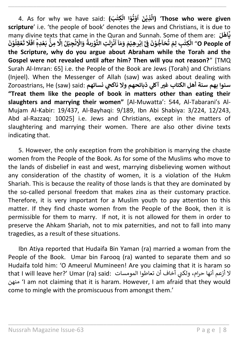4. As for why we have said: **( بَ ِكت ا ال و ت و َ ن ِذي ٰ ْ ْ ُ ْ ُ ا ْ َّ ال**' **(Those who were given scripture**' i.e. 'the people of book' denotes the Jews and Christians, it is due to many divine texts that came in the Quran and Sunnah. Some of them are: **َل ه ْ َ ـا ْۤ ٰ ي ْ ِمن**  .<br>تِ التَّوْربةُ وَالْإِنْجِيْلُ اِلَّا **ْ ْ ْ ُ ْ َ ل ِ ز ن ْ ُ ا ۤ ا َ م َ و َ م ٰر ِهي ِاب ْۤ ْ ْ ْ** .........<br>جُوْنَ <u>و</u> **ن ْ ٰٓ** الْكِتْبِ لِمَ تُحَاجُّوْنَ فِيَّ إِبْرِهِيْمَ وَمَاۤ اُنْزِِلَتِ التَّوْرِدةُ وَالْإِنْجِيْلُ اِلَّا مِنُّ بَعْدِمِّ اَفَلَا تَعْقِلُوْنَ<br>الْكِتْبِ لِمَ تُحَاجُوْنَ فِيَّ إبْرِهِيْمَ وَمَاۤ اُنْزِِلَتِ التَّوْرِدةُ وَالْ ر<br>۽ **ٰ ْ ْ ُ ْ َ ت َ َل َ ف َ ؕ ا** .<br>O People of <sup>ِمَّ</sup> الْكِتْبِ لِمَ تُحَاجُّوْنَ فِئَ اِبْر<sub>ْ</sub>هِيْمَ وَمَاۤ اَنْزِلَتِ التَّوْرِدةُ وَالْإِنْجِيْلُ اِلَّا مِنْۚ بَعْدِمْ **ْ the Scripture, why do you argue about Abraham while the Torah and the Gospel were not revealed until after him? Then will you not reason?**" [TMQ Surah Al-Imran: 65] i.e. the People of the Book are Jews (Torah) and Christians (Injeel). When the Messenger of Allah (saw) was asked about dealing with Zoroastrians, He (saw) said: **نسائهم يح يل ذبائحهم وال ناك سنوا بهم سنة أهل الكتاب غْي آك "Treat them like the people of book in matters other than eating their slaughters and marrying their women"** [Al-Muwatta': 544, Al-Tabarani's Al-Mujam Al-Kabir: 19/437, Al-Bayhaqi: 9/189, Ibn Abi Shabiya: 3/224, 12/243, Abd al-Razzaq: 10025] i.e. Jews and Christians, except in the matters of slaughtering and marrying their women. There are also other divine texts indicating that.

\_\_\_\_\_\_\_\_\_\_\_\_\_\_\_\_\_\_\_\_\_\_\_\_\_\_\_\_\_\_\_\_\_\_\_\_\_\_\_\_\_\_\_\_\_\_\_\_\_\_\_\_\_\_\_\_\_\_\_\_\_\_\_\_\_\_\_\_\_\_

5. However, the only exception from the prohibition is marrying the chaste women from the People of the Book. As for some of the Muslims who move to the lands of disbelief in east and west, marrying disbelieving women without any consideration of the chastity of women, it is a violation of the Hukm Shariah. This is because the reality of those lands is that they are dominated by the so-called personal freedom that makes zina as their customary practice. Therefore, it is very important for a Muslim youth to pay attention to this matter. If they find chaste women from the People of the Book, then it is permissible for them to marry. If not, it is not allowed for them in order to preserve the Ahkam Shariah, not to mix paternities, and not to fall into many tragedies, as a result of these situations.

Ibn Atiya reported that Hudaifa Bin Yaman (ra) married a woman from the People of the Book. Umar bin Farooq (ra) wanted to separate them and so Hudaifa told him: 'O Ameerul Mumineen! Are you claiming that it is haram so لا أزعم أنها حرام، ولكني أخاف أن تعاطوا المومسات :that I will leave her?' Umar (ra) said ي منهن' I am not claiming that it is haram. However, I am afraid that they would come to mingle with the promiscuous from amongst them.'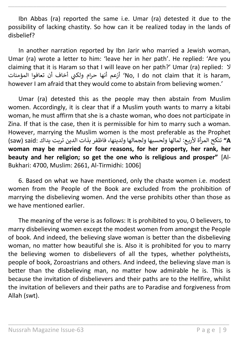Ibn Abbas (ra) reported the same i.e. Umar (ra) detested it due to the possibility of lacking chastity. So how can it be realized today in the lands of disbelief?

\_\_\_\_\_\_\_\_\_\_\_\_\_\_\_\_\_\_\_\_\_\_\_\_\_\_\_\_\_\_\_\_\_\_\_\_\_\_\_\_\_\_\_\_\_\_\_\_\_\_\_\_\_\_\_\_\_\_\_\_\_\_\_\_\_\_\_\_\_\_

In another narration reported by Ibn Jarir who married a Jewish woman, Umar (ra) wrote a letter to him: 'leave her in her path'. He replied: 'Are you claiming that it is Haram so that I will leave on her path?' Umar (ra) replied: ال أخاف أن تعافوا المؤمنات <sup>ي</sup> ن ولك حرام أنها أزعم' No, I do not claim that it is haram, however I am afraid that they would come to abstain from believing women.'

Umar (ra) detested this as the people may then abstain from Muslim women. Accordingly, it is clear that if a Muslim youth wants to marry a kitabi woman, he must affirm that she is a chaste woman, who does not participate in Zina. If that is the case, then it is permissible for him to marry such a woman. However, marrying the Muslim women is the most preferable as the Prophet  **A "**تنكح المرأة ألربع: لمالها ولحسبها ولجمالها ولدينها، فاظفر بذات الدين تربت يداك :said) saw( **woman may be married for four reasons, for her property, her rank, her beauty and her religion; so get the one who is religious and prosper"** [Al-Bukhari: 4700, Muslim: 2661, Al-Tirmidhi: 1006]

6. Based on what we have mentioned, only the chaste women i.e. modest women from the People of the Book are excluded from the prohibition of marrying the disbelieving women. And the verse prohibits other than those as we have mentioned earlier.

The meaning of the verse is as follows: It is prohibited to you, O believers, to marry disbelieving women except the modest women from amongst the People of book. And indeed, the believing slave woman is better than the disbelieving woman, no matter how beautiful she is. Also it is prohibited for you to marry the believing women to disbelievers of all the types, whether polytheists, people of book, Zoroastrians and others. And indeed, the believing slave man is better than the disbelieving man, no matter how admirable he is. This is because the invitation of disbelievers and their paths are to the Hellfire, whilst the invitation of believers and their paths are to Paradise and forgiveness from Allah (swt).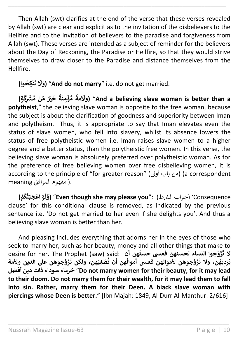Then Allah (swt) clarifies at the end of the verse that these verses revealed by Allah (swt) are clear and explicit as to the invitation of the disbelievers to the Hellfire and to the invitation of believers to the paradise and forgiveness from Allah (swt). These verses are intended as a subject of reminder for the believers about the Day of Reckoning, the Paradise or Hellfire, so that they would strive themselves to draw closer to the Paradise and distance themselves from the Hellfire.

\_\_\_\_\_\_\_\_\_\_\_\_\_\_\_\_\_\_\_\_\_\_\_\_\_\_\_\_\_\_\_\_\_\_\_\_\_\_\_\_\_\_\_\_\_\_\_\_\_\_\_\_\_\_\_\_\_\_\_\_\_\_\_\_\_\_\_\_\_\_

**وا) ِكح ن ُ ْ َ ت َ َل َ و**" **(And do not marry**" i.e. do not get married.

**ٍة) َ ِك ُّ ْش ْ م ن ِّ م ْي ٌْ َ خ ْ ٌ ة َ ن ِ م ؤ ُّ م ْ ٌ ة َ م َ َ َل َ و**" **(And a believing slave woman is better than a polytheist**," the believing slave woman is opposite to the free woman, because the subject is about the clarification of goodness and superiority between Iman and polytheism. Thus, it is appropriate to say that Iman elevates even the status of slave women, who fell into slavery, whilst its absence lowers the status of free polytheistic women i.e. Iman raises slave women to a higher degree and a better status, than the polytheistic free women. In this verse, the believing slave woman is absolutely preferred over polytheistic woman. As for the preference of free believing women over free disbelieving women, it is according to the principle of "for greater reason" (أوىل باب من) (a correspondent .( مفهوم الموافق meaning

**( م ك ت َ ب َ ج ع َ و ْ ُ ْ ْ ا ْ َ ل و**" **(Even though she may please you**": (رشط Consequence) 'جواب ال clause' for this conditional clause is removed, as indicated by the previous sentence i.e. 'Do not get married to her even if she delights you'. And thus a believing slave woman is better than her.

And pleasing includes everything that adorns her in the eyes of those who seek to marry her, such as her beauty, money and all other things that make to desire for her. The Prophet (saw) said: **أن هن جوا النساء لحسنهن فعىس حسن و َ ز ُ َ ال ت َ هن، ولكن ت َ ِغي ط هن أن ت جوهن ألموالهن فعىس أموال و َ ز ْ ُ ُ َ ن، وال ت ه َ ي ِ د ر ي جوهن عل الدين وألمة و َ ز ِہ ْ ُ أفضل دين ذات سوداء خرماء**" **Do not marry women for their beauty, for it may lead to their doom. Do not marry them for their wealth, for it may lead them to fall into sin. Rather, marry them for their Deen. A black slave woman with piercings whose Deen is better.**" [Ibn Majah: 1849, Al-Durr Al-Manthur: 2/616]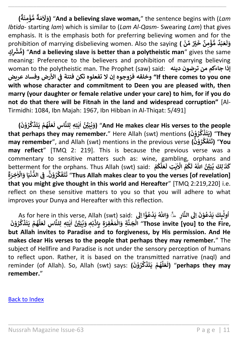**( ٌ ة َ ن ِ م ؤ ُّ م ْ ٌ ِ<br>لَاَمَةٌ َل َ و**" **(And a believing slave woman,**" the sentence begins with (*Lam Ibtida*- starting *lam*) which is similar to (*Lam Al-Qasm*- Swearing *Lam*) that gives emphasis. It is the emphasis both for preferring believing women and for the prohibition of marrying disbelieving women. Also the saying (ﷺ) prohibition of marrying disbelieving women. Also the saying **ْ ْ ْ** ا<br>1 **ل َ و ِ ٍك ُّ ْش ْ م**" **(And a believing slave is better than a polytheistic man**" gives the same meaning: Preference to the believers and prohibition of marrying believing woman to the polytheistic man. The Prophet (saw) said: **دينه ترضون من جاءكم إذا األرض وفساد عريض one you to comes there If "وخلقه فزوجوه إن ال تفعلوه تكن فتنة ف ي ن with whose character and commitment to Deen you are pleased with, then marry (your daughter or female relative under your care) to him, for if you do not do that there will be Fitnah in the land and widespread corruption"** [Al-Tirmidhi: 1084, Ibn Majah: 1967, Ibn Hibban in Al-Thiqat: 5/491]

\_\_\_\_\_\_\_\_\_\_\_\_\_\_\_\_\_\_\_\_\_\_\_\_\_\_\_\_\_\_\_\_\_\_\_\_\_\_\_\_\_\_\_\_\_\_\_\_\_\_\_\_\_\_\_\_\_\_\_\_\_\_\_\_\_\_\_\_\_\_

**( َ ن و ر ْ ُ َّ ك َ ذ َ ت َ ي م ه ْ ُ َّ ل َ ع َ ِس ل ا ِلن ِت ه ل ي ْي ِّ َ ب ي َ و**" **(And He makes clear His verses to the people َ ٰ ٰ ا ُ ن ُ that perhaps they may remember.**" Here Allah (swt) mentions **( َ ن و ر ْ ُ َّ ك ذ َ ت َ They)** "**ي may remember**", and Allah (swt) mentions in the previous verse **( َ ن و ر َّ ك ْ ُ َ ف َ ت َ You)** "**ت may reflect**" [TMQ 2: 219]. This is because the previous verse was a commentary to sensitive matters such as: wine, gambling, orphans and betterment for the orphans. Thus Allah (swt) said: **ُ ْي ِّ َ ب ي ِكَ ل ذ ن ُ ٰ َ** كَذَٰ لِكَ يُبَيِّنُ اللّهُ لَكُمُ الأَيْتِ لَعَلَكُمْ **ْ ُ َّ ل َ ع َ** كَمُ الأيتِ لـ **ٰ ٰ** ا ا ر<br>ہ **ُ َ ل اّٰلل ه ُ َ ن و ر َّ ك ْ ُ َ ف َ ت َ ت ؕ ِ ة َ ِخر اَل َ ا و َ ي ن ُّ الد ِ ف .**" **Thus Allah makes clear to you the verses [of revelation] ٰ ْ ْ ن that you might give thought in this world and Hereafter**" [TMQ 2:219,220] i.e. reflect on these sensitive matters to you so that you will adhere to what improves your Dunya and Hereafter with this reflection.

As for here in this verse, Allah (swt) said: **ِ ار الن َ** ِ<br>ِلۡبِكَ يَدْعُوْنَ اِلَى **ْ ُ ْ ٰ** أُولَٰبِكَ يَدْعُوْنَ إِلَى النَّارِ <sub>=</sub> **ُ َ** ِّ وَاللّٰهُ يَدْعُؤْا اِلَى **ْ ُ ْ** م السلام (Shot nece in this verse, Amar (Swc) منه.<br>الْجَنَّةِ وَالْمَغْفِرَةِ بِإِذْنِهِ وَيُبَيِّنُ ايْتِهِ لِلنَّاسِ لَعَلَّهُمْ يَتَذَكَّرُوْنَ **ْ ْ ْ ْ ُ ْ ُ َّ ك َ ذ َ ت َ ي م ه ْ ُ** ا<br>أ **ل َ ع َ ِس ل ا ِلن ِت ه ل ي ْي ِّ َ ب**" **Those invite [you] to the Fire, ٰ ٰ ا ُ ن but Allah invites to Paradise and to forgiveness, by His permission. And He makes clear His verses to the people that perhaps they may remember.**" The subject of Hellfire and Paradise is not under the sensory perception of humans to reflect upon. Rather, it is based on the transmitted narrative (naql) and reminder (of Allah). So, Allah (swt) says: **( َ ن و ر ْ ُ َّ ك َ ذ َ ت َ ي م ه ْ ُ َّ ل َ ع َ ل**" **(perhaps they may remember.**"

\_\_\_\_\_\_\_\_\_\_\_\_\_\_\_\_\_\_\_\_\_\_\_\_\_\_\_\_\_\_\_\_\_\_\_\_\_\_\_\_\_\_\_\_\_\_\_\_\_\_\_\_\_\_\_\_\_\_\_\_\_\_\_\_\_

[Back to Index](#page-1-0)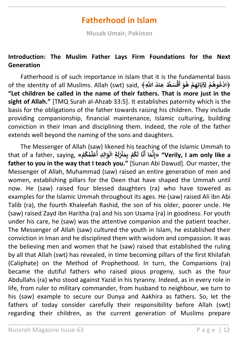## **Fatherhood in Islam**

<span id="page-11-0"></span>\_\_\_\_\_\_\_\_\_\_\_\_\_\_\_\_\_\_\_\_\_\_\_\_\_\_\_\_\_\_\_\_\_\_\_\_\_\_\_\_\_\_\_\_\_\_\_\_\_\_\_\_\_\_\_\_\_\_\_\_\_\_\_\_\_\_\_\_\_\_

**Musab Umair, Pakistan**

#### **Introduction: The Muslim Father Lays Firm Foundations for the Next Generation**

Fatherhood is of such importance in Islam that it is the fundamental basis of the identity of all Muslims. Allah (swt) said, **ِ** ﴿ **اّٰلل َّ َ ِعند ط ُ سَ ق ْ** the Tundamental Das<br>ا**دْعُوهُمْ لِآبَائِهِمْ هُوَ أَقْسَطُ عِندَ اللَّهِ﴾ أ** .<br>م **ْ ْ ُ ُ ْ "Let children be called in the name of their fathers. That is more just in the sight of Allah."** [TMQ Surah al-Ahzab 33:5]. It establishes paternity which is the basis for the obligations of the father towards raising his children. They include providing companionship, financial maintenance, Islamic culturing, building conviction in their Iman and disciplining them. Indeed, the role of the father extends well beyond the naming of the sons and daughters.

The Messenger of Allah (saw) likened his teaching of the Islamic Ummah to that of a father, saying, **» م ك م ْ ُ ُ ِّ ل َ ع ِ ِد أ ال َ و ِة ال ُ ْ َ ل ِ ي ن َ ِم ب م ك ن ْ ْ ُ َ ا ل َ ن** ا!<br>۽ **ا أ َ م ن ِ إ" »Verily, I am only like a father to you in the way that I teach you."** [Sunan Abi Dawud]. Our master, the Messenger of Allah, Muhammad (saw) raised an entire generation of men and women, establishing pillars for the Deen that have shaped the Ummah until now. He (saw) raised four blessed daughters (ra) who have towered as examples for the Islamic Ummah throughout its ages. He (saw) raised Ali ibn Abi Talib (ra), the fourth Khaleefah Rashid, the son of his older, poorer uncle. He (saw) raised Zayd ibn Haritha (ra) and his son Usama (ra) in goodness. For youth under his care, he (saw) was the attentive companion and the patient teacher. The Messenger of Allah (saw) cultured the youth in Islam, he established their conviction in Iman and he disciplined them with wisdom and compassion. It was the believing men and women that he (saw) raised that established the ruling by all that Allah (swt) has revealed, in time becoming pillars of the first Khilafah (Caliphate) on the Method of Prophethood. In turn, the Companions (ra) became the dutiful fathers who raised pious progeny, such as the four Abdullahs (ra) who stood against Yazid in his tyranny. Indeed, as in every role in life, from ruler to military commander, from husband to neighbour, we turn to his (saw) example to secure our Dunya and Aakhira as fathers. So, let the fathers of today consider carefully their responsibility before Allah (swt) regarding their children, as the current generation of Muslims prepare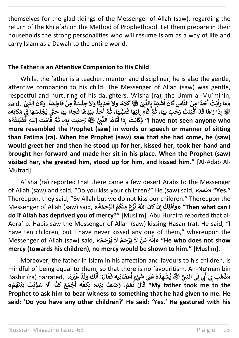themselves for the glad tidings of the Messenger of Allah (saw), regarding the return of the Khilafah on the Method of Prophethood. Let them prepare in their households the strong personalities who will resume Islam as a way of life and carry Islam as a Dawah to the entire world.

\_\_\_\_\_\_\_\_\_\_\_\_\_\_\_\_\_\_\_\_\_\_\_\_\_\_\_\_\_\_\_\_\_\_\_\_\_\_\_\_\_\_\_\_\_\_\_\_\_\_\_\_\_\_\_\_\_\_\_\_\_\_\_\_\_\_\_\_\_\_

#### **The Father is an Attentive Companion to His Child**

Whilst the father is a teacher, mentor and discipliner, he is also the gentle, attentive companion to his child. The Messenger of Allah (saw) was gentle, respectful and nurturing of his daughters. 'A'isha (ra), the Umm al-Mu'minin, شُبَهَ بِالنَّبِيِّ ﷺ **كَلاَمًا وَلاَ حَدِيثًا وَلاَ جِلْسَةً** مِنْ فَاطِمَةً. وَكَانَ النَّبِيُّ said, **ْ** انا-un al-سال<br>حَدًا مِنَ النَّاسِ گَانَ أَ<br>يَــَّـُّ أَيَّـُّــَ **أ ا َ ت ُ ي أ ْ** ,ctiul and nurturing or ms daugnters. A isna (ra), the Omin al-Mu minini)<br>«مَا رَأَيْتُ أَحَدًا مِنَ النَّاسِ كَانَ أَشْبَهَ بِالنَّبِيِّ ﷺ كَلاَمًا وَلاَ حَدِيثًا وَلاَ جِلْسَةً مِنْ فَاطِمَةً. وَكَانَ النَّبِيُّ<br>﴿ مَا **أ ة َ ِطم ا َ ف ِمن ْ ً ة سَ ِجل َ َل َ ا و ْ ً** .., کاردا دا داعا...<br>4 بِالنَّبِيِّ ﷺ گلاَمَا وَلاَ حَدِيثًا<br>\* = تَبِرُّ نَقِيبًا وَقَاتِ الْمُتَبَالِّيَّ **ِّ**بِاللَّذِي ﷺ كَلامًا وَلاَ حَدِيبًا وَلاَ جِلسَّهُ مِنْ قَاطِمَةً<br>لَاَّامُ إِلَيْهَا فَقَبَّلَهَا، ثُمَّ أَخَذَ بِيَدِهَا فَجَاءَ بِهَا حَتَّي<br>اللَّهُ يَقْفُوْ اللَّهُ اللَّهُ اللَّهُ مِنْ اللَّهُ عَلَيْهِ اللَّهُ عَلَيْه **َ** -<br>بِيَدِهَا فَ<br>أَأْأَأَ **َ ذ َ خ َ م ا، ث َ ه أ ُ َ ل ب َ ق َ ا ف َ ه ي ْ َ ل ِ إ َ ام َ** المعلق قال المعام قال قال<br>لَكْ رَحَّبَ بِهَا، ثُمَّ قَ **ُ ل َ ب ق ْ َ أ ْ د َ ا ق َ آه َ ا ر َ** مِنْ دَيْنَ مَسْتَقِيلٍ مَعْمَلٍ فَي مَسْبَدٍ بِأَحْدِي عَيْنَ حَدَّثَ رَحَمَتُ عَيْنَةً رَحَمَتُ مِنَ حَمِيثَ<br>وَأَيُّهُ إِذَا رَآهَا قَدْ أَقْبَلَتْ رَحَّبَ بِهَا، ثُمَّ قَامَ إِلَيْهَا فَقَبَّلَهَا، ثُمَّ أَخَذَ بِيَدِه **ن ْ ُ** حَدَّة صَدَّة اللَّهُمَّ اللَّهُمَّ ﷺ رَحَّمَتْ بِهِ مِنْ قَامَتْ إِلَيْهِ فَقَبَّلَتْهُ»<br>وَكَانَتْ إِذَا أَنَّاهَا النَّبِيُّ ﷺ رَحَّمَتْ بِهِ، ثُمَّ قَامَتْ إِلَيْهِ فَقَبَّلَتْهُ» **ُ ْ** .<br>آ **ل ب َ ق ِه ف ي ْ َ** سَبَ إِنَّہُ وَسَدَّ سَبَعَتِهُمْ عَلَيْهِمْ مِنْ السَّالِمِينَ مِنْ السَّالِمِينَ مِنْ السَّالِمِينَ وَمِنْ ا<br>I have not seen anyone who اَلا وَكَانَتْ إِذَا أَتَاهَا النَّبِيُّ ﷺ رَحَّبَتْ بِهِ، ثُمَّ قَامَتْ إِلَّا **إ ُ ُّmore resembled the Prophet (saw) in words or speech or manner of sitting than Fatima (ra). When the Prophet (saw) saw that she had come, he (saw) would greet her and then he stood up for her, kissed her, took her hand and brought her forward and made her sit in his place. When the Prophet (saw) visited her, she greeted him, stood up for him, and kissed him."** [Al-Adab Al-Mufrad]

A'isha (ra) reported that there came a few desert Arabs to the Messenger of Allah (saw) and said, "Do you kiss your children?" He (saw) said, **»نعم" »Yes."** Thereupon, they said, "By Allah but we do not kiss our children." Thereupon the Messenger of Allah (saw) said, **ُ كِ ل م ْ** ا Dut we do not kiss our crimurer<br>«وَأَمْلِكُ إِنْ كَانَ اللَّهُ نَزَعَ مِنْكُمُ الرَّحْمَةَ» **أ َ ة َ م ح الر م ك ِمن َ ع َ ز ْ ُ ُ ْ َ ن اّٰلل َّ ُ َ ان َ ك ِن إ" Then what can I ْ do if Allah has deprived you of mercy?"** [Muslim]. Abu Huraira reported that al-Aqra' b. Habis saw the Messenger of Allah (saw) kissing Hasan (ra). He said, "I have ten children, but I have never kissed any one of them," whereupon the Messenger of Allah (saw) said, **» م َ ح ر ي َ َل م َ ح ر َ ي َ َل ن َ م ه ْ ْ ُ ْ ْ ْ ُ ن ِ إ" »He who does not show mercy (towards his children), no mercy would be shown to him."** [Muslim].

Moreover, the father in Islam in his affection and favours to his children, is mindful of being equal to them, so that there is no favouritism. An-Nu'man bin Bashir (ra) narrated, **ُ ه ْي ْ َ ُ غ ٌ د َ** ,ااا=اا<br>لَكَ وَلَ **ل َ : أ َ ال َ ق َ ِيِه ف ان َ ط ع ْ َ** ہ : د ، ع ا<br>**لَى شَيْءٍ** أ **ْ ل َ ع ه ِ د ه ش صلى الله عليه وسلم ي ّت ِ ي الن ُ ُ ْ ُ َِّ َِل ِي ّن إ َ أ ِي ّن بَ َ ه َ** «ذَهَبَ بِي أَبِي إِلَى النَّبِيِّ ﷺ يُشْهِدُهُ عَلَى شَيْءٍ أَعْطَانِيهِ فَقَالَ: أَلَكَ وَلِدّ غَيْرُهُ. **ْ م َ ع َ ن َ ال َ ق . « م ه َ ن ي َ ب تَ ي و سَ َ َل ْ ُ ْ ْ َ ا أ َ ذ َ** .<br>جُمَعَ *کَ* **ْ** ابار<br>پا **ِه أ ِّ ف َ ِك ِدِه ب َ ي ِ ب ف صَ َ و" My father took me to the Prophet to ask him to bear witness to something that he had given to me. He said: 'Do you have any other children?' He said: 'Yes.' He gestured with his**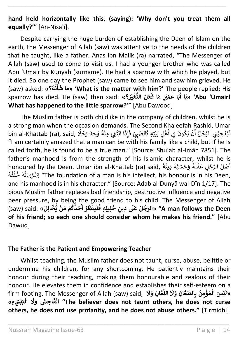**hand held horizontally like this, (saying): 'Why don't you treat them all equally?'"** [An-Nisa'i].

\_\_\_\_\_\_\_\_\_\_\_\_\_\_\_\_\_\_\_\_\_\_\_\_\_\_\_\_\_\_\_\_\_\_\_\_\_\_\_\_\_\_\_\_\_\_\_\_\_\_\_\_\_\_\_\_\_\_\_\_\_\_\_\_\_\_\_\_\_\_

Despite carrying the huge burden of establishing the Deen of Islam on the earth, the Messenger of Allah (saw) was attentive to the needs of the children that he taught, like a father. Anas ibn Malik (ra) narrated, "The Messenger of Allah (saw) used to come to visit us. I had a younger brother who was called Abu 'Umair by Kunyah (surname). He had a sparrow with which he played, but it died. So one day the Prophet (saw) came to see him and saw him grieved. He (saw) asked: **»؟ ه ن أ ُ ُ ْ َ ا ش َ م' »What is the matter with him?'** The people replied: His sparrow has died. He (saw) then said: **»؟ ْي ْ َ غ ُّ الن لَ َ ع ُ َ ا ف َ ٍ م ْي ْ َ م ا ع َ ب ُ** ر<br>۽ **ا أ َ ي' »Abu 'Umair! What has happened to the little sparrow?'**" [Abu Dawood]

The Muslim father is both childlike in the company of children, whilst he is a strong man when the occasion demands. The Second Khaleefah Rashid, Umar bin al-Khattab (ra), said, فَجِدَ رَجُلًا  $\frac{1}{2}$  أَبْتُغِيَ مِنْهُ وُجِدَ رَجُلًا ر ।<br>इ أ .<br>نْ يَكُونَ فِي<br>.. ė ُ ر \asınu, Uma<br>يُعْجِبُنِي الرَّجُلُ أَ أ ُ ي و<br>ر ر و<br>ر ً<br>آ ل ً<br>أ الثَّغِيَ مِنْهُ وُجِدَ رَجُلًا ُ ٍ<br>ڈ ۔<br>ا ر ي ُ ر ن ذ إ ن o seco<br>تِهِ گالصَّبِيِّ فَ "I am certainly amazed that a man can be with his family like a child, but if he is called forth, he is found to be a true man." [Source: Shu'ab al-Imān 7851]. The father's manhood is from the strength of his Islamic character, whilst he is rather s manhood is nonr the strength or his islamic character, whilst he is<br>honoured by the Deen. Umar ibn al-Khattab (ra) said, وَحَسَبُهُ دِينُهُ (honoured by the Deen. Umar ibn al-Khattab ُ .<br>ر و<br>ر ا<br>م ٍ<br>ا ا<br>: ُ أ .<br>م تَوْسِيِّ The foundation of a man is his intellect, his honour is in his Deen, ُ ،<br>ا ُ ्<br>न ُ ُ and his manhood is in his character." [Source: Adab al-Dunyā wal-Dīn 1/17]. The pious Muslim father replaces bad friendship, destructive influence and negative peer pressure, by being the good friend to his child. The Messenger of Allah  $\mu$ (saw) said: **ِ ل َ ِ خ ِدين َ** et inc, by being the good mend to ins efficing.<br>«الرَّجُلُ عَلَى دِينِ خَلِيلِهِ فَلْيَنْظُرْ أَحَدُكُمْ مَنْ يُخَالِلُ» **ُ ُ ْ ْ ُ ُ أ ْ ُ ْ ْ َ ِ ِه ف يل" A man follows the Deen of his friend; so each one should consider whom he makes his friend."** [Abu Dawud]

#### **The Father is the Patient and Empowering Teacher**

Whilst teaching, the Muslim father does not taunt, curse, abuse, belittle or undermine his children, for any shortcoming. He patiently maintains their honour during their teaching, making them honourable and zealous of their honour. He elevates them in confidence and establishes their self-esteem on a firm footing. The Messenger of Allah (saw) said, **َ َل َ ِن و ا ع** -<br>آ **الل َ َل َ ِن و ا ع الط ِ ب ِ ن م ؤ م َس ال ي ُ ْ ُ ْ ْ َ »ل ِذيِء« َ ب ال ْ َ َل َ ِش و ِح ا َ ف ال" The believer does not taunt others, he does not curse ْ others, he does not use profanity, and he does not abuse others."** [Tirmidhi].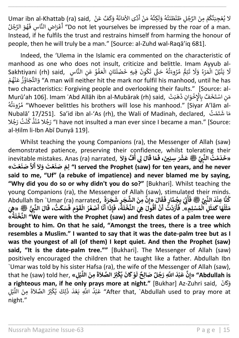Umar ibn al-Khattab (ra) said, <sup>ر</sup> ن ن َّف <sup>ع</sup> َ ك ن و ن دَّى الأمَانَةَ ِ<br>أَمَّةٍ أ ر كِنَ<mark>َ</mark>هُ مَنْ ا ً<br>آ لا يُعْجِبَنَّكُمْ مِنَ الرَّجُلِ طَنْطَنَتُهُ وَلَـ<br>-ا ُ ر ُ ر ٍ<br>ا ر ٌ<br>' <u>هُو</u>َ الرَّجُلُ ُ ُ ن ِس ف ا َّ ِض الن رن ع ا ر ۱.<br>أ أ" Do not let yourselves be impressed by the roar of a man. Instead, if he fulfils the trust and restrains himself from harming the honour of people, then he will truly be a man." [Source: al-Zuhd wal-Raqā'iq 681].

\_\_\_\_\_\_\_\_\_\_\_\_\_\_\_\_\_\_\_\_\_\_\_\_\_\_\_\_\_\_\_\_\_\_\_\_\_\_\_\_\_\_\_\_\_\_\_\_\_\_\_\_\_\_\_\_\_\_\_\_\_\_\_\_\_\_\_\_\_\_

Indeed, the 'Ulema in the Islamic era commented on the characteristic of manhood as one who does not insult, criticize and belittle. Imam Ayyub alnamics are she me assemed mean<br>تَانِ الْعَفْوُ عَنِ النَّاسِ , Sakhtiyani (rh) said ٍ<br>؞ ֦֦֧֦֧֦֪֦֧֦֧֦֧֦֧֦֧֦֦֦֦֧֦֚֚֚֚֚֝֝֝֝֟֓֡֟֓֞֟֓֞ ْ َ r, ennerze and bemene. m<br>تَتِمُّ مُرُوءَتُهُ حَتَّى تَكُونَ فِيهِ خَصْلَ ٍ<br>م .<br>م ا<br>؛ ُ ا<br>آ يَنْبُلُ الْمَرْءُ وَلَا و<br>م ֦֧֦֧֦֧֦֧֦֧֦֧֦֧֧֜֜֜֜֜֜֜֜֜֜֜<br>֧֜֜֜֜֜֜֜֜֞֟ و<br>ر ر .<br>آ َل ر حَمَّدَ الْمَسْتَارِمُ الْمَسْتَارِ الْمَسْتَارِمُ بِهِ الْمَسْتَارِمُ الْمَسْتَارِمُ مَسْتَجَاوُزُ عَنْهُمْ ا ُ ر ُ ّٰ two characteristics: Forgiving people and overlooking their faults." [Source: al-مست سنة مستقل المستقلة المستقلة المستقلة المستقلة المستقلة المستقلة المستقلة المستقلة المستقلة المستقلة المستق<br>هَبَتْ ,Murū'ah 106]. Imam ʿAbd Allāh ibn al-Mubārak (rh) said .<br>: ن ذ ن و خ اْل َّف ب ن خ ن ت اس ر ِ ن ن م ا <u>۽</u> ا<br>ا ن وء رُ م ه ت" Whoever belittles his brothers will lose his manhood." [Siyar A'lām al-ٍ<br>ژ .<br>ام ُ سب سورت السور السياسي المستقلة السياسي المستقلة السياسي المستقلة المستقلة المستقلة المستقلة المستقلة السياسي<br>مَا شَتَمْتُ بِاسْ الله عليه السياسي المستقلة المستقلة المستقلة المستقلة المستقلة المستقلة المستقلة المستقلة ا می المستقل السابق السابق السابق المستقل المستقل المستقل المستقل المستقل المستقل المستقل المستقل المستقل المستق<br>د بالا ترجم المستقل المستقل المستقل المستقل المستقل المستقل المستقل المستقل المستقل المستقل المستقل المستقل ال ُ ر ُ ُ ر ۔<br>ِ ٍ<br>ٗ al-Ḥilm li-Ibn Abī Dunyā 119].

Whilst teaching the young Companions (ra), the Messenger of Allah (saw) demonstrated patience, preserving their confidence, whilst tolerating their acmonstrated patience, preserving their commacnee, winst tolerating their<br>«خَدَهْتُ النَّبِيَّ ﷺ عَشْرَ سِنِينَ، فَمَا قَالَ لِي أُفٍّ وَلاَ ,inevitable mistakes. Anas (ra) narrated **ْ ُ َ ا ق َ م َ ، ف َ ِنْين َ َل َ و » تَ ع َ ن صَ َل ْ َ َ َل َ و تَ ع َ ن صَ َ ِم ل" I served the Prophet (saw) for ten years, and he never أ ْ said to me, "Uf" (a rebuke of impatience) and never blamed me by saying, "Why did you do so or why didn't you do so?"** [Bukhari]. Whilst teaching the young Companions (ra), the Messenger of Allah (saw), stimulated their minds. Abdullah Ibn `Umar (ra) narrated**, َ ال َ ق َ لِيَ بِجُمَّارٍ فَ ُ** ِ<br>أَنِّيَ **ُ َ ِّ**.ed and **يَنَّدَ النَّبِيِّ ﷺ فَي**<br>كُنَّا عِنْدَ النَّبِيِّ ﷺ فَ **ْ ُ** اً<br>2 **ة َ ر َ ج َ ِ ش ر َ ج الش َ ِمن ِن »إ** لِ الْمُسْلِمِ»<br>لِ الْمُسْلِمِ» **ُ ْ َ ث َ م َ اك َ ه ل ُ َ** حَّة حِمْدَ النَّبِيُّ عَلَيْهِ حَتِّي جَمْعَةٍ حَتَّى السَّارِينَ عَنِّي النَّخْلَةُ، فَإِذَا أَنَّا أَصْغَرُ الْقَوْمِ فَسَكَتُّ، قَالَ النَّبِيُّ ﷺ<br>مَثَلُهَا كَمَثَلِ الْمُسْلِمِ». فَأَرَدْتُ أَنْ أَقُولَ هِيَ النَّخْل **َ ، ق ُّ ت َ ك سَ َ ف ِ م و ْ َ ق ال ر َ غ ص ْ َ ْ ُ ا أ َ ن َ ا أ َ ِ ذ إ َ ، ف ة ُ بہ**<br>آ **ل خ الن َ ِهي َ ول ق ْ ُ َ أ ْ ن** نمار <del>ت</del><br>ُرَدْتُ أ **أ ْ َ أ َ** فَأَرَدْتُ أَنْ أَقُولَ هِيَ النَّخْلَةُ، فَإِذَا أَنَا أَصْغَرُ الْقَوْمِ فَسَكَتُ، قَالَ النَّبِيُّ ﷺ «هِيَ<br>-**» ة ُ َ ل خ الن" We were with the Prophet (saw) and fresh dates of a palm tree were ْ brought to him. On that he said, "Amongst the trees, there is a tree which resembles a Muslim." I wanted to say that it was the date-palm tree but as I was the youngest of all (of them) I kept quiet. And then the Prophet (saw) said, "It is the date-palm tree.""** [Bukhari]. The Messenger of Allah (saw) positively encouraged the children that he taught like a father. Abdullah Ibn `Umar was told by his sister Hafsa (ra), the wife of the Messenger of Allah (saw), that he (saw) told her, **»لِ ي ْ َّ الل َ ِمن َ** ة كانَ يُكْثِرُ الصَّلاَةَ<br>وْ كَانَ يُكْثِرُ الصَّلاَةَ **ُ ْ ُ ْ َ** e of the Messenger of Allah (saw),<br>«إِنَّ عَبْدَ اللَّهِ رَجُلٌ صَالِحٌ لَا َ"Abdullah is **ُ ْ a righteous man, if he only prays more at night."** [Bukhar] Az-Zuhri said, <sup>ن</sup> ان َ ك ن و ل ي ر ه الل ن من ن ة ن ال الصَّ ث ِ ك ي كن ل ٍ<br>' ا<br>م ،<br>' ا<br>: د اَن اَتَّلِ اَتَّلَّمُ الْعَرَامُ الْعَرَامُ وَالْمَعْلَمُ الْعَرَامُ وَالْمَعْلَمَ وَالْمَعْلَمَاتِ وَالْمَ<br>غَبُدُ اللَّهِ بَعْدَ ذَ ر ٌّ وُ ر night."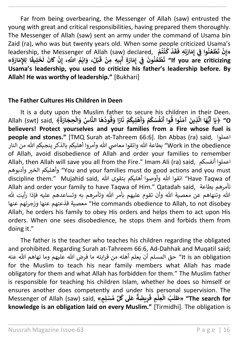Far from being overbearing, the Messenger of Allah (saw) entrusted the young with great and critical responsibilities, having prepared them thoroughly. The Messenger of Allah (saw) sent an army under the command of Usama bin Zaid (ra), who was but twenty years old. When some people criticized Usama's leadership, the Messenger of Allah (saw) declared, **ْ م ت ن ك د ُ ْ ُ ْ َ ق َ طْعُنُوا فِي إِمَارَتِهِ فَ إ ن ُ ُ ْ َ ت ِن »إ ْ » ِ ة َ ار َ ِإلم ِ ا ل ً ِيق ل َ خ** ا<br>1 الله السَّاعِ، إِنْ كَانَ لَا<br>بْ<mark>لُ، وَايْمُ اللَّهِ، إِنْ كَانَ لَا</mark> **ْ ُ ْ ْ َ ق يِه ِمن ِ ب ْ َ أ ِ ة َ ار َ ِ م ِي ف َ ون ن ع ط إ ن ُ ُ ْ َ ت" If you are criticizing Usama's leadership, you used to criticize his father's leadership before. By Allah! He was worthy of leadership."** [Bukhari]

\_\_\_\_\_\_\_\_\_\_\_\_\_\_\_\_\_\_\_\_\_\_\_\_\_\_\_\_\_\_\_\_\_\_\_\_\_\_\_\_\_\_\_\_\_\_\_\_\_\_\_\_\_\_\_\_\_\_\_\_\_\_\_\_\_\_\_\_\_\_

#### **The Father Cultures His Children in Deen**

It is a duty upon the Muslim father to secure his children in their Deen. ى حسب المستقام المستقامات المستوى المستقام المستقامات المستقامات المستقامات المستقامات المستقامات المستقامات ا<br>﴿يَا أَيُّهَا الَّذِينَ آمَنُوا قُوا أَنْفُسَكُمْ وَأَهْلِيكُمْ نَارًا وَقُودُهَا النَّاسُ وَالْحِجَارَةُ﴾ ,Al **ُ ْ ُ ُ َ ن م ِيك ل ه ْ ُ ْ َ َ و م ك سَ نف أ ْ ُ ُ َ وا أ وا ق ن َ آم َ ِذين ُ ُ َّ ا ال َ ه ُّ ي َ ا أ َ O "ي** ﴾ **believers! Protect yourselves and your families from a Fire whose fuel is people and stones."** [TMQ Surah at-Tahreem 66:6]. Ibn Abbas (ra) said, اعملوا Work in the obedience'' بطاعة الله واتقوا معاصي الله وأمروا أهليكم بالذكر ينجيكم الله من النار of Allah, avoid disobedience of Allah and order your families to remember Allah, then Allah will save you all from the Fire." Imam Ali (ra) said, أنفسكم اعملوا وأهليكم الخير وأدبوهم "You and your families must do good actions and you must discipline them." Mujahid said, لتقوا الله وأوصوا أهليكم بتقوى الله (discipline them." Mujahid said Allah and order your family to have Taqwa of Him." Qatadah said, بطاعة تأمرهم الله وتنهاهم عن معصية الله وأن تقوم عليهم بأمر الله وتأمرهم به وتساعدهم عليه فإذا رأيت لله عنها وزجرتهم عنها قذعتهم معصية" He commands obedience to Allah, to not disobey Allah, he orders his family to obey His orders and helps them to act upon His orders. When one sees disobedience, he stops them and forbids them from doing it."

The father is the teacher who teaches his children regarding the obligated and prohibited. Regarding Surah at-Tahreem 66:6, Ad-Dahhak and Muqatil said; It is an obligation" حق المسلم أن يعلم أهله من قرابته ما فرض الله عليهم وما نهاهم الله عنه for the Muslim to teach his near family members what Allah has made obligatory for them and what Allah has forbidden for them." The Muslim father is responsible for teaching his children Islam, whether he does so himself or ensures another does competently and under his personal supervision. The Messenger of Allah (saw) said, **ْ <sup>س</sup> م لِّ ك ُ ُ** ا<br>آ ...<br>عَلَى **ٌ ة َ يض ِ ر َ ِم ف ِعل ال ب ُ َ ْ ْ ل َ ٍم« لِ ط" »The search for knowledge is an obligation laid on every Muslim."** [Tirmidhi]. The obligation is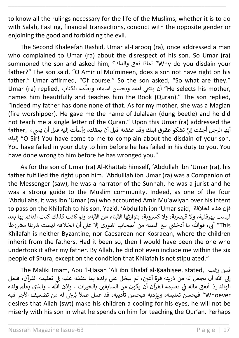to know all the rulings necessary for the life of the Muslims, whether it is to do with Salah, Fasting, financial transactions, conduct with the opposite gender or enjoining the good and forbidding the evil.

\_\_\_\_\_\_\_\_\_\_\_\_\_\_\_\_\_\_\_\_\_\_\_\_\_\_\_\_\_\_\_\_\_\_\_\_\_\_\_\_\_\_\_\_\_\_\_\_\_\_\_\_\_\_\_\_\_\_\_\_\_\_\_\_\_\_\_\_\_\_

The Second Khaleefah Rashid, Umar al-Farooq (ra), once addressed a man who complained to Umar (ra) about the disrespect of his son. So Umar (ra) summoned the son and asked him, والدك؟ تعق لماذا" Why do you disdain your father?" The son said, "O Amir ul Mu'mineen, does a son not have right on his father." Umar affirmed, "Of course." So the son asked, "So what are they." Umar (ra) replied, الكتاب مه ِّ ر<br>He selects his mother, أن ينتقي أمه، ويحسن اسمه، ويعلّ ي names him beautifully and teaches him the Book (Quran)." The son replied, "Indeed my father has done none of that. As for my mother, she was a Magian (fire worshipper). He gave me the name of Julalaan (dung beetle) and he did not teach me a single letter of the Quran." Upon this Umar (ra) addressed the أيها الرجل أجئت إليَّ تشكو عقوق ابنك وقد عققته قبل أن يعقك، وأسأت إليه قبل أن يسيء ,father<br>أيها الرجل أجئت إليَّ تشكو عقوق ابنك وقد عققته قبل أن يعقك، وأسأت إليه قبل أن إليك" O Sir! You have come to me to complain about the disdain of your son. You have failed in your duty to him before he has failed in his duty to you. You have done wrong to him before he has wronged you."

As for the son of Umar (ra) Al-Khattab himself, 'Abdullah ibn 'Umar (ra), his father fulfilled the right upon him. 'Abdulllah ibn Umar (ra) was a Companion of the Messenger (saw), he was a narrator of the Sunnah, he was a jurist and he was a strong guide to the Muslim community. Indeed, as one of the four 'Abdullahs, it was ibn 'Umar (ra) who accounted Amir Mu'awiyah over his intent to pass on the Khilafah to his son, Yazid. 'Abdullah ibn 'Umar said, الخالفة هذه فإن ليست بهرقلية، ولا قيصرية، ولا كسروية، يتوارثها الأبناء عن الآباء، ولو كانت كذلك كنت القائم بها بعد This" أبي، فوالله ما أدخلني مع السنة من أصحاب اشورى إلا على أن الخلافة ليست شرطا مشروطا ي Khilafah is neither Byzantine, nor Caesarean nor Kosraean, where the children inherit from the fathers. Had it been so, then I would have been the one who undertook it after my father. By Allah, he did not even include me within the six people of Shura, except on the condition that Khilafah is not stipulated."

The Maliki Imam, Abu ʾl-Ḥasan ʿAli ibn Khalaf al-Ḳaabiṣee, stated, رغب فمن إلى الله أن يجعل له من ذريته قرة أعين، لم يبخل على ولده بما ينفقه عليه في تعليمه القرآن، فلعل ي ֦֧֦֧֦֧֦֧֦֧֦֧֖֖֧֖֖֧֖֧֖֧֧֧֧֧֧֧֪֪֪֪֪֪֪֪֪֪֪֪֪֪֪֪֪֪֪֪֪֪֪֪֪֪֚֚֚֚֚֚֚֝֝֬֝֓֝֬֝֬֝֬֝֓֝֬֝֬֜֬֝֓֝֬֝֬ ون .<br>الوالد إذا أنفق ماله في تعليمه القرآن أن يكون من السابقين بالخيرات - بإذن الله - والذي يعلّم ولده ي . ِّ والذي يعل بيوت إعلامي من تعليمه السراح ال يتوى من السابعين بالعراق المن المعالجين المعالجين المعالجين المعالجين المعالجي<br>Whoever " فيحسن تعليمه، ويؤدبه فيحسن تأديبه، قد عمل عملاً يُرجَى له من تضعيف الأجر فيه ٌ<br>' desires that Allah (swt) make his children a cooling for his eyes, he will not be miserly with his son in what he spends on him for teaching the Qur'an. Perhaps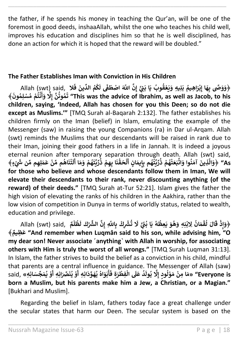the father, if he spends his money in teaching the Qur'an, will be one of the foremost in good deeds, inshaaAllah, whilst the one who teaches his child well, improves his education and disciplines him so that he is well disciplined, has done an action for which it is hoped that the reward will be doubled."

\_\_\_\_\_\_\_\_\_\_\_\_\_\_\_\_\_\_\_\_\_\_\_\_\_\_\_\_\_\_\_\_\_\_\_\_\_\_\_\_\_\_\_\_\_\_\_\_\_\_\_\_\_\_\_\_\_\_\_\_\_\_\_\_\_\_\_\_\_\_

#### **The Father Establishes Iman with Conviction in His Children**

﴿وَوَصًى بِهَا إِبْرَاهِيمُ بَنِيهِ وَيَعْقُوبُ يَا بَيْئَ إِنَّ اللَّهَ اصْطَفَى لَكُمُ الدِّينَ فَلا Ellah (swt) said, **إ ي ُ ْ ُ ا ْ َ ف َ ين ِّ الد م ك ُ ُ َ ل َ ف ن َ ط اص ْ َ َ ون ِ م ل س ْ م م ت ن َ و ُ ُ ْ ُ ْ أ َِل ن وت م إ ُ ُ َ** ﴾ **ت" This was the advice of Ibrahim, as well as Jacob, to his children, saying, 'Indeed, Allah has chosen for you this Deen; so do not die except as Muslims.'"** [TMQ Surah al-Baqarah 2:132]. The father establishes his children firmly on the Iman (belief) in Islam, emulating the example of the Messenger (saw) in raising the young Companions (ra) in Dar ul-Arqam. Allah (swt) reminds the Muslims that our descendants will be raised in rank due to their Iman, joining their good fathers in a life in Jannah. It is indeed a joyous eternal reunion after temporary separation through death. Allah (swt) said, **َ َ** . (we) Separation till odgin actatil. Allah Yowey<br>﴿وَالَّذِينَ آمَنُوا وَاتَّبَعَتْهُمْ ذُرِّيَّتُهُم بِإِيمَانٍ أَلْحَقْنَا بِهِمْ ذُرِّيَّتَهُمْ **ْ ُ ُ ْ ْ ْ ُ ُ ُ ْ ُ ْ ات َ وا و ن َ آم َ ِذين ُ َّ** ر الله المسلم المسلم المسلم المسلم المسلم المسلم المسلم المسلم المسلم المسلم المسلم المسلم المسلم ال<br>وَالَّذِينَ آمَنُوا وَاتَّبَعَتْهُمْ ذُرِّيَّتُهُم بِإِيمَانٍ أَلْحَقْنَا بِهِمْ ذُرِّيَّتَهُمْ وَمَا أَلَتْنَاهُم مِّنْ **ْ ي ْ ُ ْ** ا<br>أ As " ﴿وَالَّذِينَ آمَنُوا وَاتَّبَعَتْهُمْ ذُرِّيَّتُهُمْ بِإِيمَانٍ أَلْحَقْنَا بِهِمْ ذُرِّيَّتَهُمْ وَمَا أَلَتْنَاهُم مِّنْ عَمَلِهِم مِّن شَيْءٍ﴾ **for those who believe and whose descendants follow them in Iman, We will elevate their descendants to their rank, never discounting anything (of the reward) of their deeds."** [TMQ Surah at-Tur 52:21]. Islam gives the father the high vision of elevating the ranks of his children in the Aakhira, rather than the low vision of competition in Dunya in terms of worldly status, related to wealth, education and privilege.

Allah (swt) said, ﴿ **ان َ م ق ل َ ال ُ ْ ُ َ ق ذ ِ ْ إ** وَإِذْ قَالَ لُقْمَانُ لِابْنِهِ وَهُوَ يَعِظُهُ يَا بُنَّ لَا تُشْرِكْ بِاللَّهِ إِنَّ الشَّرْكَ لَظُلْمٌ **ْ ُ َ ل َ ْك ْش ِّ ال ِن ِ إ اّٰلل َّ ِ ب ِك ْش ْ ت ْ ُ** لِابْنِهِ وَهُوَ يَعِظُهُ يَا بُنِّ لَا **ي ُ ُ ُ ُ ْ ٌ ِظيم َ** ﴾ **ع" And remember when Luqmân said to his son, while advising him, "O**  my dear son! Never associate 'anything' with Allah in worship, for associating **others with Him is truly the worst of all wrongs."** [TMQ Surah Luqman 31:13]. In Islam, the father strives to build the belief as a conviction in his child, mindful that parents are a central influence in guidance. The Messenger of Allah (saw) **َ** said,  المستحدث المستحدث المستحدث المستحدث المستحدث المستحدث المستحدث المستحدث المستحدث المستحدث<br>المستحدث المستحدث الله على الله الله الله على الله الله على الله على الله على الله على الله على الله على الله<br>الله على الله على الل **إ ُ ْ ْ ُ ْ َ ِ ِه أ ان ِّٰصَ َ ن ي و ُ ْ َ** ج<br>**أَبَوَاهُ يُهَوِّدَانِهِ أ ُ ُ َ ف ِ ة َ ر ِفط ال ْ ْ َ** ...<br>ل**ُ** عَلَى **ُ َ ول ي" Everyone is ُ born a Muslim, but his parents make him a Jew, a Christian, or a Magian."** [Bukhari and Muslim].

Regarding the belief in Islam, fathers today face a great challenge under the secular states that harm our Deen. The secular system is based on the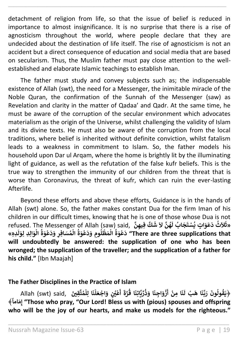detachment of religion from life, so that the issue of belief is reduced in importance to almost insignificance. It is no surprise that there is a rise of agnosticism throughout the world, where people declare that they are undecided about the destination of life itself. The rise of agnosticism is not an accident but a direct consequence of education and social media that are based on secularism. Thus, the Muslim father must pay close attention to the wellestablished and elaborate Islamic teachings to establish Iman.

\_\_\_\_\_\_\_\_\_\_\_\_\_\_\_\_\_\_\_\_\_\_\_\_\_\_\_\_\_\_\_\_\_\_\_\_\_\_\_\_\_\_\_\_\_\_\_\_\_\_\_\_\_\_\_\_\_\_\_\_\_\_\_\_\_\_\_\_\_\_

The father must study and convey subjects such as; the indispensable existence of Allah (swt), the need for a Messenger, the inimitable miracle of the Noble Quran, the confirmation of the Sunnah of the Messenger (saw) as Revelation and clarity in the matter of Qadaa' and Qadr. At the same time, he must be aware of the corruption of the secular environment which advocates materialism as the origin of the Universe, whilst challenging the validity of Islam and its divine texts. He must also be aware of the corruption from the local traditions, where belief is inherited without definite conviction, whilst fatalism leads to a weakness in commitment to Islam. So, the father models his household upon Dar ul Arqam, where the home is brightly lit by the illuminating light of guidance, as well as the refutation of the false kufr beliefs. This is the true way to strengthen the immunity of our children from the threat that is worse than Coronavirus, the threat of kufr, which can ruin the ever-lasting Afterlife.

Beyond these efforts and above these efforts, Guidance is in the hands of Allah (swt) alone. So, the father makes constant Dua for the firm Iman of his children in our difficult times, knowing that he is one of those whose Dua is not refused. The Messenger of Allah (saw) said, **ِ ن ِفيه ك َ ش َ َل ن ه ُ َ ل اب ُ َ ج َ ت س ْ ٍت ي َ و َ ع َ د ث َ ال ُ ا )**<br>" **َ »ث َ** حَسِبَ الْمَطْلُومِ وَدَعْوَةُ الْمُسَافِرِ وَدَعْوَةُ الْمُسَافِرِ وَدَعْوَةُ الْوَالِدِ لِوَلَدِهِ»<br>There are three supplications that " دَعْوَةُ الْمَظْلُومِ وَدَعْوَةُ الْمُسَافِرِ وَدَعْوَةُ الْوَالِدِ لِوَلَدِهِ» **ْ ُ ْ ُ ْ** ا<br>ما **ْ ُ ْ ْ ُ ْ will undoubtedly be answered: the supplication of one who has been wronged; the supplication of the traveller; and the supplication of a father for his child."** [Ibn Maajah]

#### **The Father Disciplines in the Practice of Islam**

 $\ast$ فِيَقُولُونَ رَبَّنَا هَبْ لَنَا مِنْ أَزْوَاجِنَا وَذُرِّيَّاتِنَا قُرَّةَ أَعْيُنٍ وَاجْعَلْنَا لِلْمُتَّقِينَ), Allah (swt) said **ُ ْ ْ ْ ن ْ َ َ أ ة ر ا ق َ ِن ات ي ِّ ر ذ َ ا و َ ِجن َ و ز ُ ُ ا ْ َ أ ْ ِمن ا َ ن َ**  $\vec{a}$ فولُونَ رَبَّنَا هَبْ لَ **ُ ُ ً اما َ مِ** ﴾ **إ" Those who pray, "Our Lord! Bless us with (pious) spouses and offspring who will be the joy of our hearts, and make us models for the righteous."**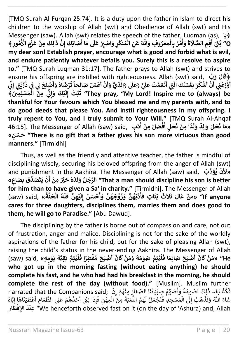[TMQ Surah Al-Furqan 25:74]. It is a duty upon the father in Islam to direct his children to the worship of Allah (swt) and Obedience of Allah (swt) and His Messenger (saw). Allah (swt) relates the speech of the father, Luqman (as), **ا**﴿ **َ ي** ِ<br>لِكَ مِنْ عَ **ْ ٰ َ** د ا Allall (Sw<br>**أَصَابَكَ إِنَّ ذ**َ **إ ا أ َ م َ ل َ ع ي ِ اص ْ َ ِ و ر ْ َ** -<br>وَأَمُرْ بِالْمَعْرُوفِ وَانْهَ عَنِ الْمُنكَ **ُ ْ ْ ُ ْ ْ ْ ُ ْ أ َ ة َ َل ِم الص ِق** ressenger (saw). Anan (swt) relates the speech or the lather, Luqman (as),<br>بُنِّيَّ أَقِمِ الصَّلَاةَ وَأْمُرْ بِالْمَعْرُوفِ وَانْهَ عَنِ الْمُنْكَرِ وَاصْبِرْ عَلَى مَا أَصَابَكَ إِنَّ ذَٰلِكَ مِنْ عَزْمِ الْأُمُورِ **أ ي ُ ُ ُ ْ األ ِ م O "ز** ﴾ **ْ my dear son! Establish prayer, encourage what is good and forbid what is evil, and endure patiently whatever befalls you. Surely this is a resolve to aspire to."** [TMQ Surah Luqman 31:17]. The father prays to Allah (swt) and strives to ensure his offspring are instilled with righteousness. Allah (swt) said, ﴿ **بِّ َ ر َ ال َ ق َ ر ك ش ُ ْ َ أ ْ ن** وقاي لون<br>ورياضي أ **أ ي ْ ْ َ** stare instined with righteousness. Anan (swt) said, یا isure ins onspring are instined with righteousness. Anan<br>أَوْزِعْنِي أَنْ أَشْكُرَ نِعْمَتَكَ الَّتِي أَنْعَمْتَ عَلَيَّ وَعَلَى وَالِدَيَّ وَأَنْ أَعْمَلَ صَالحاً تَ **إ ي ُ ن ْ أ ُ ْ َ ت ً ِحا ال صَ لَ َ م ع ْ َ أ ْ ن َ َ و ي َ ِ د ال َ و أ** .<br>آ **ل َ ع َ و َ ي ل َ ع تَ م َ ع ن ْْ َ ّٰت ِ َّ أ ي** د (Sulc)<br>نِعْمَتَكَ الَّ **ْ ي ِّ ن ّن َ ِ ِمْين ل س ْ م ال َ ِمن ُ ْ ي ِّ ن** ِّ<br>ي<sub>ْ</sub>كَ وَإِنِّي **إ ْ َ** لِ الْمَسِيَّ الْمَسْلِمِينَ ﴾ [السياسات التي يوسي المرتب السياسات التي يوسي المُسْلِمِينَ ﴾ [السياسات 1982]<br>They pray, "My Lord! Inspire me to (always) be فَبْتُ إِلَيْكَ وَإِنِّي مِنَ الْمُسْلِمِينَ **إ ْ ُ thankful for Your favours which You blessed me and my parents with, and to do good deeds that please You. And instil righteousness in my offspring. I truly repent to You, and I truly submit to Your Will."** [TMQ Surah Al-Ahqaf **َ َ** 46:15]. The Messenger of Allah (saw) said, **ٌ ِ د ال َ و لَ َ ح َ ·**<br>«هَا نَحَلَ وَالِلَّا وَلَدًا مِنْ نَحْلٍ أَفْضَلَ مِنْ أَدَبٍ<br>· **أ ْ ْ ْ َ ن ِمن ً د ْ ا َ ل َ و » ٍ ن سَ َ ح" There is no gift that a father gives his son more virtuous than good manners."** [Tirmidhi]

\_\_\_\_\_\_\_\_\_\_\_\_\_\_\_\_\_\_\_\_\_\_\_\_\_\_\_\_\_\_\_\_\_\_\_\_\_\_\_\_\_\_\_\_\_\_\_\_\_\_\_\_\_\_\_\_\_\_\_\_\_\_\_\_\_\_\_\_\_\_

Thus, as well as the friendly and attentive teacher, the father is mindful of disciplining wisely, securing his beloved offspring from the anger of Allah (swt) and punishment in the Aakhira. The Messenger of Allah (saw) said, **َب ِّ د َ ؤ ي ن ُ ْ** /<br>ع **»أل** ana pamsume<br>نْ يَتَصَدَّقَ بِصَاعٍ»<br>-**ْ َ أ ْ ِمن ْي ٌْ َ خ ه َ د ُ َ ل َ و لُ ج الر" That a man should discipline his son is better ُ for him than to have given a Sa' in charity."** [Tirmidhi]. The Messenger of Allah **َ** (saw) said, **» ة ن َ ج ال ه L**<br>2 **ْ ُ َ ل َ ف ِ ن ه ي ْ َ ل ِ إ َ ن سَ ح ْ َ َ و ن ه َ ج و َ ز َ و ن ه َ ب د أ أ ُ** ا<br>م **َ** ،،،،،،،،<br>بَنَاتٍ فَ **َ ث َ ال َ ث َ ال َ ع ن َ م" »If anyone ْ cares for three daughters, disciplines them, marries them and does good to them, he will go to Paradise."** [Abu Dawud].

The disciplining by the father is borne out of compassion and care, not out of frustration, anger and malice. Disciplining is not for the sake of the worldly aspirations of the father for his child, but for the sake of pleasing Allah (swt), raising the child's status in the never-ending Aakhira. The Messenger of Allah **َ َ** (saw) said, **»هِ ِ م و َ ي ْ َ ة ِقي َ ب ِتم ي ل ُ ْ َ** m the never ending Adkima.<br>لْيُتِمَّ صَوْمَهُ وَمَنْ كَانَ أَصْبَحَ مُفْطِرًا فَـ **ْ ُ أ ْ ُ ْ ُ ْ َ** mc wicssenger of Allan<br>**He «مَنْ گَانَ أَصْبَحَ صَائِمًا فَـ أ ْ who got up in the morning fasting (without eating anything) he should complete his fast, and he who had had his breakfast in the morning, he should complete the rest of the day (without food)."** [Muslim]. Muslim further complete the rest of the day (without lood). Indishing: Mashin<br>narrated that the Companions said; إِلَّهٌ نَصُومُهُ وَنُصَوِّمُ صِبْيَانَنَا الصِّغَارَ مِنْهُمْ إِنْ إ ء<br>م ँ<br>१ .<br>: ر ُ ا<br>و و<br>ا ٍ<br>بہ ن rar cne<br>كُنَّا بَعْدَ ذَ ر ا<br>م ن فَكُنَّا بَعْدَ ذَلِكَ نَصُومُهُ وَنَصَوِّمُ صِبْيَانَنَا الصِّغَارَ مِنْهُمْ إِنْ ` that the Companions said;<br>يَا سَاتَّكُ ذَلَّا يَسْأَلُونَ أَنَّا الصَّفَائِدُ الْفُرْوَةَ مِنْ أَنَّا وَإِنَّا يَتَمَرَّأَ إِنَّا النَّا عت بند ديت حبوب وتصور عبيد المستودة المستودة والمستودة والمستمر المستمر المستمر المستمر المستمر المستمر المستم<br>شَاءَ اللَّهُ وَنَذْهَبُ إِلَى الْمَسْجِدِ فَنَجْعَلُ لَهُمُ اللُّعْبَةَ مِنَ الْعِهْنِ فَإِذَا بَكَى أَحَدُهُ ֦֧֦֧֦ .<br>م ،<br>' أ ن ذ إ **ہ**<br>: راء<br>مِنَ الْعِهْنِ فَ ر ا<br>أ ن ِ<br>جُبَةَ ر ر<br>أ هُمُ اللَّا و<br>۵ ُ ً<br>أ بَرْ..<br>نَجْعَلُ لَ ن الْمَسْجِدِ فَ ֦֧<sup>֟</sup> ر<br>آ نَّا بَنْدَ دَيِّنَ صَبْرُهِ وَصَبْرٍ ۖ عَنِيْدِيَّا مَا مُصْحَارٍ بِنَهْمٍ ۚ إِنَّ أَرْسَاءَ الْمَامَ الْمَام<br>ءَ اللَّهُ وَنَذْهَبُ إِلَى الْمَسْجِدِ فَنَجْعَلُ لَهُمُ اللُّعْبَةَ مِنَ الْعِهْنِ فَإِذَا بَكَى أَحَدُهُمْ ر ्<br>∧ ر ر أ ست الله عن السيس المستقرر المستقرر المستقرر المستقرر المستقرر المستقرر المستقرر المستقرر المستقرر المستقرر الم<br>We henceforth observed fast on it (on the day of 'Ashura) and, Allah بِحِنْدَ الإِفْطَارِ ر ر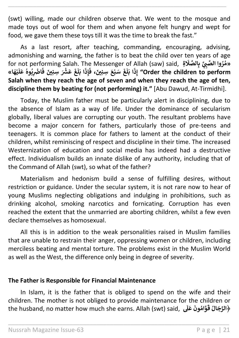(swt) willing, made our children observe that. We went to the mosque and made toys out of wool for them and when anyone felt hungry and wept for food, we gave them these toys till it was the time to break the fast."

\_\_\_\_\_\_\_\_\_\_\_\_\_\_\_\_\_\_\_\_\_\_\_\_\_\_\_\_\_\_\_\_\_\_\_\_\_\_\_\_\_\_\_\_\_\_\_\_\_\_\_\_\_\_\_\_\_\_\_\_\_\_\_\_\_\_\_\_\_\_

As a last resort, after teaching, commanding, encouraging, advising, admonishing and warning, the father is to beat the child over ten years of age for not performing Salah. The Messenger of Allah (saw) said,  **ّت ِ ي وا الص ر »م ِة ُ** ا<br>م **َ** ،<br>**بِالصَّلَا ا« َ ه ي ْ َ** مسر<br>**اضْرِبُوهُ عَلَ ُ ُ َ ف َ ِسِنْين َ ْش ْ َ ع َ غ َ ل َ ا ب َ ِ ذ إ َ ، ف َ ِسِنْين َ ع ب سَ َ غ ْ** ــ<br>آ **ل َ ا ب َ ِذ إ" Order the children to perform Salah when they reach the age of seven and when they reach the age of ten, discipline them by beating for (not performing) it."** [Abu Dawud, At-Tirmidhi].

Today, the Muslim father must be particularly alert in disciplining, due to the absence of Islam as a way of life. Under the dominance of secularism globally, liberal values are corrupting our youth. The resultant problems have become a major concern for fathers, particularly those of pre-teens and teenagers. It is common place for fathers to lament at the conduct of their children, whilst reminiscing of respect and discipline in their time. The increased Westernization of education and social media has indeed had a destructive effect. Individualism builds an innate dislike of any authority, including that of the Command of Allah (swt), so what of the father?

Materialism and hedonism build a sense of fulfilling desires, without restriction or guidance. Under the secular system, it is not rare now to hear of young Muslims neglecting obligations and indulging in prohibitions, such as drinking alcohol, smoking narcotics and fornicating. Corruption has even reached the extent that the unmarried are aborting children, whilst a few even declare themselves as homosexual.

All this is in addition to the weak personalities raised in Muslim families that are unable to restrain their anger, oppressing women or children, including merciless beating and mental torture. The problems exist in the Muslim World as well as the West, the difference only being in degree of severity.

#### **The Father is Responsible for Financial Maintenance**

In Islam, it is the father that is obliged to spend on the wife and their children. The mother is not obliged to provide maintenance for the children or the husband, no matter how much she earns. Allah (swt) said, ﴿ **َ** المونَ عَلَى **ُ َ ق ال َ ج ِّ الرُ**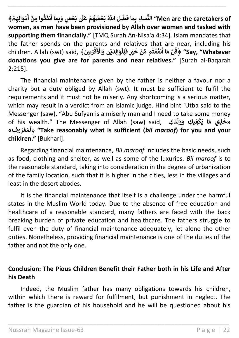**وا ق ُ َ نف َ بَعْضٍ وَبِمَ**ا أَ **ْ ٰ َ ل َ ع م ه َ ض ع َ ب اّٰلل َّ ُ لَ ض ْ ُ ْ َ** النِّسَاءِ بِمَا فَضَّلَ اللَّهُ بَعْضَهُمْ عَلَىٰ بَعْضٍ وَبِمَا أَنفَقُوا مِنْ أَمْوَالِهِمْ **ْ ْ َ أ ْ** ﴾ **منِ" Men are the caretakers of women, as men have been provisioned by Allah over women and tasked with supporting them financially."** [TMQ Surah An-Nisa'a 4:34]. Islam mandates that the father spends on the parents and relatives that are near, including his children. Allah (swt) said, ﴿ **َ ْين ِ ب َ ر ق ْ َ ْ** .<br>لِلْوَالِدَيْنِ وَالْأَ **ْ ْ َ ٍ ف ْي ْ َ خ ن ِّ م م ت ق ْ ُ ْ َ نف َ ا أ َ م لْ** ﴾ **ق" Say, "Whatever ُ donations you give are for parents and near relatives."** [Surah al-Baqarah 2:215].

\_\_\_\_\_\_\_\_\_\_\_\_\_\_\_\_\_\_\_\_\_\_\_\_\_\_\_\_\_\_\_\_\_\_\_\_\_\_\_\_\_\_\_\_\_\_\_\_\_\_\_\_\_\_\_\_\_\_\_\_\_\_\_\_\_\_\_\_\_\_

The financial maintenance given by the father is neither a favour nor a charity but a duty obliged by Allah (swt). It must be sufficient to fulfil the requirements and it must not be miserly. Any shortcoming is a serious matter, which may result in a verdict from an Islamic judge. Hind bint `Utba said to the Messenger (saw), "Abu Sufyan is a miserly man and I need to take some money of his wealth." The Messenger of Allah (saw) said, **كِ َ د َ ل َ و َ ِك و ِفي ك َ ا ي َ ِذي م »خ ْ ُ و ِف« ر ع َ م ال ِ ب" Take reasonably what is sufficient (***bil maroof***) for you and your ُ ْ ْ children."** [Bukhari].

Regarding financial maintenance, *Bil maroof* includes the basic needs, such as food, clothing and shelter, as well as some of the luxuries. *Bil maroof* is to the reasonable standard, taking into consideration in the degree of urbanization of the family location, such that it is higher in the cities, less in the villages and least in the desert abodes.

It is the financial maintenance that itself is a challenge under the harmful states in the Muslim World today. Due to the absence of free education and healthcare of a reasonable standard, many fathers are faced with the back breaking burden of private education and healthcare. The fathers struggle to fulfil even the duty of financial maintenance adequately, let alone the other duties. Nonetheless, providing financial maintenance is one of the duties of the father and not the only one.

#### **Conclusion: The Pious Children Benefit their Father both in his Life and After his Death**

Indeed, the Muslim father has many obligations towards his children, within which there is reward for fulfilment, but punishment in neglect. The father is the guardian of his household and he will be questioned about his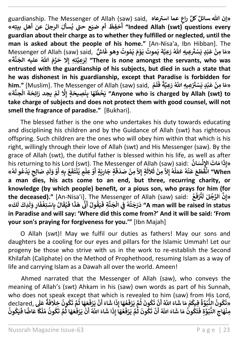guardianship. The Messenger of Allah (saw) said, **عاه عما اسي ٰ راع كل »إن هللاَسائلٌ** ع عَمَّة السَّرِيْعَة ,salu (saw) salu<br>**أَحَفِظَ أم ضيَع ح**ق**َّ َ ِل بيِت أ ه« عن أه الرجلُ َ سأل ي" Indeed Allah (swt) questions every ُ guardian about their charge as to whether they fulfilled or neglected, until the man is asked about the people of his home."** [An-Nisa'a, Ibn Hibban]. The Messenger of Allah (saw) said, **شٌّ ا َ وهوغ وت ُ م َ ي َ م و َ ي موت ُ َ ة ي ِعي َ ُهللا <sup>ر</sup> ِعيِه ُ ْ َ ي ٰ س ْ َ ٍد ي ب َ ع ِمن ا َ »م ْ ْ » َ** مَّسْ بِنِي سَمَّاتِ بِسَوْتِ يَبْتَوْتِ يَبْتَوْتِ رَسُوْ عَشَّ , الْعَالَمُ الْمَسَامَةِ الْكَمَام<br>There is none amongst the servants, who was " لِرَعِيَّتِهِ إِلا حَرَّمَ اللهُ عليه الجَنَّةَ **entrusted with the guardianship of his subjects, but died in such a state that he was dishonest in his guardianship, except that Paradise is forbidden for him."** [Muslim]. The Messenger of Allah (saw) said, **ْ م َ ل َ ف ً** aradise 15 Torbidden 101<br>«مَا مِنْ عَبْدٍ يَسْتَرْعِيهِ اللَّهُ رَعِيَّةً **ْ ْ ْ َ يجد ر م ْ َ ل**  مَسْسِمِينَ السَّارِ (السَّارِ) السَّارِ (السَّارِ) "Anyone who is charged by Allah (swt) to **ْ ُ ْ take charge of subjects and does not protect them with good counsel, will not smell the fragrance of paradise."** [Bukhari].

\_\_\_\_\_\_\_\_\_\_\_\_\_\_\_\_\_\_\_\_\_\_\_\_\_\_\_\_\_\_\_\_\_\_\_\_\_\_\_\_\_\_\_\_\_\_\_\_\_\_\_\_\_\_\_\_\_\_\_\_\_\_\_\_\_\_\_\_\_\_

The blessed father is the one who undertakes his duty towards educating and disciplining his children and by the Guidance of Allah (swt) has righteous offspring. Such children are the ones who will obey him within that which is his right, willingly through their love of Allah (swt) and His Messenger (saw). By the grace of Allah (swt), the dutiful father is blessed within his life, as well as after his returning to his Lord (swt). The Messenger of Allah (saw) said: **ُ ان سَ ن اإل اتَ َ ا م ْ ِ َ ِذ »إ ُ ٍم ي ِعل و ْ ْ َ ٍة أ َ ي ِ ار َ ٍة ج َ ق َ د صَ ِمن َِل ٍة إ ْ َ ث َ ال َ ث ِمن َِل ه ل َ م َ ع ه ن َ ع َ ع َ ط ْ إ** ا<br>م **ُ ُ ْ َ** انْقَطَعَ عَنْهُ عَمَلَهُ إِلاَّ مِنْ ثَلاَثَةٍ إِلاَّ مِنْ صَدَقَةٍ جَارِبَةٍ أَوْ عِلْمٍ يُنْتَفَعُ بِهِ أَوْ وَلاٍ صَالِح يَدْعُو لَهُ **ْ ُ َ** ہ عصالح يَدْعُو لَا<br>لَا ٍ صَالِحِ يَدْعُو لَا<br>. **ُ ْ ل َ و و ْ َ ِِه أ ب ع ُ َ** سِمِيَّةِ السَّنَّةُ عَمَلُهُ إِلاَّ مِنْ ثَلاَثَةٍ إِلاَّ مِنْ صَدَاقَةٍ جَارِيَةٍ أَوْ عِلْمٍ يُنْتَفَعُ بِهِ أَوْ وَلَدٍ صَالِحٍ يَدْعُو لَهُ»<br>When» انْقَطَعَ عَنْهُ عَمَلُهُ إِلاَّ مِنْ ثَلاَثَةٍ إِلاَّ مِنْ صَدَاقَةٍ **ْ a man dies, his acts come to an end, but three, recurring charity, or knowledge (by which people) benefit, or a pious son, who prays for him (for the deceased)."** [An-Nisa'i]. The Messenger of Allah (saw) said: **ُ ع َ ف ي ٰ َ ْ** ابع **ل لَ ج الر ِن »إ ُ » كَ َ ل َ ِدك َ ل َ ِ و ار َ ف ِتغ اسْ ِ ب ال ْ ُ َ ق ي ُ َ ا ف َ ذ َ ه ن ّن َ أ ُ ول ق َ ي ُ َ** لِيَّةٍ بَعْض حَقِيقٍ لِلْجَنَّةِ فَي الْجَنَّةِ فَي الْجَنَّةِ فَي الْجَنَّةِ فَي الْجَنَّةِ فَي الْجَنَّةِ **ْ ن ُ ُ in Paradise and will say: 'Where did this come from?' And it will be said: 'From your son's praying for forgiveness for you.'"** [Ibn Majah]

O Allah (swt)! May we fulfil our duties as fathers! May our sons and daughters be a cooling for our eyes and pillars for the Islamic Ummah! Let our progeny be those who strive with us in the work to re-establish the Second Khilafah (Caliphate) on the Method of Prophethood, resuming Islam as a way of life and carrying Islam as a Dawah all over the world. Ameen!

Ahmed narrated that the Messenger of Allah (saw), who conveys the meaning of Allah's (swt) Ahkam in his (saw) own words as part of his Sunnah, who does not speak except that which is revealed to him (saw) from His Lord, declared, **َ ِخَل ون ك ُ ُ َ ت م ا ث َ ه َ ع ُ َ ف ر َ ي ن ْ ْ َ َ اء أ َ ا ش َ ِذ ا إ َ ه ع ُ َ ف ر َ ي م ث َ ون ك ْ ُ ُ َ ت ن ْ َ اّٰلل َّ ُ َ اء أ َ** لام النَّبُوَّةُ فِيكُمْ مَا شَ*ّ* **ْ ُ ُ ُ** ا<br>و ا<br>مخ **َ »ت َ ل َ ع ٌ ة َ** فِيكُمْ مَا شَاءَ اللّهُ أَنْ تَكُونُ ثُمَّ يَرْفَعُهَا إِذَا شَاءَ أَنْ يَرْفَعَهَا ثُمَّ تَكُونُ خِلافَةً عَلَى ared,<br>فَيَكُمْ فَي عَامَ السَّائ<sup>ِ</sup> أَنَّهُ يَكُمْ وَ فَي عَامَ اللَّهُ عَلَيْهِ الْمَوْجَعَةِ وَ أَنْ تَكُ  **م ا ث َ ه َ ع ف ر َ ي ن اّٰلل َّ ُ َ اء ُ ْ ْ أ َ ا ش َ** لِّكونَ ثُمَّ يَرْفَعُهَا إِذَ<br>كُونَ ثُمَّ يَرْفَعُهَا إِذَ **ُ ْ ُ ُ َ** .<br>اءَ اللَّهُ أَنْ تَ<sub>َ</sub> **ْ أ َ** «عَتَّوَنَّ الْعَبَوْدِ عِيسًا مَا مَسَمَّا اللَّهُ أَنْ تَكُونَ ثُمَّ يَرْفَعُهَا إِذَا شَاءَ اللَّهُ أَنْ يَرْفَعَهَا ثُمَّ تَكُونُ مُلْكًا عَاضًا فَيَكُونُ<br>مِنْهَاجِ النُّبُوَّةِ فَتَكُونُ مَا شَاءَ اللَّهُ أَنْ تَكُون ا<br>• **ُ ُ ْ ُ ُ ْ ُ ُ ُ َ ت**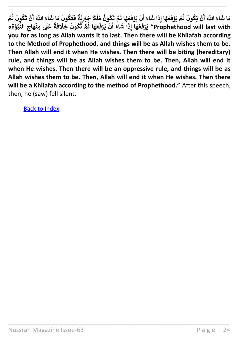**ُ م ون ك ُ ُ َ ت م ا ث َ ه َ ع ُ َ ف ر َ ي ن ْ ْ َ َ اء أ َ ا ش َ ِذ ا إ َ ه ع ُ َ ف ر َ ي م ث َ ون ك َ ي ن ْ ُ ُ ْ َ اّٰلل َّ ُ َ اء أ َ** مَا شَاءَ اللَّهُ أَنْ يَكُونَ ثُمَّ يَرْفَعُهَا إِذَا شَاءَ أَنْ يَرْفَعَهَا ثُمَّ تَكُونُ مُلْكًا جَبْرِيَّةً فَتَكُونُ **ُ ُ َ ف ً** لْكًا جَبْرِيَّةً فَتَكُونُ مَا شَاءَ اللَّهُ أَنْ تَكُونَ ثُمَّ<br>مَا جَبِّرِيَّةُ **ْ ُ ُ َ ت ن ْ َ اّٰلل َّ ُ َ اء أ َ ْكُونُ مُلْكًا جَبْرِيَّةً فَتَكُونُ مَا شَّـ<br>أَ أَ مَفَـَـدَا فُـَّةٍ عَمْ ـ فَيَلْفَقَ عَلَيْهِ مِنْ أَحِفَةً ة« و ب ُّ الن ِ اج َ ه ِمن ُ ْ َ ل َ ع ً ة َ ف َ ِخَل ون ك ُ ُ َ ت م ا ث َ ه َ ع ُ َ ف ر َ ي ن َ اء ْ ْ أ َ ا ش َ ِذ ا إ َ ه ع ُ َ ف ر َ ي" Prophethood will last with ْ you for as long as Allah wants it to last. Then there will be Khilafah according to the Method of Prophethood, and things will be as Allah wishes them to be. Then Allah will end it when He wishes. Then there will be biting (hereditary) rule, and things will be as Allah wishes them to be. Then, Allah will end it when He wishes. Then there will be an oppressive rule, and things will be as Allah wishes them to be. Then, Allah will end it when He wishes. Then there will be a Khilafah according to the method of Prophethood."** After this speech, then, he (saw) fell silent.

\_\_\_\_\_\_\_\_\_\_\_\_\_\_\_\_\_\_\_\_\_\_\_\_\_\_\_\_\_\_\_\_\_\_\_\_\_\_\_\_\_\_\_\_\_\_\_\_\_\_\_\_\_\_\_\_\_\_\_\_\_\_\_\_\_

\_\_\_\_\_\_\_\_\_\_\_\_\_\_\_\_\_\_\_\_\_\_\_\_\_\_\_\_\_\_\_\_\_\_\_\_\_\_\_\_\_\_\_\_\_\_\_\_\_\_\_\_\_\_\_\_\_\_\_\_\_\_\_\_\_\_\_\_\_\_

[Back to Index](#page-1-0)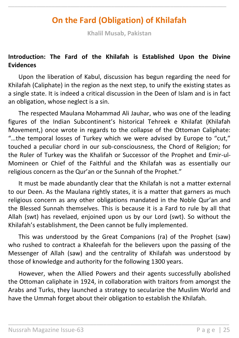# **On the Fard (Obligation) of Khilafah**

<span id="page-24-0"></span>\_\_\_\_\_\_\_\_\_\_\_\_\_\_\_\_\_\_\_\_\_\_\_\_\_\_\_\_\_\_\_\_\_\_\_\_\_\_\_\_\_\_\_\_\_\_\_\_\_\_\_\_\_\_\_\_\_\_\_\_\_\_\_\_\_\_\_\_\_\_

**Khalil Musab, Pakistan**

#### **Introduction: The Fard of the Khilafah is Established Upon the Divine Evidences**

Upon the liberation of Kabul, discussion has begun regarding the need for Khilafah (Caliphate) in the region as the next step, to unify the existing states as a single state. It is indeed a critical discussion in the Deen of Islam and is in fact an obligation, whose neglect is a sin.

The respected Maulana Mohammad Ali Jauhar, who was one of the leading figures of the Indian Subcontinent's historical Tehreek e Khilafat (Khilafah Movement,) once wrote in regards to the collapse of the Ottoman Caliphate: "…the temporal losses of Turkey which we were advised by Europe to "cut," touched a peculiar chord in our sub-consciousness, the Chord of Religion; for the Ruler of Turkey was the Khalifah or Successor of the Prophet and Emir-ul-Momineen or Chief of the Faithful and the Khilafah was as essentially our religious concern as the Qur'an or the Sunnah of the Prophet."

It must be made abundantly clear that the Khilafah is not a matter external to our Deen. As the Maulana rightly states, it is a matter that garners as much religious concern as any other obligations mandated in the Noble Qur'an and the Blessed Sunnah themselves. This is because it is a Fard to rule by all that Allah (swt) has revelaed, enjoined upon us by our Lord (swt). So without the Khilafah's establishment, the Deen cannot be fully implemented.

This was understood by the Great Companions (ra) of the Prophet (saw) who rushed to contract a Khaleefah for the believers upon the passing of the Messenger of Allah (saw) and the centrality of Khilafah was understood by those of knowledge and authority for the following 1300 years.

However, when the Allied Powers and their agents successfully abolished the Ottoman caliphate in 1924, in collaboration with traitors from amongst the Arabs and Turks, they launched a strategy to secularize the Muslim World and have the Ummah forget about their obligation to establish the Khilafah.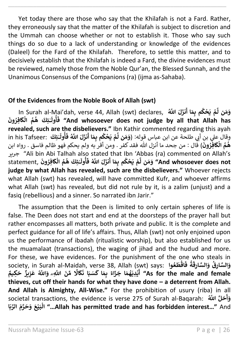Yet today there are those who say that the Khilafah is not a Fard. Rather, they erroneously say that the matter of the Khilafah is subject to discretion and the Ummah can choose whether or not to establish it. Those who say such things do so due to a lack of understanding or knowledge of the evidences (Daleel) for the Fard of the Khilafah. Therefore, to settle this matter, and to decisively establish that the Khilafah is indeed a Fard, the divine evidences must be reviewed, namely those from the Noble Qur'an, the Blessed Sunnah, and the Unanimous Consensus of the Companions (ra) (ijma as-Sahaba).

\_\_\_\_\_\_\_\_\_\_\_\_\_\_\_\_\_\_\_\_\_\_\_\_\_\_\_\_\_\_\_\_\_\_\_\_\_\_\_\_\_\_\_\_\_\_\_\_\_\_\_\_\_\_\_\_\_\_\_\_\_\_\_\_\_\_\_\_\_\_

#### **Of the Evidences from the Noble Book of Allah (swt)**

In Surah al-Mai'dah, verse 44, Allah (swt) declares, **ُ َّ للّٰا َ ل َ نز َ ا أ َ ِم م ب ك ح َ ي م ُ ْ ْ َّ ن ل َ م َ و** ـْئِكَ هُمُ الْكَافِرُونَ **ُ ْ ُ ُ ٰ َ ول أ ُ َ ف" And whosoever does not judge by all that Allah has revealed, such are the disbelievers."** Ibn Kathir commented regarding this ayah سبق السورية عن ابن عباس قوله: (وَمَن لَّمْ يَحْكُم بِمَا أَنزَلَ اللَّهُ فَأُولَـٰئِكَ :in his Tafseer<br>وقال علي بن أبي طلحة عن ابن عباس قوله: (وَمَن لَّمْ يَحْكُم بِمَا أَنزَلَ اللَّهُ فَأُولَـٰئِكَ :in his Tafseer **ٰ َ ول أ ُ َ ف اّٰلل َّ ُ َ ل َ نز َ ا أ َ ِم م ب ك ح َ ي م ُ ْ ْ َّ ن ل َ م َ و َ ون ِفر ا َ ك ال م ه** ( قال : من جحد ما أنزل هللا فقد كفر . ومن أقر به ولم يحكم فهو ظالم فاسق . رواه ابن .<br>• **ْ ُ** ا<br>ا جرير" Ali bin Abi Talhah also stated that Ibn 'Abbas (ra) commented on Allah's **َ** statement, **َ ون ِفر ا َ ك ال م ه ِئكَ ُ ْ ُ ُ ٰ َ ول أ ُ َ** .<br>مْ يَحْكُم بِمَا أَنزَلَ اللَّهُ فَـ **ُ ْ ْ َّ ن ل َ م َ و" And whosoever does not judge by what Allah has revealed, such are the disbelievers."** Whoever rejects what Allah (swt) has revealed, will have committed Kufr, and whoever affirms what Allah (swt) has revealed, but did not rule by it, is a zalim (unjust) and a fasiq (rebellious) and a sinner. So narrated ibn Jarir."

The assumption that the Deen is limited to only certain spheres of life is false. The Deen does not start and end at the doorsteps of the prayer hall but rather encompasses all matters, both private and public. It is the complete and perfect guidance for all of life's affairs. Thus, Allah (swt) not only enjoined upon us the performance of ibadah (ritualistic worship), but also established for us the muamalaat (transactions), the waging of jihad and the hudud and more. For these, we have evidences. For the punishment of the one who steals in society, in Surah al-Maidah, verse 38, Allah (swt) says: **وا ع َ ط اق ُ ْ َ ف ة ُ َ** ...<br>وَالسَّارِقُ وَالسَّارِقَ ا<br>م سنة اللَّهِ وَاللَّهُ ُ **ً اَل َ ك َ ا ن َ ب سَ َ ا ك َ ِم ب ً اء َ ز َ ا ج َ م ه َ ِدي ي ُ ْ َ ٌ ِكيم َ ح ٌ يز ِ ز َ ع" As for the male and female أ thieves, cut off their hands for what they have done – a deterrent from Allah. And Allah is Almighty, All-Wise."** For the prohibition of usury (riba) in all **َ** societal transactions, the evidence is verse 275 of Surah al-Baqarah: **ُ َّ للّٰا ل َ ح َ و أ ا َ ب ِّ الر َ م ر َ ح َ و َ ع ي َ ب ال..." Allah has permitted trade and has forbidden interest…"** And **ْ ْ**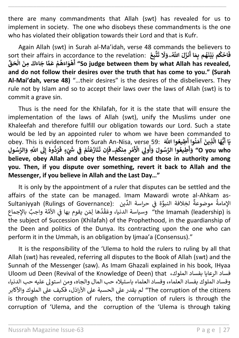there are many commandments that Allah (swt) has revealed for us to implement in society. The one who disobeys these commandments is the one who has violated their obligation towards their Lord and that is Kufr.

\_\_\_\_\_\_\_\_\_\_\_\_\_\_\_\_\_\_\_\_\_\_\_\_\_\_\_\_\_\_\_\_\_\_\_\_\_\_\_\_\_\_\_\_\_\_\_\_\_\_\_\_\_\_\_\_\_\_\_\_\_\_\_\_\_\_\_\_\_\_

Again Allah (swt) in Surah al-Ma'idah, verse 48 commands the believers to sort their affairs in accordance to the revelation: **َ ت َ** ..<br>نزَلَ اللَّهُــوَلَا ا<br>۽ **ا أ َ ِم م ب ه َ ن ي َ م ب ك اح ُ ْ ُ ْ َ ف ِع ب ت َ ْ** حافظ المستمر المستمر المستمر المستمر المستمر المستمر المستمر المستمر المستمر المستمر المستمر المستمر<br>الصين المستمر الصين المستمر العام العين المستمر المستمر المستمر المستمر المستمر المستمر المستمر المستمر المستم **ْ ْ ُ ْ and do not follow their desires over the truth that has come to you." (Surah Al-Mai'dah, verse 48)** "…their desires" is the desires of the disbelievers. They rule not by Islam and so to accept their laws over the laws of Allah (swt) is to commit a grave sin.

Thus is the need for the Khilafah, for it is the state that will ensure the implementation of the laws of Allah (swt), unify the Muslims under one Khaleefah and therefore fulfill our obligation towards our Lord. Such a state would be led by an appointed ruler to whom we have been commanded to **َ َ** obey. This is evidenced from Surah An-Nisa, verse 59: **َ َّ للّٰا وا ِطيع وا أ ن َ آم َ ِذين ُ ُ َّ ا ال َ ه ُّ ي ا أ َ ي ُ ِطيع** ِّ الْعِيْعُوا اللهُ .coey. This is evidenced nom suran An-wisa, verse 39. هناك .<br>وَأَطِيعُوا الرَّسُولَ وَأُولِي الْأَهْرِ مِنكُمْ-فَإِن تَنَازَعْتُمْ فِي شَيْءٍ فَرُدُّوهُ إِلَى اللَّهِ وَالرَّسُولِ **أ َِل وه ُّ د ر إ ُ ُ َ ٍء ف ْش َ ِي ف م ت ع َ از َ ن ْ ي ن ْ ُ ْ َ ِن ت إ َ ۖ ف م ِمنك ِ ر م ْ ُ ْ َ ْ ِيَل األ و َ و َ ول سُ الر وا" O you who ُ أ believe, obey Allah and obey the Messenger and those in authority among you. Then, if you dispute over something, revert it back to Allah and the Messenger, if you believe in Allah and the Last Day…"**

It is only by the appointment of a ruler that disputes can be settled and the affairs of the state can be managed. Imam Mawardi wrote al-Ahkam assultaniyyah (Rulings of Governance): يَا المَّاسَدُ الدَّيْنَ - المُسَادِّ عَامْلاً بِهِ جراسة الدِّين ֦֧֦֧֦֧֦֧֦֧֦֧֦֧֦֧֦֧֦֧֦֧֜֜*֚* ا<br>پ موضوعة ة ا<br>پو .<br>the Imamah (leadership) is وسياسة الدنيا، وعَقْدُها لِمَن يقوم بها في الأُمَّة واجبٌ بالإِجماع ي ֦֧֦֧֦֧֦֧֦֧֦֧֦֧֧֚֝֬֓<u>֓</u> ّ, ر the subject of Succession (Khilafah) of the Prophethood, in the guardianship of the Deen and politics of the Dunya. Its contracting upon the one who can perform it in the Ummah, is an obligation by Ijmaa'a (Consensus)."

It is the responsibility of the 'Ulema to hold the rulers to ruling by all that Allah (swt) has revealed, referring all disputes to the Book of Allah (swt) and the Sunnah of the Messenger (saw). As Imam Ghazali explained in his book, IHyaa Uloom ud Deen (Revival of the Knowledge of Deen) that ،الملوك بفساد الرعايا فساد وفساد الملوك بفساد العلماء، وفساد العلماء باستيالء حب المال والجاه، ومن استوىل عليه حب الدنيا، The corruption of the citizens" لم يقدر على الحسبة على الأراذل، فكيف على الملوك والأكابر is through the corruption of rulers, the corruption of rulers is through the corruption of 'Ulema, and the corruption of the 'Ulema is through taking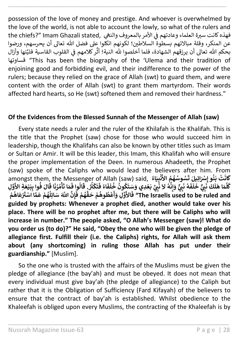possession of the love of money and prestige. And whoever is overwhelmed by the love of the world, is not able to account the lowly, so what of the rulers and the chiefs?" Imam Ghazali stated, يهذه كانت سيرة العلماء وعادتهم في الأمر بالمعروف والنعي ي ė عن المنكر، وقلة مبالاتهم بسطوة السلاطين؛ لكونهم اتكلوا على فضل الله تعالى أن يحرسهم، ورضوا ر كلامهم في القلوب القاسية فليَّنها وأزال ي ֦֧֦֧֦֧֦֧֦֧֦֧֦֧֧֦֧֦֧֚֚֡֜֜֜֓֜֜֜֜֜֞֓֡֬ َّ بحكم الله تعالى أن يرزقهم الشهادة، فلما أخلصوا لله النية؛ أث قساوتها" This has been the biography of the 'Ulema and their tradition of enjoining good and forbidding evil, and their indifference to the power of the rulers; because they relied on the grace of Allah (swt) to guard them, and were content with the order of Allah (swt) to grant them martyrdom. Their words affected hard hearts, so He (swt) softened them and removed their hardness."

\_\_\_\_\_\_\_\_\_\_\_\_\_\_\_\_\_\_\_\_\_\_\_\_\_\_\_\_\_\_\_\_\_\_\_\_\_\_\_\_\_\_\_\_\_\_\_\_\_\_\_\_\_\_\_\_\_\_\_\_\_\_\_\_\_\_\_\_\_\_

#### **Of the Evidences from the Blessed Sunnah of the Messenger of Allah (saw)**

Every state needs a ruler and the ruler of the Khilafah is the Khalifah. This is the title that the Prophet (saw) chose for those who would succeed him in leadership, though the Khalifahs can also be known by other titles such as Imam or Sultan or Amir. It will be this leader, this Imam, this Khalifah who will ensure the proper implementation of the Deen. In numerous Ahadeeth, the Prophet (saw) spoke of the Caliphs who would lead the believers after him. From amongst them, the Messenger of Allah (saw) said, **ُ اء َ ي ب ن** إِسْرَانِيلَ نَسُوْسُهُمْ الاَنْبِيَاءَ )<br>نَبِيٌّ خَلَفَهُ نَبِيٌّ وَإِنَّهُ لاَ نَبِيَّ بَعْدِي وَسَ<br>نَبِيٌّ خَلَفَهُ نَبِيٌّ وَإِنَّهُ لاَ نَبِيَّ بَعْدِي **ْ َ** اللَّهُ الرَّأَمُّ<br>تَسُوسُهُمُ الأَ **ُ** ۔<br>وُ **ت ِيلَ ْ َْسائ وإ ن َ ب ت ْ َ ُ ان َ ك ْ َ** ا<br>**ُهُ لاَ نَ**ّ **ُ ن ِ إ َ و ٌّ ّت ِ ي َ ن ه ُ َ ف َ ل َ خ ّت ِ ي ٌَّ بسو إينا**<br>لَمَكَ ذَ **ل َ ا ه َ م َّ** حَقَّ بِلَو إِمَّارِ<del>يِّيْنَا عَسَوْتَ فَيْ</del> الْأَرْضِيَّةِ الْمَالَّةُ الْمَالَّةُ الْمَالَّةُ اَلْمَالَّةُ ا<br>كُلَّمَا هَلَكَ نَبِيٌّ خَلَفَهُ نَبِيٌّ وَإِنَّهُ لاَ نَبِيَّ بَعْدِي وَسَتَكُونُ خُلَفَاءُ فَتَكْثُرُ **ُ ُ ُ ْ َ ف اء ُ َ ف َ** ىسى سىمىسى سىمىسى<br>**ت**كونُ خُلَفَاءُ فَتَكْثُرُ.ِ **ُ ُ ُ َ ن ر م أ ُ ُ ْ َ ا ت َ م َ وا ف ال ُ َ** قَالُوِا فَمَا تَأْمُرُنَا قُالَ فُوا بِبَيْعَةِ الْأَوَّلِ **َ** سندس على السنة<br>ال فُوا بِبَيْعَةِ الأَ **ْ ُ َ** ِسَتَكُونَ خَلَفَاءُ فَتَكَثَّرُ. قَالُوا فَمَا تَأْمُرُنَا قَ<br>ذَلائَةَلِّ عَلَّوْ يُلْمِدُوْ عَلَيْهُ فَلَدَّ سَتَّ **ْ م اه َ ع ُ ْ** حالوا صنة حامره حان طوا <del>بِنِيمَةِ</del><br>هُمْ فَإِنَّ اللَّهَ سَائِلُهُمْ عَمَّا اسْتَرْ؛ **ْ ُ ُ ْ ُ**  لِيَّةٍ فَالأَوَّلِّ وَأَعْظُوهُمْ حَقُّاً "The Israelis used to be ruled and **ْ ُ ُ ْ أ guided by prophets: Whenever a prophet died, another would take over his place. There will be no prophet after me, but there will be Caliphs who will increase in number." The people asked, "O Allah's Messenger (saw)! What do you order us (to do)?" He said, "Obey the one who will be given the pledge of allegiance first. Fulfill their (i.e. the Caliphs) rights, for Allah will ask them about (any shortcoming) in ruling those Allah has put under their guardianship."** [Muslim].

So the one who is trusted with the affairs of the Muslims must be given the pledge of allegiance (the bay'ah) and must be obeyed. It does not mean that every individual must give bay'ah (the pledge of allegiance) to the Caliph but rather that it is the Obligation of Sufficiency (Fard Kifayah) of the believers to ensure that the contract of bay'ah is established. Whilst obedience to the Khaleefah is obliged upon every Muslims, the contracting of the Khaleefah is by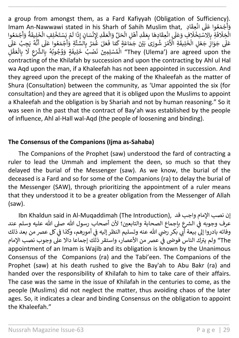a group from amongst them, as a Fard Kafiyyah (Obligation of Sufficiency). u group Hom amongst them, as a Fard Ranyyan (Osingation or Samelency )<br>جْمَعُوا عَلَى انْعِقَادِ , Imam An-Nawwawi stated in his Sharh of Sahih Muslim that ۔<br>ڊ ٍ<br>ِا ر<br>د ر.<br>وأ أ ة ن ف ن ر . سعود العاملين المستورد و المستورد المستورد المستورد المستورد المستورد المستورد المستورد المستورد المستورد<br>الْخِلَافَةِ بِالِاسْتِخْلَافِ وَعَلَى إِنْعِقَادِهَا بِعَقْدِ أَهْلِ الْحَلِّ وَالْعَقْدِ لِإِنْسَانٍ إِذَا لَ ۔<br>ا ا<br>ئا ا<br>أ ֦֧֦֧֦֧֦֧֦֧֦֧֦֧֦֧֦֧֦֧֦֧֦֧֧֦֧֧֦֧֦֧֧֦֧֜֓֜֓֜֓֓ ر ।<br>ह ا ل ن ِّ<br>هْلِ الْحَلِّ وَالْعَقْدِ لِإِنْسَانٍ إِذَ ر ر ֧֦֧֦֧֦֧֦֧֦֧֦֝֝֟ ֧֧֧֦֧֧֦֧֦֧֦֧֓֟֓֟֓֓֟֓֓֓֟֓֓֟֓֓֓֓֟֓֓֟֓֓֟֓֓֓֟֓֓֟֓֓ ر ا<br>ڳا ءِ<br>فِ وَعَلَى انْعِقَادِهَا بِعَقْدِ أَ<br>عَدَيَ تَسْتَغْفَّادِهَا بِعَقْدِ أَ ا<br>پر ֦֧֦֧֦֧֦֧֦֧֦֧֦֧֦֧֦֧֦֧֦֧֦֧֦֧֦֧֦֧֦֧ ن بِالِاسْتِخْلَافِ وَعَلَى انْعِقَادِهَا بِعَقْدِ أَهْلِ الْحَلِّ وَالْعَقْدِ لِإِنْسَانٍ إِذَا لَمْ يَسْتَخْلِفِ الْخَلِيفَةُ وَأَجْمَعُوا<br>بِالِاسْتِخْلَافِ وَعَلَى انْعِقَادِهَا بِعَقْدِ أَهْلِ الْحَلِّ وَالْعَقْدِ لِإِن ر ُ ر ا<br>وَأ أ مْرَ شُورَى<sup>ّ</sup> بَيْنَ جَمَّ : ُ ر ر ن مُتِدَرِّكَ بِكِرْسُوَعَدَرِّكِ رَحْيَ الْعِسَاعِينَ بِأَنْثَ جَمَاعَةٍ كَمَا فَعَلَ عُمَرُ بِالسَّنَّةِ وَأَجْمَعُوا عَلَى أَنَّهُ يَجِبُ عَلَى<br>عَلَى جَوَازِ جَعْلِ الْخَلِيفَةِ الْأَهْرَ شُورَى بَيْنَ جَمَاعَةٍ كَمَا فَ ْ ر .<br>ይ يستعيف العا<br>جُمَعُوا عَلَى أ أ ُ ر مَعْدِ رِبِيْسَانٍ إِذَا لَمْ<br>مَلَ عُمَرُ بِالسِّنَّةِ وَأ أ ُ ن معــن ر.<br>اعَةٍ كَمَا فَ ِ<br>بِالْعَقْلِ ر .<br>أ ن َلِّي جُورٍ بِيَّاسٍ مُحَسِّرٍ سَوْرِي بِيْنِ الْمَدْنِ وَبِينَ نَصْبُ خَلِيفَةٍ وَوُجُوبُهُ بِالشَّرْعِ لَا<br>They (Ulema') are agreed upon the الْمُسْلِمِينَ نَصْبُ خَلِيفَةٍ وَوُجُوبُهُ بِالشَّرْعِ لَا ر ،<br>ا ۔<br>' ٍّ ٍ<br>ڈ ٍ<br>۵ ؚ<br>ا contracting of the Khilafah by succession and upon the contracting by Ahl ul Hal wa Aqd upon the man, if a Khaleefah has not been appointed in succession. And they agreed upon the precept of the making of the Khaleefah as the matter of Shura (Consultation) between the community, as 'Umar appointed the six (for consultation) and they are agreed that it is obliged upon the Muslims to appoint a Khaleefah and the obligation is by Shariah and not by human reasoning." So it was seen in the past that the contract of Bay'ah was established by the people of influence, Ahl al-Hall wal-Aqd (the people of loosening and binding).

\_\_\_\_\_\_\_\_\_\_\_\_\_\_\_\_\_\_\_\_\_\_\_\_\_\_\_\_\_\_\_\_\_\_\_\_\_\_\_\_\_\_\_\_\_\_\_\_\_\_\_\_\_\_\_\_\_\_\_\_\_\_\_\_\_\_\_\_\_\_

## **The Consensus of the Companions (Ijma as-Sahaba)**

The Companions of the Prophet (saw) understood the fard of contracting a ruler to lead the Ummah and implement the deen, so much so that they delayed the burial of the Messenger (saw). As we know, the burial of the deceased is a Fard and so for some of the Companions (ra) to delay the burial of the Messenger (SAW), through prioritizing the appointment of a ruler means that they understood it to be a greater obligation from the Messenger of Allah (saw).

Ibn Khaldun said in Al-Muqaddimah (The Introduction), قد واجب لمامْا نصب إن عرف وجوبه في الشرع بإجماع الصحابة والتابعين؛ لأن أصحاب رسول الله صلى الله عليه وسلم عند ي ֦֧֢֦֧֦֧֦֧֧֢֧֧ׅ֧֦֧֚֚֚֚֚֬֜֡֜֓֡֓֜֜֜֬ وفاته بادروا إلى بيعة أبي بكر رضي الله عنه وتسليم النظر إليه في أمورهم، وكذا في كل عصر من بعد ذلك ي j ي ֦֧֦֧֦֧֦֧֦֧֦֧֦֧֧֦֧֦֧ׅ֪֪֪֪֪֦֚֚֡֜֜֜֓֜֜֜֜֓֡ .<br>The " ولم يترك الناس فوضى في عصر من الأعصار، واستقر ذلك إجماعا دالا على وجوب نصب الإمام ė appointment of an Imam is Wajib and its obligation is known by the Unanimous Consensus of the Companions (ra) and the Tabi'een. The Companions of the Prophet (saw) at his death rushed to give the Bay'ah to Abu Bakr (ra) and handed over the responsibility of Khilafah to him to take care of their affairs. The case was the same in the issue of Khilafah in the centuries to come, as the people (Muslims) did not neglect the matter, thus avoiding chaos of the later ages. So, it indicates a clear and binding Consensus on the obligation to appoint the Khaleefah."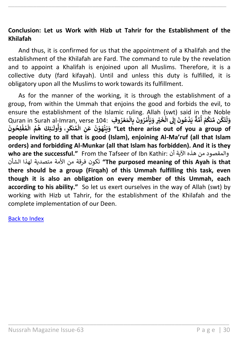#### **Conclusion: Let us Work with Hizb ut Tahrir for the Establishment of the Khilafah**

\_\_\_\_\_\_\_\_\_\_\_\_\_\_\_\_\_\_\_\_\_\_\_\_\_\_\_\_\_\_\_\_\_\_\_\_\_\_\_\_\_\_\_\_\_\_\_\_\_\_\_\_\_\_\_\_\_\_\_\_\_\_\_\_\_\_\_\_\_\_

And thus, it is confirmed for us that the appointment of a Khalifah and the establishment of the Khilafah are Fard. The command to rule by the revelation and to appoint a Khalifah is enjoined upon all Muslims. Therefore, it is a collective duty (fard kifayah). Until and unless this duty is fulfilled, it is obligatory upon all the Muslims to work towards its fulfillment.

As for the manner of the working, it is through the establishment of a group, from within the Ummah that enjoins the good and forbids the evil, to ensure the establishment of the Islamic ruling. Allah (swt) said in the Noble ensure the establishment of the islamle ruling. Allah (swe, sald in the Noble<br>وَلَتَكُنْ مِّنْكُمْ أُمَّةٌ يَدْعُونَ إِلَى الْخَيْرِ وَيَأْمُرُونَ بِالْمَعْرُوفِ . Quran in Surah al-Imran, verse 104 **ُ ُ ْ ُ ْ ْ ُ ُ ْ ْ** ا<br>1 **َِل َ ون ع د َ ي إ ُ ْ ٌ ة م ُ أ َ ون ِح ل ف م ال م ه ِئكَ ُ ْ ُ ْ ُ ُ ٰ َ** رِ ۽ وَأُولَ<br>.. **ُ أ َ نك م ال ِ ن َ ع َ ن و َ ه ن َ ي َ و" Let there arise out of you a group of ُ ْ ْ ْ people inviting to all that is good (Islam), enjoining Al-Ma'ruf (all that Islam orders) and forbidding Al-Munkar (all that Islam has forbidden). And it is they who are the successful."** From the Tafseer of Ibn Kathir: أن اآلية هذه من والمقصود الشأن لهذا متصدية األمة من فرقة تكون**" The purposed meaning of this Ayah is that there should be a group (Firqah) of this Ummah fulfilling this task, even though it is also an obligation on every member of this Ummah, each according to his ability."** So let us exert ourselves in the way of Allah (swt) by working with Hizb ut Tahrir, for the establishment of the Khilafah and the complete implementation of our Deen.

\_\_\_\_\_\_\_\_\_\_\_\_\_\_\_\_\_\_\_\_\_\_\_\_\_\_\_\_\_\_\_\_\_\_\_\_\_\_\_\_\_\_\_\_\_\_\_\_\_\_\_\_\_\_\_\_\_\_\_\_\_\_\_\_\_

#### [Back to Index](#page-1-0)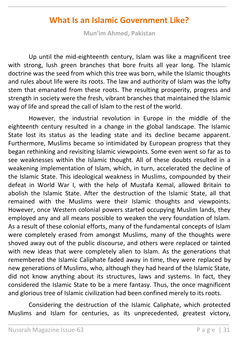## **What Is an Islamic Government Like?**

<span id="page-30-0"></span>\_\_\_\_\_\_\_\_\_\_\_\_\_\_\_\_\_\_\_\_\_\_\_\_\_\_\_\_\_\_\_\_\_\_\_\_\_\_\_\_\_\_\_\_\_\_\_\_\_\_\_\_\_\_\_\_\_\_\_\_\_\_\_\_\_\_\_\_\_\_

**Mun'im Ahmed, Pakistan**

Up until the mid-eighteenth century, Islam was like a magnificent tree with strong, lush green branches that bore fruits all year long. The Islamic doctrine was the seed from which this tree was born, while the Islamic thoughts and rules about life were its roots. The law and authority of Islam was the lofty stem that emanated from these roots. The resulting prosperity, progress and strength in society were the fresh, vibrant branches that maintained the Islamic way of life and spread the call of Islam to the rest of the world.

However, the industrial revolution in Europe in the middle of the eighteenth century resulted in a change in the global landscape. The Islamic State lost its status as the leading state and its decline became apparent. Furthermore, Muslims became so intimidated by European progress that they began rethinking and revisiting Islamic viewpoints. Some even went so far as to see weaknesses within the Islamic thought. All of these doubts resulted in a weakening implementation of Islam, which, in turn, accelerated the decline of the Islamic State. This ideological weakness in Muslims, compounded by their defeat in World War I, with the help of Mustafa Kemal, allowed Britain to abolish the Islamic State. After the destruction of the Islamic State, all that remained with the Muslims were their Islamic thoughts and viewpoints. However, once Western colonial powers started occupying Muslim lands, they employed any and all means possible to weaken the very foundation of Islam. As a result of these colonial efforts, many of the fundamental concepts of Islam were completely erased from amongst Muslims, many of the thoughts were shoved away out of the public discourse, and others were replaced or tainted with new ideas that were completely alien to Islam. As the generations that remembered the Islamic Caliphate faded away in time, they were replaced by new generations of Muslims, who, although they had heard of the Islamic State, did not know anything about its structures, laws and systems. In fact, they considered the Islamic State to be a mere fantasy. Thus, the once magnificent and glorious tree of Islamic civilization had been confined merely to its roots.

Considering the destruction of the Islamic Caliphate, which protected Muslims and Islam for centuries, as its unprecedented, greatest victory,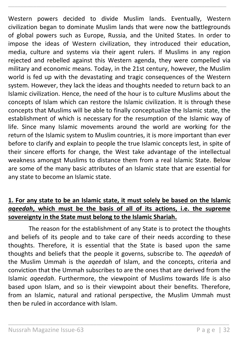Western powers decided to divide Muslim lands. Eventually, Western civilization began to dominate Muslim lands that were now the battlegrounds of global powers such as Europe, Russia, and the United States. In order to impose the ideas of Western civilization, they introduced their education, media, culture and systems via their agent rulers. If Muslims in any region rejected and rebelled against this Western agenda, they were compelled via military and economic means. Today, in the 21st century, however, the Muslim world is fed up with the devastating and tragic consequences of the Western system. However, they lack the ideas and thoughts needed to return back to an Islamic civilization. Hence, the need of the hour is to culture Muslims about the concepts of Islam which can restore the Islamic civilization. It is through these concepts that Muslims will be able to finally conceptualize the Islamic state, the establishment of which is necessary for the resumption of the Islamic way of life. Since many Islamic movements around the world are working for the return of the Islamic system to Muslim countries, it is more important than ever before to clarify and explain to people the true Islamic concepts lest, in spite of their sincere efforts for change, the West take advantage of the intellectual weakness amongst Muslims to distance them from a real Islamic State. Below are some of the many basic attributes of an Islamic state that are essential for any state to become an Islamic state.

\_\_\_\_\_\_\_\_\_\_\_\_\_\_\_\_\_\_\_\_\_\_\_\_\_\_\_\_\_\_\_\_\_\_\_\_\_\_\_\_\_\_\_\_\_\_\_\_\_\_\_\_\_\_\_\_\_\_\_\_\_\_\_\_\_\_\_\_\_\_

## **1. For any state to be an Islamic state, it must solely be based on the Islamic**  *aqeedah***, which must be the basis of all of its actions, i.e. the supreme sovereignty in the State must belong to the Islamic Shariah.**

The reason for the establishment of any State is to protect the thoughts and beliefs of its people and to take care of their needs according to these thoughts. Therefore, it is essential that the State is based upon the same thoughts and beliefs that the people it governs, subscribe to. The *aqeedah* of the Muslim Ummah is the *aqeedah* of Islam, and the concepts, criteria and conviction that the Ummah subscribes to are the ones that are derived from the Islamic *aqeedah*. Furthermore, the viewpoint of Muslims towards life is also based upon Islam, and so is their viewpoint about their benefits. Therefore, from an Islamic, natural and rational perspective, the Muslim Ummah must then be ruled in accordance with Islam.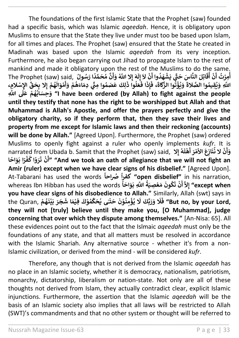The foundations of the first Islamic State that the Prophet (saw) founded had a specific basis, which was Islamic *aqeedah*. Hence, it is obligatory upon Muslims to ensure that the State they live under must too be based upon Islam, for all times and places. The Prophet (saw) ensured that the State he created in Madinah was based upon the Islamic *aqeedah* from its very inception. Furthermore, he also began carrying out Jihad to propagate Islam to the rest of mankind and made it obligatory upon the rest of the Muslims to do the same. manking and made it obligatory apok<br>**نَّ مُحَمَّدًا رَسُولُ The Prophet (saw) said***,* **ُ َ َ و ِال اّٰلل َّ ُ َ ه أ إ َ ل ِ إ َ َل ن ْ َ** اتِلَ النَّاسَ حَقَّ يَشْهَدُوا أَ<br>اتِلَ النَّاسَ حَقَّ يَشْهَدُوا أَ .<br>' **ْ َ ق ن ُ أ ْ** ingatory upon the rest or the ividshins to do the same<br>مِرْتُ أَنْ أُقَاتِلَ النَّاسَ حَتَّى يَشْهَدُوا أَنْ لاَ إِلَهَ إِلا اللَّهُ وَأَنَّ مُحَمَّدًا رَسُولُ **أ ُْ أ ُ ِال م ه إ ْ ُ َ ال َ و م ْ** الله وال محمدا رسوں<br>لِكَ عَصَمُوا مِنِّي دِمَاءَهُمْ وَأَ **أ ْ ُ ي ُ َ وا ذ ل َ ع ُ َ ا ف َ ِ ذ إ َ ، ف َ** دي<br>وَيُؤْتُوا الزَّكَاةَ **ُ ْ ُ َ** ِ<br>اللَّهِ وَيُقِيمُوا الصَّلاةَ وَيُؤْتُوا الزَّكَاةَ، فَإِذَا فَعَلُوا ذَلِكَ عَصَمُوا مِنٍّ دِمَاءَهُمْ وَأَمْوَالَهُمْ إِلا بِحَقِّ الإِسْلامِ، **ُ ُ** دیم<br>ا**لمات** اللهِ **ل َ ع م ه اب ِحسَ َ و" I have been ordered (by Allah) to fight against the people ْ ُ ُ until they testify that none has the right to be worshipped but Allah and that Muhammad is Allah's Apostle, and offer the prayers perfectly and give the obligatory charity, so if they perform that, then they save their lives and property from me except for Islamic laws and then their reckoning (accounts) will be done by Allah."** [Agreed Upon]. Furthermore, the Prophet (saw) ordered Muslims to openly fight against a ruler who openly implements *kufr*. It is **َ َ** narrated from Ubada b. Samit that the Prophet (saw) said, **ال ن َ ِ و ال ه ْ أ إ ُ َ ل ه َ ر األم َ ِع از َ ن ن ْ أ ْ ُ** . . . . . . . . . . . . . . . . . .<br>زوْا كُفْرًا بَوَاحًا **ْ ُ ْ َ ت ن ْ َ أ" "And we took an oath of allegiance that we will not fight an Amir (ruler) except when we have clear signs of his disbelief."** [Agreed Upon]. At-Tabarani has used the words **ً ُضاحا ً كفرا" open disbelief"** in his narration, Open disbeni<br>كُونَ مَعْصِيَةُ اللَّهِ بَوَاحَاً whereas Ibn Hibban has used the words **ُ ْ ُ َ ت ن ْ َ َِل إ" except when أ you have clear signs of his disobedience to Allah."** Similarly, Allah (swt) says in the Quran, **َ ح َ ن ـو ن ِ م ؤ ي ْ ُ ْ ُ َ** .<br>وَرَبِّكَ لَا **َ َل َ** ear signs of the abobedictice to Allam . Sim<br>فَلَا وَرَبِّكَ لَا يُؤْمِنُوْنَ حَتّى يُحَكِّمُوْكَ فِيْمَا شَجَرَ بَيْنَهُمْ **ْ ُ ْ َ ا ش َ م ِفي َ ك و م ِّ ك َ ح ى ي ّ ت" But no, by your Lord, ْ ْ ُ ُ ٰ they will not [truly] believe until they make you, [O Muhammad], judge concerning that over which they dispute among themselves."** [An-Nisa: 65]. All these evidences point out to the fact that the Islmaic *aqeedah* must only be the foundations of any state, and that all matters must be resolved in accordance with the Islamic Shariah. Any alternative source - whether it's from a non-Islamic civilization, or derived from the mind - will be considered *kufr*.

\_\_\_\_\_\_\_\_\_\_\_\_\_\_\_\_\_\_\_\_\_\_\_\_\_\_\_\_\_\_\_\_\_\_\_\_\_\_\_\_\_\_\_\_\_\_\_\_\_\_\_\_\_\_\_\_\_\_\_\_\_\_\_\_\_\_\_\_\_\_

Therefore, any though that is not derived from the Islamic *aqeedah* has no place in an Islamic society, whether it is democracy, nationalism, patriotism, monarchy, dictatorship, liberalism or nation-state. Not only are all of these thoughts not derived from Islam, they actually contradict clear, explicit Islamic injunctions. Furthermore, the assertion that the Islamic *aqeedah* will be the basis of an Islamic society also implies that all laws will be restricted to Allah (SWT)'s commandments and that no other system or thought will be referred to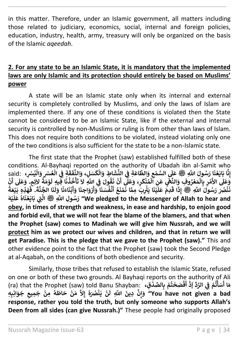in this matter. Therefore, under an Islamic government, all matters including those related to judiciary, economics, social, internal and foreign policies, education, industry, health, army, treasury will only be organized on the basis of the Islamic *aqeedah*.

\_\_\_\_\_\_\_\_\_\_\_\_\_\_\_\_\_\_\_\_\_\_\_\_\_\_\_\_\_\_\_\_\_\_\_\_\_\_\_\_\_\_\_\_\_\_\_\_\_\_\_\_\_\_\_\_\_\_\_\_\_\_\_\_\_\_\_\_\_\_

## **2. For any state to be an Islamic State, it is mandatory that the implemented laws are only Islamic and its protection should entirely be based on Muslims' power**

A state will be an Islamic state only when its internal and external security is completely controlled by Muslims, and only the laws of Islam are implemented there. If any one of these conditions is violated then the State cannot be considered to be an Islamic State, like if the external and internal security is controlled by non-Muslims or ruling is from other than laws of Islam. This does not require both conditions to be violated, instead violating only one of the two conditions is also sufficient for the state to be a non-Islamic state.

The first state that the Prophet (saw) established fulfilled both of these conditions. Al-Bayhaqi reported on the authority of Ubadah ibn al-Samit who conditions. Al baynaql Teported on the admonty of obda.<br>لَي السَّمْعِ وَالطَّاعَةِ فِي النَّشَاطِ وَالْكَسَلِ، وَالنَّفَقَةِ فِي الْعُسْرِ وَالنِّيسْرِ، said: **ْ ن ِ ْ** ا بَايَعْنَا ِرَسُولَ اللَّهِ ﷺ عَلَى **ْ**  مَسْسَدَ اللَّهِ صَلَّى السَّمْعِ وَالطَّاعَةِ فِي النَّشَاطِ وَالْكَسَلِ، وَالنَّفَقَةِ فِي الْعُسْرِ وَالْيُسْرِ،<br>إِنَّا بَايَعْنَا رَسُولَ اللَّهِ عَلَى السَّمْعِ وَالطَّاعَةِ فِي النَّشَاطِ وَالْكَسَلِ، وَالنَّفَقَةِ **ْ ْ ن َ ق َ ف الن َ ، و ُ ة َ م و ْ َ ِفيِه ل ا َ ن ذ خ أ ُ ُ ْ َ ت َ ِ َل اّٰلل َّ ِي ف َ ول ق ن ُ َ ن ن ْ ِي** "<br>آ **أ** رسون سي سي مسيح والصالح<br>هُرِ بِالْمَعْرُوفِ وَالنَّهْيِ عَنِ اَلْمُنْكَرِ، وَعَلَي<br>مَرْ بِالْمَعْرُوفِ وَالنَّهْيِ عَنَ **ْ ُ ْ ي ُ ْ ْ ْ** ا<br>: **األ َ** وَّعَلَى الأَمْرِ بِالْمَعْزُوفِ ۖ وَالنَّغْيِ عَنِ اَلْمُنْكَرِ، وَعَلِّى أَنْ نَقُولَ فِي اللَّهِ لاَ تَأْخُذُنَا فِيهِ لَوْمَةُ لاَئِمٍ. وَعَلَى أَنْ **ْ َ َ أ** عَلَّا مُسْتَكِّلِ وَعَلَّى أَنّْ نَقُولَ فِي اللَّهِ لاَ تَأْخُذُنَا فِيهِ لَوْمَةُ لاَئِمٍ. وَعَلَى<br>نَّهْيِ عَنِ الْمُنْكَرِ، وَعَلَّى أَنّْ نَقُولَ فِي اللَّهِ لاَ تَأْخُذُنَا فِيهِ لَوْمَةُ لاَئِمٍ. وَعَلَى **ا ِمم ِبَ ي ِ َ ا ي َ ن ي ْ ْ َ** .<br>ا قَدِمَ عَلَ **َ** ّ<br>نْصُرَ رَسُولَ اللَّهِ ﷺ إِذَ **ْ َ** وَحَكَّى الْأَسْرِ بِالْمَصْرُوتِ وَاللَّهِ عَلَيْنَا يَثْرِبَ مِمَّا نَمْنَعُ أَنْفُسَنَا وَأَزْوَاجِنَا وَأَبْنَاءَنَا وَلَنَا الجَّنَّةَ. فَهَذِهِ بَيْعَةُ<br>نَنْصُرَ رَسُولَ اللَّهِ ﷺ إِذَا قَدِمَ عَلَيْنَا يَثْرِبَ مِم **ُ ْ ة ن ا الج َ ن َ ل َ ا و َ** م من صوت ي الله عليه عنه.<br>هْنَعُ أَنْفُسَنَا وَأَزْوَاجِنَا وَأَبْنَاءَذَ **ْ أ أ ُ ْ أ ُ ْ َ ن َ ه ي ْ َ ل َ ع اه َ ن ع َ اي َ ب ّٰت ِ َّ ُ ْ ي ِ صلى الله عليه وسلم ال وِل اّٰلل َّ سُ َ ر" We pledged to the Messenger of Allah to hear and obey, in times of strength and weakness, in ease and hardship, to enjoin good and forbid evil, that we will not fear the blame of the blamers, and that when the Prophet (saw) comes to Madinah we will give him Nussrah, and we will protect him as we protect our wives and children, and that in return we will get Paradise. This is the pledge that we gave to the Prophet (saw)."** This and other evidence point to the fact that the Prophet (saw) took the Second Pledge at al-Aqabah, on the conditions of both obedience and security.

Similarly, those tribes that refused to establish the Islamic State, refused on one or both of these two grounds. Al Bayhaqi reports on the authority of Ali (ra) that the Prophet (saw) told Banu Shayban: **،قِ د الصِّ ِ ب م ت ح صَ ف ْ ْ ُ ْ ْ َ أ ْ ذ َ ِّ د الر ِي ف م ت أ سَ َ إ ن ْ** ا<br>" **ْ ا أ َ م ُ ه ُٰصَ ن َ ي ن ْ ْ َ** a السابع المسلم المسلم المسلم المسلمين المسلمين المسلمين المسلمين المسلمين المسلمين المسلمين المسلمين المسلمين<br>You have not given a bad" وَإِنَّ دِينَ اللَّهِ لَنْ يَنْصُرَهُ إِلاَّ مَنْ حَاطَهُ مِنْ جَمِيعِ جَوَانِبِهِ **إ ْ ُ ْ response, rather you told the truth, but only someone who supports Allah's Deen from all sides (can give Nussrah.)"** These people had originally proposed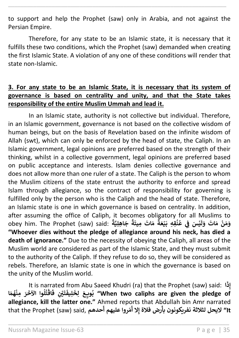to support and help the Prophet (saw) only in Arabia, and not against the Persian Empire.

\_\_\_\_\_\_\_\_\_\_\_\_\_\_\_\_\_\_\_\_\_\_\_\_\_\_\_\_\_\_\_\_\_\_\_\_\_\_\_\_\_\_\_\_\_\_\_\_\_\_\_\_\_\_\_\_\_\_\_\_\_\_\_\_\_\_\_\_\_\_

Therefore, for any state to be an Islamic state, it is necessary that it fulfills these two conditions, which the Prophet (saw) demanded when creating the first Islamic State. A violation of any one of these conditions will render that state non-Islamic.

#### **3. For any state to be an Islamic State, it is necessary that its system of governance is based on centrality and unity, and that the State takes responsibility of the entire Muslim Ummah and lead it.**

In an Islamic state, authority is not collective but individual. Therefore, in an Islamic government, governance is not based on the collective wisdom of human beings, but on the basis of Revelation based on the infinite wisdom of Allah (swt), which can only be enforced by the head of state, the Caliph. In an Islamic government, legal opinions are preferred based on the strength of their thinking, whilst in a collective government, legal opinions are preferred based on public acceptance and interests. Islam denies collective governance and does not allow more than one ruler of a state. The Caliph is the person to whom the Muslim citizens of the state entrust the authority to enforce and spread Islam through allegiance, so the contract of responsibility for governing is fulfilled only by the person who is the Caliph and the head of state. Therefore, an Islamic state is one in which governance is based on centrality. In addition, after assuming the office of Caliph, it becomes obligatory for all Muslims to obey him. The Prophet (saw) said: **ً** .<br>جَاهِلِيَّةً **ً ة َ ِميت اتَ َ م ٌ ة َ ع ي َ ِقِه ب ن ِي ع َس ف ي ْ ُ ُ ن ْ َ ل َ و اتَ َ م ن َ م َ و ْ "Whoever dies without the pledge of allegiance around his neck, has died a death of ignorance."** Due to the necessity of obeying the Caliph, all areas of the Muslim world are considered as part of the Islamic State, and they must submit to the authority of the Caliph. If they refuse to do so, they will be considered as rebels. Therefore, an Islamic state is one in which the governance is based on the unity of the Muslim world.

It is narrated from Abu Saeed Khudri (ra) that the Prophet (saw) said: **ا َ ِذ إ** الْقُتُلُوا الآخَرَ مِنْهُمَا **ُ ْ ُ ُ ْ َ ف ِ ـْي ْ َ ت ن َ ِيف ل َ ِخ ل َ ع ِ ويـ ـ ب" When two caliphs are given the pledge of ُ allegiance, kill the latter one."** Ahmed reports that Abdullah bin Amr narrated that the Prophet (saw) said, **حدھم َ روا علیھم أ ّ م َ ِال أ رض فالۃ إ َ It "الیحل لثالثة نفریکونون بأ**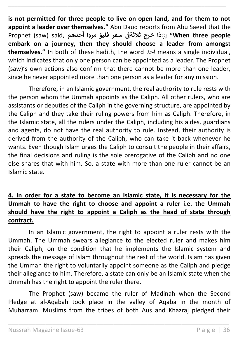**is not permitted for three people to live on open land, and for them to not appoint a leader over themselves."** Abu Daud reports from Abu Saeed that the Prophet (saw) said, **حدھم** إ **َ سفر فلیؤ مروا أ people three When "ِۚذا خرج ثالثةف ن embark on a journey, then they should choose a leader from amongst themselves."** In both of these hadith, the word احد means a single individual, which indicates that only one person can be appointed as a leader. The Prophet (saw)'s own actions also confirm that there cannot be more than one leader, since he never appointed more than one person as a leader for any mission.

\_\_\_\_\_\_\_\_\_\_\_\_\_\_\_\_\_\_\_\_\_\_\_\_\_\_\_\_\_\_\_\_\_\_\_\_\_\_\_\_\_\_\_\_\_\_\_\_\_\_\_\_\_\_\_\_\_\_\_\_\_\_\_\_\_\_\_\_\_\_

Therefore, in an Islamic government, the real authority to rule rests with the person whom the Ummah appoints as the Caliph. All other rulers, who are assistants or deputies of the Caliph in the governing structure, are appointed by the Caliph and they take their ruling powers from him as Caliph. Therefore, in the Islamic state, all the rulers under the Caliph, including his aides, guardians and agents, do not have the real authority to rule. Instead, their authority is derived from the authority of the Caliph, who can take it back whenever he wants. Even though Islam urges the Caliph to consult the people in their affairs, the final decisions and ruling is the sole prerogative of the Caliph and no one else shares that with him. So, a state with more than one ruler cannot be an Islamic state.

## **4. In order for a state to become an Islamic state, it is necessary for the Ummah to have the right to choose and appoint a ruler i.e. the Ummah should have the right to appoint a Caliph as the head of state through contract.**

In an Islamic government, the right to appoint a ruler rests with the Ummah. The Ummah swears allegiance to the elected ruler and makes him their Caliph, on the condition that he implements the Islamic system and spreads the message of Islam throughout the rest of the world. Islam has given the Ummah the right to voluntarily appoint someone as the Caliph and pledge their allegiance to him. Therefore, a state can only be an Islamic state when the Ummah has the right to appoint the ruler there.

The Prophet (saw) became the ruler of Madinah when the Second Pledge at al-Aqabah took place in the valley of Aqaba in the month of Muharram. Muslims from the tribes of both Aus and Khazraj pledged their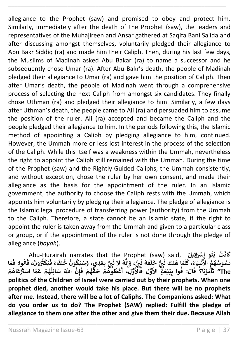allegiance to the Prophet (saw) and promised to obey and protect him. Similarly, immediately after the death of the Prophet (saw), the leaders and representatives of the Muhajireen and Ansar gathered at Saqifa Bani Sa'ida and after discussing amongst themselves, voluntarily pledged their allegiance to Abu Bakr Siddiq (ra) and made him their Caliph. Then, during his last few days, the Muslims of Madinah asked Abu Bakar (ra) to name a successor and he subsequently chose Umar (ra). After Abu-Bakr's death, the people of Madinah pledged their allegiance to Umar (ra) and gave him the position of Caliph. Then after Umar's death, the people of Madinah went through a comprehensive process of selecting the next Caliph from amongst six candidates. They finally chose Uthman (ra) and pledged their allegiance to him. Similarly, a few days after Uthman's death, the people came to Ali (ra) and persuaded him to assume the position of the ruler. Ali (ra) accepted and became the Caliph and the people pledged their allegiance to him. In the periods following this, the Islamic method of appointing a Caliph by pledging allegiance to him, continued. However, the Ummah more or less lost interest in the process of the selection of the Caliph. While this itself was a weakness within the Ummah, nevertheless the right to appoint the Caliph still remained with the Ummah. During the time of the Prophet (saw) and the Rightly Guided Caliphs, the Ummah consistently, and without exception, chose the ruler by her own consent, and made their allegiance as the basis for the appointment of the ruler. In an Islamic government, the authority to choose the Caliph rests with the Ummah, which appoints him voluntarily by pledging their allegiance. The pledge of allegiance is the Islamic legal procedure of transferring power (authority) from the Ummah to the Caliph. Therefore, a state cannot be an Islamic state, if the right to appoint the ruler is taken away from the Ummah and given to a particular class or group, or if the appointment of the ruler is not done through the pledge of allegiance (*bayah*).

\_\_\_\_\_\_\_\_\_\_\_\_\_\_\_\_\_\_\_\_\_\_\_\_\_\_\_\_\_\_\_\_\_\_\_\_\_\_\_\_\_\_\_\_\_\_\_\_\_\_\_\_\_\_\_\_\_\_\_\_\_\_\_\_\_\_\_\_\_\_

Abu-Hurairah narrates that the Prophet (saw) said, **ُ ن َ ب ت ْ َ** ِ<br>كَانَتْ بَنُو إِسْرَائِيلَ<br>كَ **َ ي َ ف اء ُ َ ف َ ل خ ون ك َ ي سَ َ ِدي، و ع َ ب ّت ِ ي ُ ُ ُ ْ َ ال ن ه ُ ن ِ إ َ ، و ٌّ ّت ِ ي َ ن ه ُ َ ف َ ل َ خ ّت ِ ي ٌَّ ن كَ َ ل َ ا ه َ م َّ ل ،ك اء َ ي ِ ب ن ُ ُ ْ َ** قسُوسُهُمُ الأَ<br>تَسُوسُهُمُ الأَ **ُ ُ** تَسُوسُهُمُ الأَّنْبِيَاءُ، كُلَّمَا هَلَكَ نَ<sub>كُ</sub>ٌ خَلَٰفَهُ نَبِيٌّ، وَإِنَّهُ لا نَبِيَّ بَعْدِي، وَسَيَكُونُ خُلَفَاءُ فَيَكْثُرُونَ، قَالُوا: فَمَا **َ وا: ف ال ُ َ** ، لا نَبِيَّ بَعْدِي، وَسَيَكُونُ خُلَفَاءُ فَيَكْثُرُونَ، قَ<br>، لا نَبِيَّ بَعْدِي، وَسَيَكُونُ خُلَفَاءُ فَيَكْثُرُونَ، قَ<br>ئَمْسُرُ، مَسَرَّةٌ، مَسَرَّةٌ عَصَّرَ اللَّهُ مُسَرِّئ **ُ ُ ْ ا ِن إ َ ف م ه ْ ُ ق َ ح م وه ط ع ِل، أ و ْ ُ ُ ْ َ األ َ ِل ف و َ ِة األ َ ع ي َ ب ِ وا ب : ف َ ال ْ ُ َ ا؟ ق َ ن ر م أ ُ ُ ْ َ** .<br>تَأْمُرُنَا؟ ۚ قَالَ: ۖ فُوا بِبَيْعَةٍ ۖ الأَوَّلِ ۖ فَالْأَوَّلِ ۚ أَعْطُوهُمْ ۖ حَقَّهُمْ ۖ فَإِنَّ اللَّهَ سَائِلُهُمْ عَمَّا اسْتَرْعَاهُمْ **ْ ُ ْ َ ي ٰ <sup>ا</sup> اسْ م َ ع م ه ِل ائ سَ The "ّٰلل َّ َ ْ ُ ُ politics of the Children of Israel were carried out by their prophets. When one prophet died, another would take his place. But there will be no prophets after me. Instead, there will be a lot of Caliphs. The Companions asked: What do you order us to do? The Prophet (SAW) replied: Fulfill the pledge of allegiance to them one after the other and give them their due. Because Allah**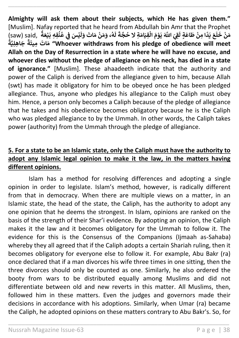**Almighty will ask them about their subjects, which He has given them."** [Muslim]. Nafay reported that he heard from Abdullah bin Amr that the Prophet (saw) said, ا<br>•<br>• **ة َ ع ي َ ِقِه ب ن ِي ع َس ف ي ْ ُ ُ ن ْ َ ل َ و اتَ َ م ن َ م َ ، و ه ْ ُ َ ل َ** mom Abdanan bin Am<br>لَقِيَ اللَّهَ يَوْمَ الْقِيَامَةِ لا حُجَّةَ **ُ ْ ْ ي ٍة ل َ اع َ ط ِمن ً د َ ي َ ع ْ ا َ ل َ خ ن َ م ْ ً ة ِي ِهل ا َ ج ً ة َ ِميت اتَ َ م" Whoever withdraws from his pledge of obedience will meet Allah on the Day of Resurrection in a state where he will have no excuse, and whoever dies without the pledge of allegiance on his neck, has died in a state of ignorance."** [Muslim]. These ahaadeeth indicate that the authority and power of the Caliph is derived from the allegiance given to him, because Allah (swt) has made it obligatory for him to be obeyed once he has been pledged allegiance. Thus, anyone who pledges his allegiance to the Caliph must obey him. Hence, a person only becomes a Caliph because of the pledge of allegiance that he takes and his obedience becomes obligatory because he is the Caliph who was pledged allegiance to by the Ummah. In other words, the Caliph takes power (authority) from the Ummah through the pledge of allegiance.

\_\_\_\_\_\_\_\_\_\_\_\_\_\_\_\_\_\_\_\_\_\_\_\_\_\_\_\_\_\_\_\_\_\_\_\_\_\_\_\_\_\_\_\_\_\_\_\_\_\_\_\_\_\_\_\_\_\_\_\_\_\_\_\_\_\_\_\_\_\_

## **5. For a state to be an Islamic state, only the Caliph must have the authority to adopt any Islamic legal opinion to make it the law, in the matters having different opinions.**

Islam has a method for resolving differences and adopting a single opinion in order to legislate. Islam's method, however, is radically different from that in democracy. When there are multiple views on a matter, in an Islamic state, the head of the state, the Caliph, has the authority to adopt any one opinion that he deems the strongest. In Islam, opinions are ranked on the basis of the strength of their Shar'i evidence. By adopting an opinion, the Caliph makes it the law and it becomes obligatory for the Ummah to follow it. The evidence for this is the Consensus of the Companions (Ijmaah as-Sahaba) whereby they all agreed that if the Caliph adopts a certain Shariah ruling, then it becomes obligatory for everyone else to follow it. For example, Abu Bakr (ra) once declared that if a man divorces his wife three times in one sitting, then the three divorces should only be counted as one. Similarly, he also ordered the booty from wars to be distributed equally among Muslims and did not differentiate between old and new reverts in this matter. All Muslims, then, followed him in these matters. Even the judges and governors made their decisions in accordance with his adoptions. Similarly, when Umar (ra) became the Caliph, he adopted opinions on these matters contrary to Abu Bakr's. So, for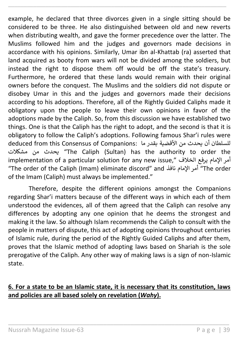example, he declared that three divorces given in a single sitting should be considered to be three. He also distinguished between old and new reverts when distributing wealth, and gave the former precedence over the latter. The Muslims followed him and the judges and governors made decisions in accordance with his opinions. Similarly, Umar ibn al-Khattab (ra) asserted that land acquired as booty from wars will not be divided among the soldiers, but instead the right to dispose them off would be off the state's treasury. Furthermore, he ordered that these lands would remain with their original owners before the conquest. The Muslims and the soldiers did not dispute or disobey Umar in this and the judges and governors made their decisions according to his adoptions. Therefore, all of the Rightly Guided Caliphs made it obligatory upon the people to leave their own opinions in favor of the adoptions made by the Caliph. So, from this discussion we have established two things. One is that the Caliph has the right to adopt, and the second is that it is obligatory to follow the Caliph's adoptions. Following famous Shar'i rules were للسلطان أن يحدث من الأقضية بقدر ما :deduced from this Consensus of Companions مشكالت من يحدث" The Caliph (Sultan) has the authority to order the implementation of a particular solution for any new issue," أمر الإمام يرفع الخلاف "The order of the Caliph (Imam) eliminate discord" and نافذ لمامْا أمر" The order of the Imam (Caliph) must always be implemented."

\_\_\_\_\_\_\_\_\_\_\_\_\_\_\_\_\_\_\_\_\_\_\_\_\_\_\_\_\_\_\_\_\_\_\_\_\_\_\_\_\_\_\_\_\_\_\_\_\_\_\_\_\_\_\_\_\_\_\_\_\_\_\_\_\_\_\_\_\_\_

Therefore, despite the different opinions amongst the Companions regarding Shar'i matters because of the different ways in which each of them understood the evidences, all of them agreed that the Caliph can resolve any differences by adopting any one opinion that he deems the strongest and making it the law. So although Islam recommends the Caliph to consult with the people in matters of dispute, this act of adopting opinions throughout centuries of Islamic rule, during the period of the Rightly Guided Caliphs and after them, proves that the Islamic method of adopting laws based on Shariah is the sole prerogative of the Caliph. Any other way of making laws is a sign of non-Islamic state.

## **6. For a state to be an Islamic state, it is necessary that its constitution, laws and policies are all based solely on revelation (***Wahy***).**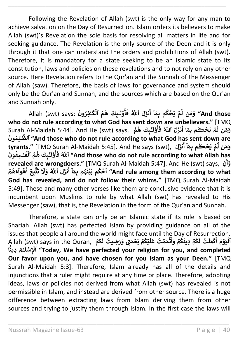Following the Revelation of Allah (swt) is the only way for any man to achieve salvation on the Day of Resurrection. Islam orders its believers to make Allah (swt)'s Revelation the sole basis for resolving all matters in life and for seeking guidance. The Revelation is the only source of the Deen and it is only through it that one can understand the orders and prohibitions of Allah (swt). Therefore, it is mandatory for a state seeking to be an Islamic state to its constitution, laws and policies on these revelations and to not rely on any other source. Here Revelation refers to the Qur'an and the Sunnah of the Messenger of Allah (saw). Therefore, the basis of laws for governance and system should only be the Qur'an and Sunnah, and the sources which are based on the Qur'an and Sunnah only.

\_\_\_\_\_\_\_\_\_\_\_\_\_\_\_\_\_\_\_\_\_\_\_\_\_\_\_\_\_\_\_\_\_\_\_\_\_\_\_\_\_\_\_\_\_\_\_\_\_\_\_\_\_\_\_\_\_\_\_\_\_\_\_\_\_\_\_\_\_\_

Allah (swt) says: **َ ون ِفر َ ك ُ ٰ ۡ ٱل م ه ِٕٮكَ ْٓ ُ ُ ٰ َ ل و أ ْ ُ َ** .<br>نزَلَ ٱللَّهُ فَ **َ ٰٓ أ ا َ ِم م ب ك ۡ ح َ ي ۡ م ُ َّ ن ل َ م َ و" And those who do not rule according to what God has sent down are unbelievers."** [TMQ Surah Al-Maidah 5:44]. And He (swt) says, **ُ م ه ِٕٮكَ ْٓ ُ ٰ َ ل و أ ْ ُ َ** ...<br>نزلَ ٱللَّهُ فَ **َ ٰٓ أ ا َ ِم م ب ڪُ ۡ ح َ ي ۡ م** ا<br>أ **ن ل َ م َ و َ ون ِ م ل ُ ٰ َّ ٱلظ" And those who do not rule according to what God has sent down are َ tyrants."** [TMQ Surah Al-Maidah 5:45]. And He says (swt), **َ نز أ ٰٓ ا َ ِم م ب ڪُ ۡ ح َ ي ۡ م َّ** وَمَن لَّمۡ يَحۡكُم بِمَاۤ أَنزَلَ **َ ون ِسق ُ ٰ َ ف ۡ ٱل م ه ِٕٮكَ ْٓ ُ ُ ٰ َ ل و أ ْ ُ َ ف ُ َّ للّٰٱ" And those who do not rule according to what Allah has revealed are wrongdoers."** [TMQ Surah Al-Maidah 5:47]. And He (swt) says, **نِ** ة الله العاوليك هذه العام العام العام العام العام العام العام العام العام العام العام العام العام العام العام ا<br>**ed are wrongdoers."** [TMQ Surah Al-Maidah 5:47]. And He (swt) says, وَأَوْلِ مِنْ مَنْ يَقَدْمَ يَقُوْمُ الن **أ** ة<br>تَّلِيعُ أَهُوَاۤءَهُمُ **ُ ا أ َ ت َ َل َ و ٱّٰلل َّ ُ َ ل َ نز أ ٰٓ ا َ ِم م ب ہ َ ن ۡ ي َ م ب ك ۡ ٱح" And rule among them according to what ُ** ابر **God has revealed, and do not follow their whims."** [TMQ Surah Al-Maidah 5:49]. These and many other verses like them are conclusive evidence that it is incumbent upon Muslims to rule by what Allah (swt) has revealed to His Messenger (saw), that is, the Revelation in the form of the Qur'an and Sunnah.

Therefore, a state can only be an Islamic state if its rule is based on Shariah. Allah (swt) has perfected Islam by providing guidance on all of the issues that people all around the world might face until the Day of Resurrection. Allah (swt) says in the Quran, **ُ م ك ُ َ ل ِضيت ُ َ ر َ َ ّٰت ِ <sup>و</sup> م ۡ ِع ن ۡ م ك ۡ ي ُ َ** ...<br>مَمَتُ عَلَ **ۡ ت َ َ و ۡ م ك َ ِدين ۡ م ك أ ُ ُ َ ل ت ُ ۡ ل َ م ۡ ك َ َ م ۡ و َ ي أ ۡ ٱل ا ً ِدين َ م ً۬ ٰ َ ل ِ سۡ ۡ ٱإل" Today, We have perfected your religion for you, and completed Our favor upon you, and have chosen for you Islam as your Deen."** [TMQ Surah Al-Maidah 5:3]. Therefore, Islam already has all of the details and injunctions that a ruler might require at any time or place. Therefore, adopting ideas, laws or policies not derived from what Allah (swt) has revealed is not permissible in Islam, and instead are derived from other source. There is a huge difference between extracting laws from Islam deriving them from other sources and trying to justify them through Islam. In the first case the laws will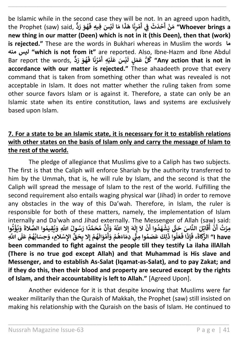be Islamic while in the second case they will be not. In an agreed upon hadith, the Prophet (saw) said, **ٌّ د َ ر َ و ه ُ َ َس ِفيِه <sup>ف</sup> ي ْ َ ا ل َ ا م َ ذ َ ا ه َ ن ِ ر م ْ َ أ ِي ف ن َ ث َ د ح ْ َ أ ْ ن َ م" Whoever brings a new thing in our matter (Deen) which is not in it (this Deen), then that (work) is rejected."** These are the words in Bukhari whereas in Muslim the words **ما منه ليس" which is not from it"** are reported. Also, Ibne-Hazm and Ibne Abdul Bar report the words, **ا َ ن ر م ُ ْ َ ِه أ ي ْ َ ل َ َس ع ي ْ َ** ,<br>كُلُّ عَمَلٍ لَيْسَ عَلَيْهِ أَمْرُنَا فَهُوَ رَدٌّ **ُ ُ َ ف" Any action that is not in accordance with our matter is rejected."** These ahaadeeth prove that every command that is taken from something other than what was revealed is not acceptable in Islam. It does not matter whether the ruling taken from some other source favors Islam or is against it. Therefore, a state can only be an Islamic state when its entire constitution, laws and systems are exclusively based upon Islam.

\_\_\_\_\_\_\_\_\_\_\_\_\_\_\_\_\_\_\_\_\_\_\_\_\_\_\_\_\_\_\_\_\_\_\_\_\_\_\_\_\_\_\_\_\_\_\_\_\_\_\_\_\_\_\_\_\_\_\_\_\_\_\_\_\_\_\_\_\_\_

## **7. For a state to be an Islamic state, it is necessary for it to establish relations with other states on the basis of Islam only and carry the message of Islam to the rest of the world.**

The pledge of allegiance that Muslims give to a Caliph has two subjects. The first is that the Caliph will enforce Shariah by the authority transferred to him by the Ummah, that is, he will rule by Islam, and the second is that the Caliph will spread the message of Islam to the rest of the world. Fulfilling the second requirement also entails waging physical war (Jihad) in order to remove any obstacles in the way of this Da'wah. Therefore, in Islam, the ruler is responsible for both of these matters, namely, the implementation of Islam internally and Da'wah and Jihad externally. The Messenger of Allah (saw) said: **َ َ َ الن ِلَ ات َ ق ن ت ُ ِمر وا ت ؤ ي َ و ا أ ْ أ ُْ ْ ُ َ الة وا الص ِقيم ي َ ِ و اّٰلل َّ ول سُ َ ا ر ً د م َ ح م ن َ و ِال اّٰلل َّ ُ َ ه ُ ُ ُ ُ أ إ َ ل ِ إ َ َل ن وا أ د َ ه ش َ ي ّٰت َ َس ح ا َ ْ ُ ْ َ ل َ ع م ه اب ِحسَ َ الِم، و ِ سْ اإل ِّ ق َ ِح ِال ب م ه ْ ُ ُ إ ْ ُ َ** لِكَ عَصَمُوا مِنًّي دِمَاءَهُمْ وَأَمْوَالَ<sub>ّ</sub> **ْ أ ْ ُ ي ُ َ وا ذ ل َ ع ُ َ ا ف َ ِ ذ إ َ ، ف َ** بِرَكَ ۞ الْعَالِمِ الْمَسَاطِ عَلَى يَسْجَدُوا ۞ وَلَا يَدْ مَعَهُ وَلَا يَدْ عَلَيْهِ وَاللَّهُمُ الْمَسْلام<br>I have الا الزَّكَاةَ، فَإِذَا فَعَلُوا ذَٰلِكَ عَصَمُوا مِنٍّ دِمَاءَهُمْ وَأَمْوَالَهُمْ إِلا بِحَقِّ الإِسْ **been commanded to fight against the people till they testify La ilaha illAllah (There is no true god except Allah) and that Muhammad is His slave and Messenger, and to establish As-Salat (Iqamat-as-Salat), and to pay Zakat; and if they do this, then their blood and property are secured except by the rights of Islam, and their accountability is left to Allah."** [Agreed Upon].

Another evidence for it is that despite knowing that Muslims were far weaker militarily than the Quraish of Makkah, the Prophet (saw) still insisted on making his relationship with the Quraish on the basis of Islam. He continued to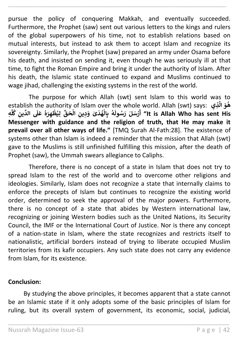pursue the policy of conquering Makkah, and eventually succeeded. Furthermore, the Prophet (saw) sent out various letters to the kings and rulers of the global superpowers of his time, not to establish relations based on mutual interests, but instead to ask them to accept Islam and recognize its sovereignty. Similarly, the Prophet (saw) prepared an army under Osama before his death, and insisted on sending it, even though he was seriously ill at that time, to fight the Roman Empire and bring it under the authority of Islam. After his death, the Islamic state continued to expand and Muslims continued to wage jihad, challenging the existing systems in the rest of the world.

\_\_\_\_\_\_\_\_\_\_\_\_\_\_\_\_\_\_\_\_\_\_\_\_\_\_\_\_\_\_\_\_\_\_\_\_\_\_\_\_\_\_\_\_\_\_\_\_\_\_\_\_\_\_\_\_\_\_\_\_\_\_\_\_\_\_\_\_\_\_

The purpose for which Allah (swt) sent Islam to this world was to establish the authority of Islam over the whole world. Allah (swt) says: **ذيِ َّ ال َ و ه َ ُ ِه** ر<br>ا **ل ك ِ ين ِّ الد ُ َ ل َ ع ه َ ِ ر ه ظ ِي ل ِّ ق َ ح ال ِ ين ِ د َ ٰى و َ د ه ال ِ ب ه ُ ْ ُ ْ ُ ْ ُ َ ول سُ َ ر لَ سَ ر أ" It is Allah Who has sent His ْ Messenger with guidance and the religion of truth, that He may make it prevail over all other ways of life."** [TMQ Surah Al-Fath:28]. The existence of systems other than Islam is indeed a reminder that the mission that Allah (swt) gave to the Muslims is still unfinished fulfilling this mission, after the death of Prophet (saw), the Ummah swears allegiance to Caliphs.

Therefore, there is no concept of a state in Islam that does not try to spread Islam to the rest of the world and to overcome other religions and ideologies. Similarly, Islam does not recognize a state that internally claims to enforce the precepts of Islam but continues to recognize the existing world order, determined to seek the approval of the major powers. Furthermore, there is no concept of a state that abides by Western international law, recognizing or joining Western bodies such as the United Nations, its Security Council, the IMF or the International Court of Justice. Nor is there any concept of a nation-state in Islam, where the state recognizes and restricts itself to nationalistic, artificial borders instead of trying to liberate occupied Muslim territories from its kafir occupiers. Any such state does not carry any evidence from Islam, for its existence.

### **Conclusion:**

By studying the above principles, it becomes apparent that a state cannot be an Islamic state if it only adopts some of the basic principles of Islam for ruling, but its overall system of government, its economic, social, judicial,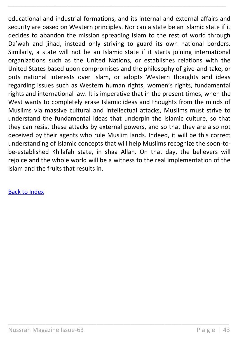educational and industrial formations, and its internal and external affairs and security are based on Western principles. Nor can a state be an Islamic state if it decides to abandon the mission spreading Islam to the rest of world through Da'wah and jihad, instead only striving to guard its own national borders. Similarly, a state will not be an Islamic state if it starts joining international organizations such as the United Nations, or establishes relations with the United States based upon compromises and the philosophy of give-and-take, or puts national interests over Islam, or adopts Western thoughts and ideas regarding issues such as Western human rights, women's rights, fundamental rights and international law. It is imperative that in the present times, when the West wants to completely erase Islamic ideas and thoughts from the minds of Muslims via massive cultural and intellectual attacks, Muslims must strive to understand the fundamental ideas that underpin the Islamic culture, so that they can resist these attacks by external powers, and so that they are also not deceived by their agents who rule Muslim lands. Indeed, it will be this correct understanding of Islamic concepts that will help Muslims recognize the soon-tobe-established Khilafah state, in shaa Allah. On that day, the believers will rejoice and the whole world will be a witness to the real implementation of the Islam and the fruits that results in.

\_\_\_\_\_\_\_\_\_\_\_\_\_\_\_\_\_\_\_\_\_\_\_\_\_\_\_\_\_\_\_\_\_\_\_\_\_\_\_\_\_\_\_\_\_\_\_\_\_\_\_\_\_\_\_\_\_\_\_\_\_\_\_\_\_

\_\_\_\_\_\_\_\_\_\_\_\_\_\_\_\_\_\_\_\_\_\_\_\_\_\_\_\_\_\_\_\_\_\_\_\_\_\_\_\_\_\_\_\_\_\_\_\_\_\_\_\_\_\_\_\_\_\_\_\_\_\_\_\_\_\_\_\_\_\_

#### [Back to Index](#page-1-0)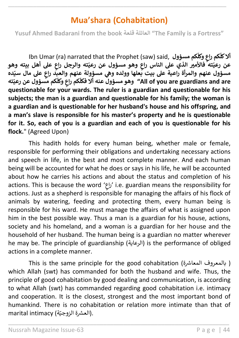# **Mua'shara (Cohabitation)**

\_\_\_\_\_\_\_\_\_\_\_\_\_\_\_\_\_\_\_\_\_\_\_\_\_\_\_\_\_\_\_\_\_\_\_\_\_\_\_\_\_\_\_\_\_\_\_\_\_\_\_\_\_\_\_\_\_\_\_\_\_\_\_\_\_\_\_\_\_\_

**Yusuf Ahmed Badarani from the book قلعة العائلة" The Family is a Fortress"**

Ibn Umar (ra) narrated that the Prophet (saw) said, **مسؤول كم ّ وكل كم راع ٍ ّ أالكل عن عل أهل بيته وهو ٍ ته والرجل راع ّ وهو مسؤول عن رعي ٍ ته فاألمْي الذي عل الناس راع ّ رعي** مسؤول عنهم والمرأة راعية على بيت بعلها وولده وهي مسؤولة عنهم والعبد راعٍ على مال سيّده<br>مسؤول عنهم والمرأة راعية على بيت بعلها وولده وهي مسؤولة عنهم والعبد راعٍ على مال سيّده **ته ّ كم مسؤول عن رعي ّ وكل ٍ كم راع ّ فكل أال عنه وهومسؤول" All of you are guardians and are questionable for your wards. The ruler is a guardian and questionable for his subjects; the man is a guardian and questionable for his family; the woman is a guardian and is questionable for her husband's house and his offspring, and a man's slave is responsible for his master's property and he is questionable for it. So, each of you is a guardian and each of you is questionable for his flock.**" (Agreed Upon)

This hadith holds for every human being, whether male or female, responsible for performing their obligations and undertaking necessary actions and speech in life, in the best and most complete manner. And each human being will be accounted for what he does or says in his life, he will be accounted about how he carries his actions and about the status and completion of his actions. This is because the word ' راع 'i.e. guardian means the responsibility for actions. Just as a shepherd is responsible for managing the affairs of his flock of animals by watering, feeding and protecting them, every human being is responsible for his ward. He must manage the affairs of what is assigned upon him in the best possible way. Thus a man is a guardian for his house, actions, society and his homeland, and a woman is a guardian for her house and the household of her husband. The human being is a guardian no matter wherever he may be. The principle of guardianship (الرعاية) is the performance of obliged actions in a complete manner.

This is the same principle for the good cohabitation ( بالمعروف المعاشرة ) which Allah (swt) has commanded for both the husband and wife. Thus, the principle of good cohabitation by good dealing and communication, is according to what Allah (swt) has commanded regarding good cohabitation i.e. intimacy and cooperation. It is the closest, strongest and the most important bond of humankind. There is no cohabitation or relation more intimate than that of marital intimacy (العشرة الزوجيّة).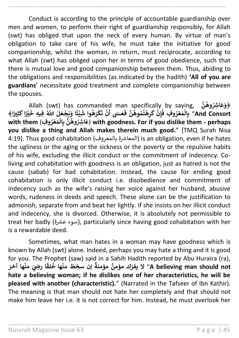Conduct is according to the principle of accountable guardianship over men and women, to perform their right of guardianship responsibly, for Allah (swt) has obliged that upon the neck of every human. By virtue of man's obligation to take care of his wife, he must take the initiative for good companionship, whilst the woman, in return, must reciprocate, according to what Allah (swt) has obliged upon her in terms of good obedience, such that there is mutual love and good companionship between them. Thus, abiding to the obligations and responsibilities (as indicated by the hadith) **'All of you are guardians**' necessitate good treatment and complete companionship between the spouses.

\_\_\_\_\_\_\_\_\_\_\_\_\_\_\_\_\_\_\_\_\_\_\_\_\_\_\_\_\_\_\_\_\_\_\_\_\_\_\_\_\_\_\_\_\_\_\_\_\_\_\_\_\_\_\_\_\_\_\_\_\_\_\_\_\_\_\_\_\_\_

Allah (swt) has commanded man specifically by saying, **ن وه ْْس ِ ا َ ع َ ﴿و َ ُ ُ اّٰلل َّ ُ لَ َ ع ج َ ي َ ا و ً ئ ي ْ ْ َ وا ش ه َ ر ك ُ ْ َ ت ن َ َىس <sup>أ</sup> ع ْ َ .**<br>ﺮﻫﺌُﻤُﻮﻫُﻦَّ ﻓَ ا<br>ا **ُ ُ ْ َ ك ِن إ ْ َ** aym (Swe) has commanded man speemeary by saym<br>بِالْمَعْرُوفِ فَإِنْ كَرِهْتُمُوهُنَّ فَعَسَى أَنْ تَكْرَهُوا شَيْئًا وَيَجْعَلَ اللَّهُ فِيهِ خَيْرًا كَثِيرًا﴾ **ُ ْ ْ** الاحسين السابعي المحمد المحمد المحمد المحمد المحمد المحمد المحمد المحمد المحمد المحمد المحمد المحمد المحمد الم<br>And Consort" بِالْمَعْرُوفِ فَإِنْ كَرِهْتُمُوهُنَّ فَعَسَى أَنْ تَكْرَهُوا شَيْئًا وَيَجْعَلَ اللَّهُ فِيهِ خ with them (عَاشِرُوهُنَّ بِالْمَعْرُوفِ) with goodness. For if you dislike them - perhaps **ُ ْ ْ ُ ُ you dislike a thing and Allah makes therein much good.**" [TMQ Surah Nisa 4:19]. Thus good cohabitation (المعاشرة بالمعروف) is an obligation, even if he hates the ugliness or the aging or the sickness or the poverty or the repulsive habits of his wife, excluding the illicit conduct or the commitment of indecency. Coliving and cohabitation with goodness is an obligation, just as hatred is not the cause (sabab) for bad cohabitation. Instead, the cause for ending good cohabitation is only illicit conduct i.e. disobedience and commitment of indecency such as the wife's raising her voice against her husband, abusive words, rudeness in deeds and speech. These alone can be the justification to admonish, separate from and beat her lightly. If she insists on her illicit conduct and indecency, she is divorced. Otherwise, it is absolutely not permissible to treat her badly (سوء عشرة), particularly since having good cohabitation with her is a rewardable deed.

Sometimes, what man hates in a woman may have goodness which is known by Allah (swt) alone. Indeed, perhaps you may hate a thing and it is good for you. The Prophet (saw) said in a Sahih Hadith reported by Abu Huraira (ra), **م إن سِخط َ ً مؤمنة ٌ ك مؤمن َ ال يفر َ ها آخر من َ نَّص ِ ا ر ْ ي ً لق ها خ ن**" **A believing man should not ُ ْ hate a believing woman; if he dislikes one of her characteristics, he will be pleased with another (characteristic).**" (Narrated in the Tafseer of Ibn Kathir). The meaning is that man should not hate her completely and that should not make him leave her i.e. it is not correct for him. Instead, he must overlook her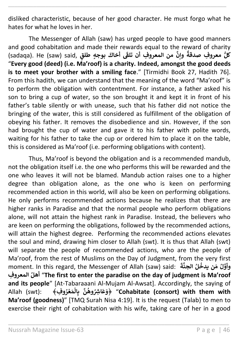disliked characteristic, because of her good character. He must forgo what he hates for what he loves in her.

\_\_\_\_\_\_\_\_\_\_\_\_\_\_\_\_\_\_\_\_\_\_\_\_\_\_\_\_\_\_\_\_\_\_\_\_\_\_\_\_\_\_\_\_\_\_\_\_\_\_\_\_\_\_\_\_\_\_\_\_\_\_\_\_\_\_\_\_\_\_

The Messenger of Allah (saw) has urged people to have good manners and good cohabitation and made their rewards equal to the reward of charity (sadaqa). He (saw) said, **قٍ بوجٍه طل َ أخاك َ من المعرو ِف أن تلف ٰ وإن ٌ معرو ِف صدقة كلُّ** "**Every good (deed) (i.e. Ma'roof) is a charity. Indeed, amongst the good deeds is to meet your brother with a smiling face**." [Tirmidhi Book 27, Hadith 76]. From this hadith, we can understand that the meaning of the word "Ma'roof" is to perform the obligation with contentment. For instance, a father asked his son to bring a cup of water, so the son brought it and kept it in front of his father's table silently or with unease, such that his father did not notice the bringing of the water, this is still considered as fulfillment of the obligation of obeying his father. It removes the disobedience and sin. However, if the son had brought the cup of water and gave it to his father with polite words, waiting for his father to take the cup or ordered him to place it on the table, this is considered as Ma'roof (i.e. performing obligations with content).

Thus, Ma'roof is beyond the obligation and is a recommended mandub, not the obligation itself i.e. the one who performs this will be rewarded and the one who leaves it will not be blamed. Mandub action raises one to a higher degree than obligation alone, as the one who is keen on performing recommended action in this world, will also be keen on performing obligations. He only performs recommended actions because he realizes that there are higher ranks in Paradise and that the normal people who perform obligations alone, will not attain the highest rank in Paradise. Instead, the believers who are keen on performing the obligations, followed by the recommended actions, will attain the highest degree. Performing the recommended actions elevates the soul and mind, drawing him closer to Allah (swt). It is thus that Allah (swt) will separate the people of recommended actions, who are the people of Ma'roof, from the rest of Muslims on the Day of Judgment, from the very first moment. In this regard, the Messenger of Allah (saw) said: **َ ة الجن لُ ن يدخ َ م ل وأو ُ ُ المعرو ِف ُأهل**" **The first to enter the paradise on the day of judgment is Ma'roof and its people**" [At-Tabaraaani Al-Mujam Al-Awsat]. Accordingly, the saying of **Allah** (swt): **ُ ر ع َ م ال ِ ب ن وه ْْس ِ ا َ ع َ ﴾ و**" **﴿Cohabitate (consort) with them with ْ ْ ُ ُ Ma'roof (goodness)**" [TMQ Surah Nisa 4:19]. It is the request (Talab) to men to exercise their right of cohabitation with his wife, taking care of her in a good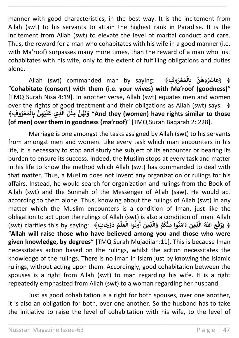manner with good characteristics, in the best way. It is the incitement from Allah (swt) to his servants to attain the highest rank in Paradise. It is the incitement from Allah (swt) to elevate the level of marital conduct and care. Thus, the reward for a man who cohabitates with his wife in a good manner (i.e. with Ma'roof) surpasses many more times, than the reward of a man who just cohabitates with his wife, only to the extent of fulfilling obligations and duties alone.

\_\_\_\_\_\_\_\_\_\_\_\_\_\_\_\_\_\_\_\_\_\_\_\_\_\_\_\_\_\_\_\_\_\_\_\_\_\_\_\_\_\_\_\_\_\_\_\_\_\_\_\_\_\_\_\_\_\_\_\_\_\_\_\_\_\_\_\_\_\_

Allah (swt) commanded man by saying: **فِ و﴿ ر ع َ م ال ِ ب ن وه ْْس ِ ا َ ع َ و ﴾ ُ ْ ْ ُ ُ** "**Cohabitate (consort) with them (i.e. your wives) with Ma'roof (goodness)**" [TMQ Surah Nisa 4:19]. In another verse, Allah (swt) equates men and women over the rights of good treatment and their obligations as Allah (swt) says: **﴿ و ِف﴾ ر ع َ م ال ِ ب ِ ن ه ي ُ ْ ْ ْ َ ل َ ِذي ع َّ ال لُ ِمث ن ه ْ ُ َ ل َ و**" **And they (women) have rights similar to those (of men) over them in goodness (ma'roof)**" [TMQ Surah Baqarah 2: 228].

Marriage is one amongst the tasks assigned by Allah (swt) to his servants from amongst men and women. Like every task which man encounters in his life, it is necessary to stop and study the subject of its encounter or bearing its burden to ensure its success. Indeed, the Muslim stops at every task and matter in his life to know the method which Allah (swt) has commanded to deal with that matter. Thus, a Muslim does not invent any organization or rulings for his affairs. Instead, he would search for organization and rulings from the Book of Allah (swt) and the Sunnah of the Messenger of Allah (saw). He would act according to them alone. Thus, knowing about the rulings of Allah (swt) in any matter which the Muslim encounters is a condition of Iman, just like the obligation to act upon the rulings of Allah (swt) is also a condition of Iman. Allah (swt) clarifies this by saying: **﴾تٍ ا َ ج َ ر َ د َ م ِعل وا ال وت َ ِذين ْ ْ با**<br>با **ُ أ َّ ال َ و م ك ِمن وا ن َ ام َ ء َ ِذين ْ ُ ْ ُ َّ ال اّٰلل َّ ُ ِ ع َ ف ر َ ﴿ ي ْ** "**Allah will raise those who have believed among you and those who were given knowledge, by degrees**" [TMQ Surah Mujadilah:11]. This is because Iman necessitates action based on the rulings, whilst the action necessitates the knowledge of the rulings. There is no Iman in Islam just by knowing the Islamic rulings, without acting upon them. Accordingly, good cohabitation between the spouses is a right from Allah (swt) to man regarding his wife. It is a right repeatedly emphasized from Allah (swt) to a woman regarding her husband.

Just as good cohabitation is a right for both spouses, over one another, it is also an obligation for both, over one another. So the husband has to take the initiative to raise the level of cohabitation with his wife, to the level of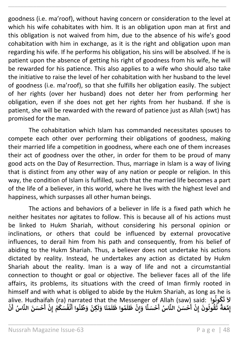goodness (i.e. ma'roof), without having concern or consideration to the level at which his wife cohabitates with him. It is an obligation upon man at first and this obligation is not waived from him, due to the absence of his wife's good cohabitation with him in exchange, as it is the right and obligation upon man regarding his wife. If he performs his obligation, his sins will be absolved. If he is patient upon the absence of getting his right of goodness from his wife, he will be rewarded for his patience. This also applies to a wife who should also take the initiative to raise the level of her cohabitation with her husband to the level of goodness (i.e. ma'roof), so that she fulfills her obligation easily. The subject of her rights (over her husband) does not deter her from performing her obligation, even if she does not get her rights from her husband. If she is patient, she will be rewarded with the reward of patience just as Allah (swt) has promised for the man.

\_\_\_\_\_\_\_\_\_\_\_\_\_\_\_\_\_\_\_\_\_\_\_\_\_\_\_\_\_\_\_\_\_\_\_\_\_\_\_\_\_\_\_\_\_\_\_\_\_\_\_\_\_\_\_\_\_\_\_\_\_\_\_\_\_\_\_\_\_\_

The cohabitation which Islam has commanded necessitates spouses to compete each other over performing their obligations of goodness, making their married life a competition in goodness, where each one of them increases their act of goodness over the other, in order for them to be proud of many good acts on the Day of Resurrection. Thus, marriage in Islam is a way of living that is distinct from any other way of any nation or people or religion. In this way, the condition of Islam is fulfilled, such that the married life becomes a part of the life of a believer, in this world, where he lives with the highest level and happiness, which surpasses all other human beings.

The actions and behaviors of a believer in life is a fixed path which he neither hesitates nor agitates to follow. This is because all of his actions must be linked to Hukm Shariah, without considering his personal opinion or inclinations, or others that could be influenced by external provocative influences, to derail him from his path and consequently, from his belief of abiding to the Hukm Shariah. Thus, a believer does not undertake his actions dictated by reality. Instead, he undertakes any action as dictated by Hukm Shariah about the reality. Iman is a way of life and not a circumstantial connection to thought or goal or objective. The believer faces all of the life affairs, its problems, its situations with the creed of Iman firmly rooted in himself and with what is obliged to abide by the Hukm Shariah, as long as he is alive. Hudhaifah (ra) narrated that the Messenger of Allah (saw) said: **كونوا ُ ُ َ** ةَ الْمَسْرِينَ عَلَيْهِ الْمَسْرِينَ عَلَيْهِ الْمَسْرَةِ الْمَسْرِينَ عَلَيْهِ الْمَسْرَةِ الْمَسْرَةِ الْمَس<br>لاَ تَكُونُوا " live. Hudhaifah (ra) narrated that the Messenger of Allah (saw) said:<br>يَا تَقُونُوا يَسْرَأَ لَّا , saw) salu:<br>قُولُونَ إِنْ أَحْسَنَ النَّاسُ أَحْسَنًا وَ **ْ ْ أ ْ إ ُ ُ َ ت ً ة َ ع ِ م ن ُس أ ا الن َ ن سَ ح ِن م ك سَ ف ن وا أ ن ِّ ط َ و ِكن إ ْ ْ أ ْ إ ْ ُ ُ ْ ُ ْ َ ل َ ا و َ ن م ْ َ ل َ وا ظ م ُ َ ل َ ظ ِن ْ إ**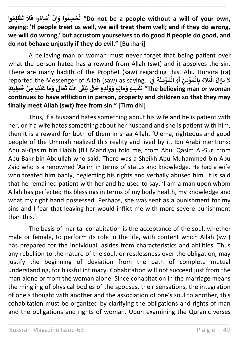**وا ِ م ل ظ ُ ْ َ ت َ ال َ وا ف اء سَ َ ُ أ ْ ِن َ وا و ِسن ح ت" Do not be a people without a will of your own, إ ُ ْ ُ saying: 'If people treat us well, we will treat them well; and if they do wrong, we will do wrong,' but accustom yourselves to do good if people do good, and do not behave unjustly if they do evil."** [Bukhari]

\_\_\_\_\_\_\_\_\_\_\_\_\_\_\_\_\_\_\_\_\_\_\_\_\_\_\_\_\_\_\_\_\_\_\_\_\_\_\_\_\_\_\_\_\_\_\_\_\_\_\_\_\_\_\_\_\_\_\_\_\_\_\_\_\_\_\_\_\_\_

A believing man or woman must never forget that being patient over what the person hated has a reward from Allah (swt) and it absolves the sin. There are many hadith of the Prophet (saw) regarding this. Abu Huraira (ra) **َ** reported the Messenger of Allah (saw) as saying, **ِ ِ ن م ؤ م ال ِ ب ء أ ْ ُ ْ ُ** ا<br>آ .<br>**يَزَالُ الْبَلَا ْ ُ َ ِي َل ِة ف َ ن ِ م ؤ م ال ِ و ن ْ ُ ْ ٍة َ ِطيئ َ خ ِه ِمن ي ْ ْ َ ل َ ا ع َ م َ و َ اَل َ ع َ ت اّٰلل َّ َ َ ف ٰ ل َ ي ّٰت َ ِدِه ح ْ َ ل َ و َ ِ ِه و ال َ م َ ِسِه و ف ْ َ ن" The believing man or woman continues to have affliction in person, property and children so that they may finally meet Allah (swt) free from sin."** [Tirmidhi]

Thus, if a husband hates something about his wife and he is patient with her, or if a wife hates something about her husband and she is patient with him, then it is a reward for both of them in shaa Allah. 'Ulema, righteous and good people of the Ummah realized this reality and lived by it. Ibn Arabi mentions: Abu al-Qasim bin Habib (Bil Mahdiya) told me, from Abul Qasim Al-Suri from Abu Bakr bin Abdullah who said: There was a Sheikh Abu Muhammed bin Abu Zaid who is a renowned 'Aalim in terms of status and knowledge. He had a wife who treated him badly, neglecting his rights and verbally abused him. It is said that he remained patient with her and he used to say: 'I am a man upon whom Allah has perfected His blessings in terms of my body health, my knowledge and what my right hand possessed. Perhaps, she was sent as a punishment for my sins and I fear that leaving her would inflict me with more severe punishment than this.'

The basis of marital cohabitation is the acceptance of the soul, whether male or female, to perform its role in the life, with content which Allah (swt) has prepared for the individual, asides from characteristics and abilities. Thus any rebellion to the nature of the soul, or restlessness over the obligation, may justify the beginning of deviation from the path of complete mutual understanding, for blissful intimacy. Cohabitation will not succeed just from the man alone or from the woman alone. Since cohabitation in the marriage means the mingling of physical bodies of the spouses, their sensations, the integration of one's thought with another and the association of one's soul to another, this cohabitation must be organized by clarifying the obligations and rights of man and the obligations and rights of woman. Upon examining the Quranic verses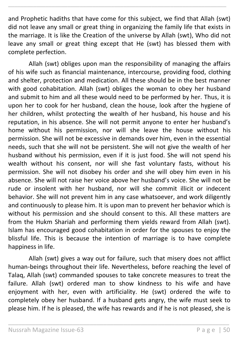and Prophetic hadiths that have come for this subject, we find that Allah (swt) did not leave any small or great thing in organizing the family life that exists in the marriage. It is like the Creation of the universe by Allah (swt), Who did not leave any small or great thing except that He (swt) has blessed them with complete perfection.

\_\_\_\_\_\_\_\_\_\_\_\_\_\_\_\_\_\_\_\_\_\_\_\_\_\_\_\_\_\_\_\_\_\_\_\_\_\_\_\_\_\_\_\_\_\_\_\_\_\_\_\_\_\_\_\_\_\_\_\_\_\_\_\_\_\_\_\_\_\_

Allah (swt) obliges upon man the responsibility of managing the affairs of his wife such as financial maintenance, intercourse, providing food, clothing and shelter, protection and medication. All these should be in the best manner with good cohabitation. Allah (swt) obliges the woman to obey her husband and submit to him and all these would need to be performed by her. Thus, it is upon her to cook for her husband, clean the house, look after the hygiene of her children, whilst protecting the wealth of her husband, his house and his reputation, in his absence. She will not permit anyone to enter her husband's home without his permission, nor will she leave the house without his permission. She will not be excessive in demands over him, even in the essential needs, such that she will not be persistent. She will not give the wealth of her husband without his permission, even if it is just food. She will not spend his wealth without his consent, nor will she fast voluntary fasts, without his permission. She will not disobey his order and she will obey him even in his absence. She will not raise her voice above her husband's voice. She will not be rude or insolent with her husband, nor will she commit illicit or indecent behavior. She will not prevent him in any case whatsoever, and work diligently and continuously to please him. It is upon man to prevent her behavior which is without his permission and she should consent to this. All these matters are from the Hukm Shariah and performing them yields reward from Allah (swt). Islam has encouraged good cohabitation in order for the spouses to enjoy the blissful life. This is because the intention of marriage is to have complete happiness in life.

Allah (swt) gives a way out for failure, such that misery does not afflict human-beings throughout their life. Nevertheless, before reaching the level of Talaq, Allah (swt) commanded spouses to take concrete measures to treat the failure. Allah (swt) ordered man to show kindness to his wife and have enjoyment with her, even with artificiality. He (swt) ordered the wife to completely obey her husband. If a husband gets angry, the wife must seek to please him. If he is pleased, the wife has rewards and if he is not pleased, she is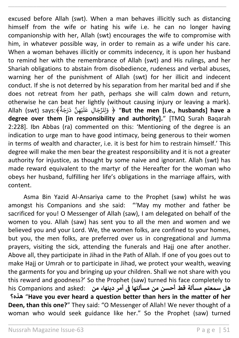excused before Allah (swt). When a man behaves illicitly such as distancing himself from the wife or hating his wife i.e. he can no longer having companionship with her, Allah (swt) encourages the wife to compromise with him, in whatever possible way, in order to remain as a wife under his care. When a woman behaves illicitly or commits indecency, it is upon her husband to remind her with the remembrance of Allah (swt) and His rulings, and her Shariah obligations to abstain from disobedience, rudeness and verbal abuses, warning her of the punishment of Allah (swt) for her illicit and indecent conduct. If she is not deterred by his separation from her marital bed and if she does not retreat from her path, perhaps she will calm down and return, otherwise he can beat her lightly (without causing injury or leaving a mark). Allah (swt) says:﴾ ٍ<br>؞ ة ن ج ن ر ن د َّ ن ه ي ر ً<br>آ رِّ صِنْ الْعَالِمِينَ فِي الْمُسْلِمِينَ فَقَالِمِينَ فَقَالِمَ لِلْمَجَالِ عَلَيْكُمْ فَقَالِمَ لِلْفَقَالِ<br>**But the men [i.e., husbands] have a** وَلِلرِّجَالِ عَلَيْ **degree over them [in responsibility and authority].**" [TMQ Surah Baqarah 2:228]. Ibn Abbas (ra) commented on this: 'Mentioning of the degree is an indication to urge man to have good intimacy, being generous to their women in terms of wealth and character, i.e. it is best for him to restrain himself.' This degree will make the men bear the greatest responsibility and it is not a greater authority for injustice, as thought by some naive and ignorant. Allah (swt) has made reward equivalent to the martyr of the Hereafter for the woman who obeys her husband, fulfilling her life's obligations in the marriage affairs, with content.

\_\_\_\_\_\_\_\_\_\_\_\_\_\_\_\_\_\_\_\_\_\_\_\_\_\_\_\_\_\_\_\_\_\_\_\_\_\_\_\_\_\_\_\_\_\_\_\_\_\_\_\_\_\_\_\_\_\_\_\_\_\_\_\_\_\_\_\_\_\_

Asma Bin Yazid Al-Ansariya came to the Prophet (saw) whilst he was amongst his Companions and she said: "'May my mother and father be sacrificed for you! O Messenger of Allah (saw), I am delegated on behalf of the women to you. Allah (saw) has sent you to all the men and women and we believed you and your Lord. We, the women folks, are confined to your homes, but you, the men folks, are preferred over us in congregational and Jumma prayers, visiting the sick, attending the funerals and Hajj one after another. Above all, they participate in Jihad in the Path of Allah. If one of you goes out to make Hajj or Umrah or to participate in Jihad, we protect your wealth, weaving the garments for you and bringing up your children. Shall we not share with you this reward and goodness?' So the Prophet (saw) turned his face completely to his Companions and asked: **من ،دينها أمر هل سمعتم مسألة قط أحسن من مسألتها ف ي ن هذه؟**" **Have you ever heard a question better than hers in the matter of her Deen, than this one?**" They said: "O Messenger of Allah! We never thought of a woman who would seek guidance like her." So the Prophet (saw) turned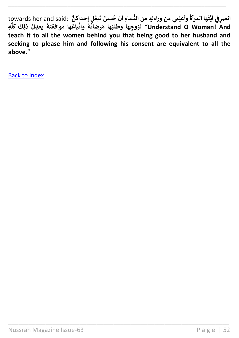انصرِ في أيَّتُها المرأةُ وأعلِمي من وراءكِ من النِّساءِ أن حُسنَ تَبعُّلٍ إحداكنَّ :towards her and said<br>. **ُ ي ن َ ت َ سن ساِء أن ح ِّ يم من وراءِك من الن ِ وأعل مرأة ُ ُ ِه** ر<br>ا **باعَها موافقتهُ يعدِلُ ذٰلِكَ كلَّا ُ ُ ِّ وات ه ُ َ رضات َ ها م َ وطلب جهاِلزو**" **Understand O Woman! And teach it to all the women behind you that being good to her husband and seeking to please him and following his consent are equivalent to all the above.**"

\_\_\_\_\_\_\_\_\_\_\_\_\_\_\_\_\_\_\_\_\_\_\_\_\_\_\_\_\_\_\_\_\_\_\_\_\_\_\_\_\_\_\_\_\_\_\_\_\_\_\_\_\_\_\_\_\_\_\_\_\_\_\_\_\_

\_\_\_\_\_\_\_\_\_\_\_\_\_\_\_\_\_\_\_\_\_\_\_\_\_\_\_\_\_\_\_\_\_\_\_\_\_\_\_\_\_\_\_\_\_\_\_\_\_\_\_\_\_\_\_\_\_\_\_\_\_\_\_\_\_\_\_\_\_\_

[Back to Index](#page-1-0)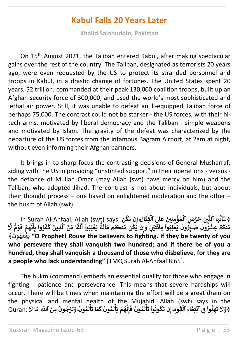# **Kabul Falls 20 Years Later**

\_\_\_\_\_\_\_\_\_\_\_\_\_\_\_\_\_\_\_\_\_\_\_\_\_\_\_\_\_\_\_\_\_\_\_\_\_\_\_\_\_\_\_\_\_\_\_\_\_\_\_\_\_\_\_\_\_\_\_\_\_\_\_\_\_\_\_\_\_\_

**Khalid Salahuddin, Pakistan**

On 15<sup>th</sup> August 2021, the Taliban entered Kabul, after making spectacular gains over the rest of the country. The Taliban, designated as terrorists 20 years ago, were even requested by the US to protect its stranded personnel and troops in Kabul, in a drastic change of fortunes. The United States spent 20 years, [\\$2 trillion,](https://watson.brown.edu/costsofwar/figures/2021/human-and-budgetary-costs-date-us-war-afghanistan-2001-2021) commanded at their peak [130,000 coalition troops,](https://www.nato.int/cps/en/natohq/topics_69366.htm) built up an Afghan security force of 300,000, and used the world's most sophisticated and lethal air power. Still, it was unable to defeat an [ill-equipped Taliban force of](https://www.nytimes.com/2021/08/12/us/marines-evacuation-afghanistan.html)  [perhaps 75,000.](https://www.nytimes.com/2021/08/12/us/marines-evacuation-afghanistan.html) The contrast could not be starker - the US forces, with their hitech arms, motivated by liberal democracy and the Taliban - simple weapons and motivated by Islam. The gravity of the defeat was characterized by the departure of the US forces from the infamous Bagram Airport, at 2am at night, without even informing their Afghan partners.

It brings in to sharp focus the contrasting decisions of General Musharraf, siding with the US in providing "unstinted support" in their operations - versus the defiance of Mullah Omar (may Allah (swt) have mercy on him) and the Taliban, who adopted Jihad. The contrast is not about individuals, but about their thought process – one based on enlightened moderation and the other – the hukm of Allah (swt).

In Surah Al-Anfaal, Allah (swt) says; **لِ** ﴿ **ا َ ِقت ۡ ٱل َ** مُؤَمِنِينَ عَلَى<br>مَعْقَدِينَ **ُ ۡ** ِّيُّهَا ٱلنَّبِىُّ حَرِّضِ ٱلْا **َُّ** يَّـَأَيُّهَا ٱلنَّبِىُّ حَرِّضِ ٱلْمُؤْمِنِينَ عَلَى ٱلْقِتَالِ إِن يَكُن ;says (leah Al-Anfaal, Allah (swt)<br>مُعَرَّضَ أَنَّهُ أَنَّ أَنَّهُ مِنْ أَنَّهُ أَنْ أَنَّهُ أَنَّهُ مِنْ أَنَّهُ مِنْ أَنَّهُ أَنَّ أَنَّ أَنَّ أ **ٰ ُ إ** برچىيە مىلبى سرس مىلوپىيىن سى.<br>مەنگە عِشْرُونَ صَـٰبِرُونَ يَغۡلِبُواْ مِاْئَتَيۡنِ **ن ْ ْ ُ** .<br>•<br>• **ٰ ُ ُ ً۬ ٌ ة َ ئ ا ِّ م م نڪُ ِّ ن م ك َ ِن ي َ و ْ ُ إ َل ٌ م ۡ و ً۬ َ ق ۡ م ه ُ ن أ ِ ب وا ر ْ ُ َ ف َ ك َ ِذين َّ ٱل َ ن ِّ ا م ً۬ ً ف** ا<br>آ **ل ْٓ و ِب ل ۡ غ َ ي أ ْ ا ُ َ ون ه ُ َ ق ۡ ف َ** ﴾ **ي" O Prophet! Rouse the believers to fighting. If they be twenty of you who persevere they shall vanquish two hundred; and if there be of you a hundred, they shall vanquish a thousand of those who disbelieve, for they are a people who lack understanding"** [TMQ Surah Al-Anfaal 8:65].

The hukm (command) embeds an essential quality for those who engage in fighting - patience and perseverance. This means that severe hardships will occur. There will be times when maintaining the effort will be a great drain on the physical and mental health of the Mujahid. Allah (swt) says in the **ۡ ۡ ۡ** Quran: ﴿ **ِ م ۡ و َ ق** ا<br>ا **ِء ٱل ٰٓ ا َ ِتغ ۡ ٱب ِ ف وا ن ِ ه ن ْ ُ َ ت َ** ا السَّنَّةِ الْمَرَّةِ وَ الْمَرَّةِ الْمَسْلَمِينَ الْمَسْلَمَانِ الْمَرْسَدِينَ الْمَسْلَمَانِ الْمَرْس<br>وَلَا تَهِنُواْ فِي ٱبۡتِغَآءِ ٱلۡقَوۡمِ إِن تَكُونُواْ تَأۡلَمُونَ فَإِنَّهُمۡ يَأۡلَمُونَ کَ **ُ َ ل أ َ ي ۡ م ه ُ ن ِ إ َ ف َ ون م ُ** ا<br>أ **ل أ َ ت وا ون ك ْ ُ ُ َ** me in the wajama: *A*ma<br>إِن تَكُونُواْ تَأَلَّمُونَ فَإِنَّهُمَ يَأْلَمُونَ كَمَا تَأْلَمُونَ **إ ُ** ا<br>أ **ل أ َ** لمَا تَأَلَمُونَ*ّ* **َ** اعلام الله عليه<br>**رُجُونَ مِنَ ٱللَّٰهِ مَا لَا ُ َ ت َ و**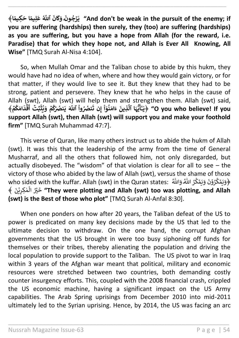And don't be weak in the pursuit of the enemy; if" يَرۡجُونَـۢ وَكَانَ ٱللَّهُ عَلِيمًا حَكِيمًا﴾ **ُ you are suffering (hardships) then surely, they (too) are suffering (hardships) as you are suffering, but you have a hope from Allah (for the reward, i.e. Paradise) that for which they hope not, and Allah is Ever All Knowing, All Wise"** [TMQ Surah Al-Nisa 4:104].

\_\_\_\_\_\_\_\_\_\_\_\_\_\_\_\_\_\_\_\_\_\_\_\_\_\_\_\_\_\_\_\_\_\_\_\_\_\_\_\_\_\_\_\_\_\_\_\_\_\_\_\_\_\_\_\_\_\_\_\_\_\_\_\_\_\_\_\_\_\_

So, when Mullah Omar and the Taliban chose to abide by this hukm, they would have had no idea of when, where and how they would gain victory, or for that matter, if they would live to see it. But they knew that they had to be strong, patient and persevere. They knew that he who helps in the cause of Allah (swt), Allah (swt) will help them and strengthen them. Allah (swt) said, man Your), Aman Your) win neip enem and stren.<br>﴿يَنَاأَيُّهَا ٱلَّذِينَ ءَامَنُوٓاْ إِن تَنصُرُواْ ٱللَّهَ يَنصُرَكُمْ وَيُثَبِّتُ أَقْدَامَكُمْ **ُ ۡ ق** ,,wι<br>ڛ**ِّتۡ** أَ **أ َ ث ي َ و ۡ م ك ُٰصۡ ن َ ي ٱّٰلل َّ َ وا ُٰصُ ن ُ ُ ْ َ** مسمد السياسية<br>**لَّذِينَ** ءَامَنُوٓاْ إِن تَ **إ ْ ا ُ َّ ا ٱل َ ہ ُّ ي** ا<br>۽ , السام العالمي السام العالمي المستمر العالمي السام العالمي السام السام السام السام السام السام السام<br>O you who believe! If you ﴿ يَنَأَيُّهَا ٱلَّذِينَ ءَامَنُوٓاْ إِن تَنصُرُواْ ٱللَّهَ يَنصُرَكُمَّ وَيُثَبِّتُ أَقَدَام **ٰ support Allah (swt), then Allah (swt) will support you and make your foothold firm"** [TMQ Surah Muhammad 47:7].

This verse of Quran, like many others instruct us to abide the hukm of Allah (swt). It was this that the leadership of the army from the time of General Musharraf, and all the others that followed him, not only disregarded, but actually disobeyed. The "wisdom" of that violation is clear for all to see – the victory of those who abided by the law of Allah (swt), versus the shame of those who sided with the kuffar. Allah (swt) in the Quran states: ﴿وَيَمۡكُرُوۡنَ وَيَمۡكُرُ اللّٰهُ وَاللّٰهُ ﴾ .<br>﴿وَيَمۡكُرُوۡنَ وَيَمۡكُرُ اللّٰهُ وَاللّٰهُ ﴾ . ا<br>م ا<br>م ُ ث ۡ ن خ ﴾ ن ن ۡ ي ِ كر م ٰ ا<br>أ ال**" They were plotting and Allah (swt) too was plotting, and Allah (swt) is the Best of those who plot"** [TMQ Surah Al-Anfal 8:30].

When one ponders on how after 20 years, the Taliban defeat of the US to power is predicated on many key decisions made by the US that led to the ultimate decision to withdraw. On the one hand, the corrupt Afghan governments that the US brought in were too busy siphoning off funds for themselves or their tribes, thereby alienating the population and driving the local population to provide support to the Taliban. The US pivot to war in Iraq within 3 years of the Afghan war meant that political, military and economic resources were stretched between two countries, both demanding costly counter insurgency efforts. This, coupled with the 2008 financial crash, crippled the US economic machine, having a significant impact on the US Army capabilities. The Arab Spring uprisings from December 2010 into mid-2011 ultimately led to the Syrian uprising. Hence, by 2014, the US was facing an arc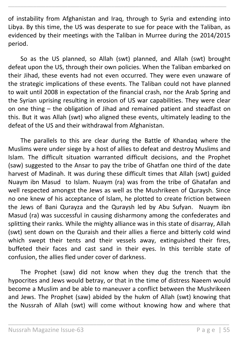of instability from Afghanistan and Iraq, through to Syria and extending into Libya. By this time, the US was desperate to sue for peace with the Taliban, as evidenced by their meetings with the Taliban in Murree during the 2014/2015 period.

\_\_\_\_\_\_\_\_\_\_\_\_\_\_\_\_\_\_\_\_\_\_\_\_\_\_\_\_\_\_\_\_\_\_\_\_\_\_\_\_\_\_\_\_\_\_\_\_\_\_\_\_\_\_\_\_\_\_\_\_\_\_\_\_\_\_\_\_\_\_

So as the US planned, so Allah (swt) planned, and Allah (swt) brought defeat upon the US, through their own policies. When the Taliban embarked on their Jihad, these events had not even occurred. They were even unaware of the strategic implications of these events. The Taliban could not have planned to wait until 2008 in expectation of the financial crash, nor the Arab Spring and the Syrian uprising resulting in erosion of US war capabilities. They were clear on one thing – the obligation of Jihad and remained patient and steadfast on this. But it was Allah (swt) who aligned these events, ultimately leading to the defeat of the US and their withdrawal from Afghanistan.

The parallels to this are clear during the Battle of Khandaq where the Muslims were under siege by a host of allies to defeat and destroy Muslims and Islam. The difficult situation warranted difficult decisions, and the Prophet (saw) suggested to the Ansar to pay the tribe of Ghatfan one third of the date harvest of Madinah. It was during these difficult times that Allah (swt) guided Nuaym ibn Masud to Islam. Nuaym (ra) was from the tribe of Ghatafan and well respected amongst the Jews as well as the Mushrikeen of Quraysh. Since no one knew of his acceptance of Islam, he plotted to create friction between the Jews of Bani Qurayza and the Quraysh led by Abu Sufyan. Nuaym ibn Masud (ra) was successful in causing disharmony among the confederates and splitting their ranks. While the mighty alliance was in this state of disarray, Allah (swt) sent down on the Quraish and their allies a fierce and bitterly cold wind which swept their tents and their vessels away, extinguished their fires, buffeted their faces and cast sand in their eyes. In this terrible state of confusion, the allies fled under cover of darkness.

The Prophet (saw) did not know when they dug the trench that the hypocrites and Jews would betray, or that in the time of distress Naeem would become a Muslim and be able to maneuver a conflict between the Mushrikeen and Jews. The Prophet (saw) abided by the hukm of Allah (swt) knowing that the Nussrah of Allah (swt) will come without knowing how and where that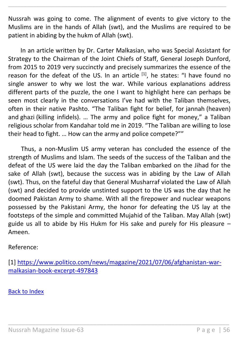Nussrah was going to come. The alignment of events to give victory to the Muslims are in the hands of Allah (swt), and the Muslims are required to be patient in abiding by the hukm of Allah (swt).

\_\_\_\_\_\_\_\_\_\_\_\_\_\_\_\_\_\_\_\_\_\_\_\_\_\_\_\_\_\_\_\_\_\_\_\_\_\_\_\_\_\_\_\_\_\_\_\_\_\_\_\_\_\_\_\_\_\_\_\_\_\_\_\_\_\_\_\_\_\_

In an article written by Dr. Carter Malkasian, who was Special Assistant for Strategy to the Chairman of the Joint Chiefs of Staff, General Joseph Dunford, from 2015 to 2019 very succinctly and precisely summarizes the essence of the reason for the defeat of the US. In an article  $^{[1]}$ , he states: "I have found no single answer to why we lost the war. While various explanations address different parts of the puzzle, the one I want to highlight here can perhaps be seen most clearly in the conversations I've had with the Taliban themselves, often in their native Pashto. "The Taliban fight for belief, for jannah (heaven) and ghazi (killing infidels). … The army and police fight for money," a Taliban religious scholar from Kandahar told me in 2019. "The Taliban are willing to lose their head to fight. … How can the army and police compete?""

Thus, a non-Muslim US army veteran has concluded the essence of the strength of Muslims and Islam. The seeds of the success of the Taliban and the defeat of the US were laid the day the Taliban embarked on the Jihad for the sake of Allah (swt), because the success was in abiding by the Law of Allah (swt). Thus, on the fateful day that General Musharraf violated the Law of Allah (swt) and decided to provide unstinted support to the US was the day that he doomed Pakistan Army to shame. With all the firepower and nuclear weapons possessed by the Pakistani Army, the honor for defeating the US lay at the footsteps of the simple and committed Mujahid of the Taliban. May Allah (swt) guide us all to abide by His Hukm for His sake and purely for His pleasure – Ameen.

Reference:

[1] [https://www.politico.com/news/magazine/2021/07/06/afghanistan-war](https://www.politico.com/news/magazine/2021/07/06/afghanistan-war-malkasian-book-excerpt-497843)[malkasian-book-excerpt-497843](https://www.politico.com/news/magazine/2021/07/06/afghanistan-war-malkasian-book-excerpt-497843)

\_\_\_\_\_\_\_\_\_\_\_\_\_\_\_\_\_\_\_\_\_\_\_\_\_\_\_\_\_\_\_\_\_\_\_\_\_\_\_\_\_\_\_\_\_\_\_\_\_\_\_\_\_\_\_\_\_\_\_\_\_\_\_\_\_

[Back to Index](#page-1-0)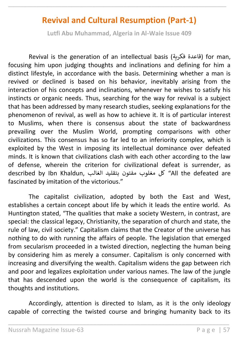# **Revival and Cultural Resumption (Part-1)**

\_\_\_\_\_\_\_\_\_\_\_\_\_\_\_\_\_\_\_\_\_\_\_\_\_\_\_\_\_\_\_\_\_\_\_\_\_\_\_\_\_\_\_\_\_\_\_\_\_\_\_\_\_\_\_\_\_\_\_\_\_\_\_\_\_\_\_\_\_\_

**Lutfi Abu Muhammad, Algeria in Al-Waie Issue 409**

Revival is the generation of an intellectual basis (فكرية قاعدة (for man, focusing him upon judging thoughts and inclinations and defining for him a distinct lifestyle, in accordance with the basis. Determining whether a man is revived or declined is based on his behavior, inevitably arising from the interaction of his concepts and inclinations, whenever he wishes to satisfy his instincts or organic needs. Thus, searching for the way for revival is a subject that has been addressed by many research studies, seeking explanations for the phenomenon of revival, as well as how to achieve it. It is of particular interest to Muslims, when there is consensus about the state of backwardness prevailing over the Muslim World, prompting comparisons with other civilizations. This consensus has so far led to an inferiority complex, which is exploited by the West in imposing its intellectual dominance over defeated minds. It is known that civilizations clash with each other according to the law of defense, wherein the criterion for civilizational defeat is surrender, as described by Ibn Khaldun, الغالب بتقليد مفتون مغلوب كل" All the defeated are fascinated by imitation of the victorious."

The capitalist civilization, adopted by both the East and West, establishes a certain concept about life by which it leads the entire world. As Huntington stated, "The qualities that make a society Western, in contrast, are special: the classical legacy, Christianity, the separation of church and state, the rule of law, civil society." Capitalism claims that the Creator of the universe has nothing to do with running the affairs of people. The legislation that emerged from secularism proceeded in a twisted direction, neglecting the human being by considering him as merely a consumer. Capitalism is only concerned with increasing and diversifying the wealth. Capitalism widens the gap between rich and poor and legalizes exploitation under various names. The law of the jungle that has descended upon the world is the consequence of capitalism, its thoughts and institutions.

Accordingly, attention is directed to Islam, as it is the only ideology capable of correcting the twisted course and bringing humanity back to its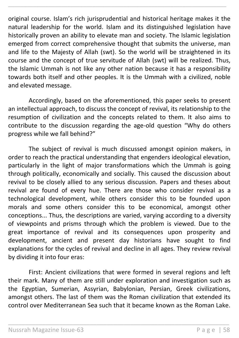original course. Islam's rich jurisprudential and historical heritage makes it the natural leadership for the world. Islam and its distinguished legislation have historically proven an ability to elevate man and society. The Islamic legislation emerged from correct comprehensive thought that submits the universe, man and life to the Majesty of Allah (swt). So the world will be straightened in its course and the concept of true servitude of Allah (swt) will be realized. Thus, the Islamic Ummah is not like any other nation because it has a responsibility towards both itself and other peoples. It is the Ummah with a civilized, noble and elevated message.

\_\_\_\_\_\_\_\_\_\_\_\_\_\_\_\_\_\_\_\_\_\_\_\_\_\_\_\_\_\_\_\_\_\_\_\_\_\_\_\_\_\_\_\_\_\_\_\_\_\_\_\_\_\_\_\_\_\_\_\_\_\_\_\_\_\_\_\_\_\_

Accordingly, based on the aforementioned, this paper seeks to present an intellectual approach, to discuss the concept of revival, its relationship to the resumption of civilization and the concepts related to them. It also aims to contribute to the discussion regarding the age-old question "Why do others progress while we fall behind?"

The subject of revival is much discussed amongst opinion makers, in order to reach the practical understanding that engenders ideological elevation, particularly in the light of major transformations which the Ummah is going through politically, economically and socially. This caused the discussion about revival to be closely allied to any serious discussion. Papers and theses about revival are found of every hue. There are those who consider revival as a technological development, while others consider this to be founded upon morals and some others consider this to be economical, amongst other conceptions... Thus, the descriptions are varied, varying according to a diversity of viewpoints and prisms through which the problem is viewed. Due to the great importance of revival and its consequences upon prosperity and development, ancient and present day historians have sought to find explanations for the cycles of revival and decline in all ages. They review revival by dividing it into four eras:

First: Ancient civilizations that were formed in several regions and left their mark. Many of them are still under exploration and investigation such as the Egyptian, Sumerian, Assyrian, Babylonian, Persian, Greek civilizations, amongst others. The last of them was the Roman civilization that extended its control over Mediterranean Sea such that it became known as the Roman Lake.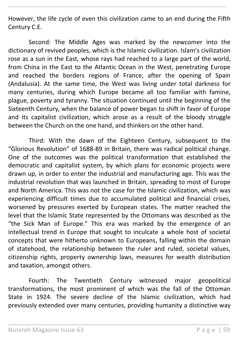However, the life cycle of even this civilization came to an end during the Fifth Century C.E.

\_\_\_\_\_\_\_\_\_\_\_\_\_\_\_\_\_\_\_\_\_\_\_\_\_\_\_\_\_\_\_\_\_\_\_\_\_\_\_\_\_\_\_\_\_\_\_\_\_\_\_\_\_\_\_\_\_\_\_\_\_\_\_\_\_\_\_\_\_\_

Second: The Middle Ages was marked by the newcomer into the dictionary of revived peoples, which is the Islamic civilization. Islam's civilization rose as a sun in the East, whose rays had reached to a large part of the world, from China in the East to the Atlantic Ocean in the West, penetrating Europe and reached the borders regions of France, after the opening of Spain (Andalusia). At the same time, the West was living under total darkness for many centuries, during which Europe became all too familiar with famine, plague, poverty and tyranny. The situation continued until the beginning of the Sixteenth Century, when the balance of power began to shift in favor of Europe and its capitalist civilization, which arose as a result of the bloody struggle between the Church on the one hand, and thinkers on the other hand.

Third: With the dawn of the Eighteen Century, subsequent to the "Glorious Revolution" of 1688-89 in Britain, there was radical political change. One of the outcomes was the political transformation that established the democratic and capitalist system, by which plans for economic projects were drawn up, in order to enter the industrial and manufacturing age. This was the industrial revolution that was launched in Britain, spreading to most of Europe and North America. This was not the case for the Islamic civilization, which was experiencing difficult times due to accumulated political and financial crises, worsened by pressures exerted by European states. The matter reached the level that the Islamic State represented by the Ottomans was described as the "the Sick Man of Europe." This era was marked by the emergence of an intellectual trend in Europe that sought to inculcate a whole host of societal concepts that were hitherto unknown to Europeans, falling within the domain of statehood, the relationship between the ruler and ruled, societal values, citizenship rights, property ownership laws, measures for wealth distribution and taxation, amongst others.

Fourth: The Twentieth Century witnessed major geopolitical transformations, the most prominent of which was the fall of the Ottoman State in 1924. The severe decline of the Islamic civilization, which had previously extended over many centuries, providing humanity a distinctive way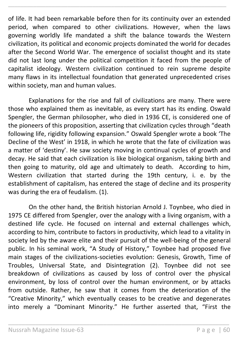of life. It had been remarkable before then for its continuity over an extended period, when compared to other civilizations. However, when the laws governing worldly life mandated a shift the balance towards the Western civilization, its political and economic projects dominated the world for decades after the Second World War. The emergence of socialist thought and its state did not last long under the political competition it faced from the people of capitalist ideology. Western civilization continued to rein supreme despite many flaws in its intellectual foundation that generated unprecedented crises within society, man and human values.

\_\_\_\_\_\_\_\_\_\_\_\_\_\_\_\_\_\_\_\_\_\_\_\_\_\_\_\_\_\_\_\_\_\_\_\_\_\_\_\_\_\_\_\_\_\_\_\_\_\_\_\_\_\_\_\_\_\_\_\_\_\_\_\_\_\_\_\_\_\_

Explanations for the rise and fall of civilizations are many. There were those who explained them as inevitable, as every start has its ending. Oswald Spengler, the German philosopher, who died in 1936 CE, is considered one of the pioneers of this proposition, asserting that civilization cycles through "death following life, rigidity following expansion." Oswald Spengler wrote a book 'The Decline of the West' in 1918, in which he wrote that the fate of civilization was a matter of 'destiny'. He saw society moving in continual cycles of growth and decay. He said that each civilization is like biological organism, taking birth and then going to maturity, old age and ultimately to death. According to him, Western civilization that started during the 19th century, i. e. by the establishment of capitalism, has entered the stage of decline and its prosperity was during the era of feudalism. (1).

On the other hand, the British historian Arnold J. Toynbee, who died in 1975 CE differed from Spengler, over the analogy with a living organism, with a destined life cycle. He focused on internal and external challenges which, according to him, contribute to factors in productivity, which lead to a vitality in society led by the aware elite and their pursuit of the well-being of the general public. In his seminal work, "A Study of History," Toynbee had proposed five main stages of the civilizations-societies evolution: Genesis, Growth, Time of Troubles, Universal State, and Disintegration (2). Toynbee did not see breakdown of civilizations as caused by loss of control over the physical environment, by loss of control over the human environment, or by attacks from outside. Rather, he saw that it comes from the deterioration of the "Creative Minority," which eventually ceases to be creative and degenerates into merely a "Dominant Minority." He further asserted that, "First the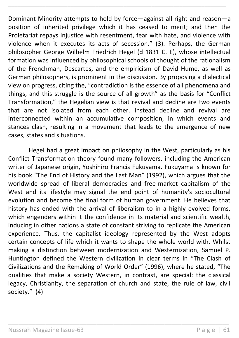Dominant Minority attempts to hold by force—against all right and reason—a position of inherited privilege which it has ceased to merit; and then the Proletariat repays injustice with resentment, fear with hate, and violence with violence when it executes its acts of secession." (3). Perhaps, the German philosopher George Wilhelm Friedrich Hegel (d 1831 C. E), whose intellectual formation was influenced by philosophical schools of thought of the rationalism of the Frenchman, Descartes, and the empiricism of David Hume, as well as German philosophers, is prominent in the discussion. By proposing a dialectical view on progress, citing the, "contradiction is the essence of all phenomena and things, and this struggle is the source of all growth" as the basis for "Conflict Transformation," the Hegelian view is that revival and decline are two events that are not isolated from each other. Instead decline and revival are interconnected within an accumulative composition, in which events and stances clash, resulting in a movement that leads to the emergence of new cases, states and situations.

\_\_\_\_\_\_\_\_\_\_\_\_\_\_\_\_\_\_\_\_\_\_\_\_\_\_\_\_\_\_\_\_\_\_\_\_\_\_\_\_\_\_\_\_\_\_\_\_\_\_\_\_\_\_\_\_\_\_\_\_\_\_\_\_\_\_\_\_\_\_

Hegel had a great impact on philosophy in the West, particularly as his Conflict Transformation theory found many followers, including the American writer of Japanese origin, Yoshihiro Francis Fukuyama. Fukuyama is known for his book "The End of History and the Last Man" (1992), which argues that the worldwide spread of liberal democracies and free-market capitalism of the West and its lifestyle may signal the end point of humanity's sociocultural evolution and become the final form of human government. He believes that history has ended with the arrival of liberalism to in a highly evolved forms, which engenders within it the confidence in its material and scientific wealth, inducing in other nations a state of constant striving to replicate the American experience. Thus, the capitalist ideology represented by the West adopts certain concepts of life which it wants to shape the whole world with. Whilst making a distinction between modernization and Westernization, Samuel P. Huntington defined the Western civilization in clear terms in "The Clash of Civilizations and the Remaking of World Order" (1996), where he stated, "The qualities that make a society Western, in contrast, are special: the classical legacy, Christianity, the separation of church and state, the rule of law, civil society." (4)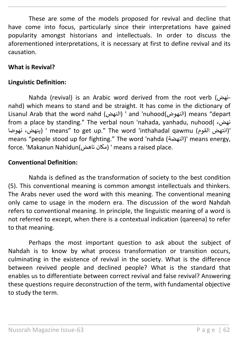These are some of the models proposed for revival and decline that have come into focus, particularly since their interpretations have gained popularity amongst historians and intellectuals. In order to discuss the aforementioned interpretations, it is necessary at first to define revival and its causation.

\_\_\_\_\_\_\_\_\_\_\_\_\_\_\_\_\_\_\_\_\_\_\_\_\_\_\_\_\_\_\_\_\_\_\_\_\_\_\_\_\_\_\_\_\_\_\_\_\_\_\_\_\_\_\_\_\_\_\_\_\_\_\_\_\_\_\_\_\_\_

#### **What is Revival?**

#### **Linguistic Definition:**

Nahda (revival) is an Arabic word derived from the root verb (نهضnahd) which means to stand and be straight. It has come in the dictionary of Lisanul Arab that the word nahd (النهض ' (and 'nuhood(النهوض (means "depart from a place by standing." The verbal noun 'nahada, yanhadu, nuhood( ،نهض نهوضا ،ينهض ' (means" to get up." The word 'inthahadal qawmu (القوم انتهض '( means "people stood up for fighting." The word 'nahda (النهضة)' means energy, force. 'Makanun Nahidun(ناهض مكان ' (means a raised place.

#### **Conventional Definition:**

Nahda is defined as the transformation of society to the best condition (5). This conventional meaning is common amongst intellectuals and thinkers. The Arabs never used the word with this meaning. The conventional meaning only came to usage in the modern era. The discussion of the word Nahdah refers to conventional meaning. In principle, the linguistic meaning of a word is not referred to except, when there is a contextual indication (qareena) to refer to that meaning.

Perhaps the most important question to ask about the subject of Nahdah is to know by what process transformation or transition occurs, culminating in the existence of revival in the society. What is the difference between revived people and declined people? What is the standard that enables us to differentiate between correct revival and false revival? Answering these questions require deconstruction of the term, with fundamental objective to study the term.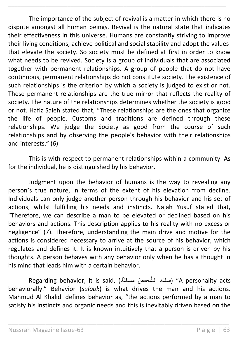The importance of the subject of revival is a matter in which there is no dispute amongst all human beings. Revival is the natural state that indicates their effectiveness in this universe. Humans are constantly striving to improve their living conditions, achieve political and social stability and adopt the values that elevate the society. So society must be defined at first in order to know what needs to be revived. Society is a group of individuals that are associated together with permanent relationships. A group of people that do not have continuous, permanent relationships do not constitute society. The existence of such relationships is the criterion by which a society is judged to exist or not. These permanent relationships are the true mirror that reflects the reality of society. The nature of the relationships determines whether the society is good or not. Hafiz Saleh stated that, "These relationships are the ones that organize the life of people. Customs and traditions are defined through these relationships. We judge the Society as good from the course of such relationships and by observing the people's behavior with their relationships and interests." (6)

\_\_\_\_\_\_\_\_\_\_\_\_\_\_\_\_\_\_\_\_\_\_\_\_\_\_\_\_\_\_\_\_\_\_\_\_\_\_\_\_\_\_\_\_\_\_\_\_\_\_\_\_\_\_\_\_\_\_\_\_\_\_\_\_\_\_\_\_\_\_

This is with respect to permanent relationships within a community. As for the individual, he is distinguished by his behavior.

Judgment upon the behavior of humans is the way to revealing any person's true nature, in terms of the extent of his elevation from decline. Individuals can only judge another person through his behavior and his set of actions, whilst fulfilling his needs and instincts. Najah Yusuf stated that, "Therefore, we can describe a man to be elevated or declined based on his behaviors and actions. This description applies to his reality with no excess or negligence" (7). Therefore, understanding the main drive and motive for the actions is considered necessary to arrive at the source of his behavior, which regulates and defines it. It is known intuitively that a person is driven by his thoughts. A person behaves with any behavior only when he has a thought in his mind that leads him with a certain behavior.

.<br>ك الشَّخصُ مسلكً) ,Regarding behavior, it is said ً<br>آ سل" (A personality acts behaviorally." Behavior (*sulook*) is what drives the man and his actions. Mahmud Al Khalidi defines behavior as, "the actions performed by a man to satisfy his instincts and organic needs and this is inevitably driven based on the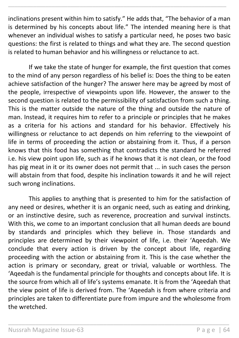inclinations present within him to satisfy." He adds that, "The behavior of a man is determined by his concepts about life." The intended meaning here is that whenever an individual wishes to satisfy a particular need, he poses two basic questions: the first is related to things and what they are. The second question is related to human behavior and his willingness or reluctance to act.

\_\_\_\_\_\_\_\_\_\_\_\_\_\_\_\_\_\_\_\_\_\_\_\_\_\_\_\_\_\_\_\_\_\_\_\_\_\_\_\_\_\_\_\_\_\_\_\_\_\_\_\_\_\_\_\_\_\_\_\_\_\_\_\_\_\_\_\_\_\_

If we take the state of hunger for example, the first question that comes to the mind of any person regardless of his belief is: Does the thing to be eaten achieve satisfaction of the hunger? The answer here may be agreed by most of the people, irrespective of viewpoints upon life. However, the answer to the second question is related to the permissibility of satisfaction from such a thing. This is the matter outside the nature of the thing and outside the nature of man. Instead, it requires him to refer to a principle or principles that he makes as a criteria for his actions and standard for his behavior. Effectively his willingness or reluctance to act depends on him referring to the viewpoint of life in terms of proceeding the action or abstaining from it. Thus, if a person knows that this food has something that contradicts the standard he referred i.e. his view point upon life, such as if he knows that it is not clean, or the food has pig meat in it or its owner does not permit that ... in such cases the person will abstain from that food, despite his inclination towards it and he will reject such wrong inclinations.

This applies to anything that is presented to him for the satisfaction of any need or desires, whether it is an organic need, such as eating and drinking, or an instinctive desire, such as reverence, procreation and survival instincts. With this, we come to an important conclusion that all human deeds are bound by standards and principles which they believe in. Those standards and principles are determined by their viewpoint of life, i.e. their 'Aqeedah. We conclude that every action is driven by the concept about life, regarding proceeding with the action or abstaining from it. This is the case whether the action is primary or secondary, great or trivial, valuable or worthless. The 'Aqeedah is the fundamental principle for thoughts and concepts about life. It is the source from which all of life's systems emanate. It is from the 'Aqeedah that the view point of life is derived from. The 'Aqeedah is from where criteria and principles are taken to differentiate pure from impure and the wholesome from the wretched.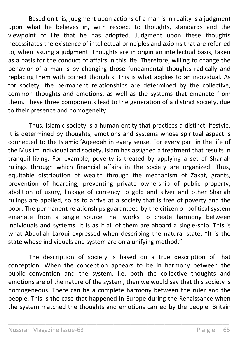Based on this, judgment upon actions of a man is in reality is a judgment upon what he believes in, with respect to thoughts, standards and the viewpoint of life that he has adopted. Judgment upon these thoughts necessitates the existence of intellectual principles and axioms that are referred to, when issuing a judgment. Thoughts are in origin an intellectual basis, taken as a basis for the conduct of affairs in this life. Therefore, willing to change the behavior of a man is by changing those fundamental thoughts radically and replacing them with correct thoughts. This is what applies to an individual. As for society, the permanent relationships are determined by the collective, common thoughts and emotions, as well as the systems that emanate from them. These three components lead to the generation of a distinct society, due to their presence and homogeneity.

\_\_\_\_\_\_\_\_\_\_\_\_\_\_\_\_\_\_\_\_\_\_\_\_\_\_\_\_\_\_\_\_\_\_\_\_\_\_\_\_\_\_\_\_\_\_\_\_\_\_\_\_\_\_\_\_\_\_\_\_\_\_\_\_\_\_\_\_\_\_

Thus, Islamic society is a human entity that practices a distinct lifestyle. It is determined by thoughts, emotions and systems whose spiritual aspect is connected to the Islamic 'Aqeedah in every sense. For every part in the life of the Muslim individual and society, Islam has assigned a treatment that results in tranquil living. For example, poverty is treated by applying a set of Shariah rulings through which financial affairs in the society are organized. Thus, equitable distribution of wealth through the mechanism of Zakat, grants, prevention of hoarding, preventing private ownership of public property, abolition of usury, linkage of currency to gold and silver and other Shariah rulings are applied, so as to arrive at a society that is free of poverty and the poor. The permanent relationships guaranteed by the citizen or political system emanate from a single source that works to create harmony between individuals and systems. It is as if all of them are aboard a single-ship. This is what Abdullah Laroui expressed when describing the natural state, "It is the state whose individuals and system are on a unifying method."

The description of society is based on a true description of that conception. When the conception appears to be in harmony between the public convention and the system, i.e. both the collective thoughts and emotions are of the nature of the system, then we would say that this society is homogeneous. There can be a complete harmony between the ruler and the people. This is the case that happened in Europe during the Renaissance when the system matched the thoughts and emotions carried by the people. Britain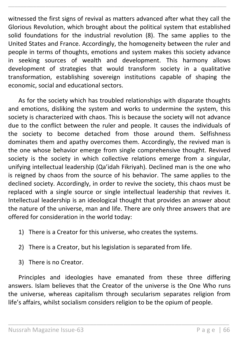witnessed the first signs of revival as matters advanced after what they call the Glorious Revolution, which brought about the political system that established solid foundations for the industrial revolution (8). The same applies to the United States and France. Accordingly, the homogeneity between the ruler and people in terms of thoughts, emotions and system makes this society advance in seeking sources of wealth and development. This harmony allows development of strategies that would transform society in a qualitative transformation, establishing sovereign institutions capable of shaping the economic, social and educational sectors.

\_\_\_\_\_\_\_\_\_\_\_\_\_\_\_\_\_\_\_\_\_\_\_\_\_\_\_\_\_\_\_\_\_\_\_\_\_\_\_\_\_\_\_\_\_\_\_\_\_\_\_\_\_\_\_\_\_\_\_\_\_\_\_\_\_\_\_\_\_\_

As for the society which has troubled relationships with disparate thoughts and emotions, disliking the system and works to undermine the system, this society is characterized with chaos. This is because the society will not advance due to the conflict between the ruler and people. It causes the individuals of the society to become detached from those around them. Selfishness dominates them and apathy overcomes them. Accordingly, the revived man is the one whose behavior emerge from single comprehensive thought. Revived society is the society in which collective relations emerge from a singular, unifying intellectual leadership (Qa'idah Fikriyah). Declined man is the one who is reigned by chaos from the source of his behavior. The same applies to the declined society. Accordingly, in order to revive the society, this chaos must be replaced with a single source or single intellectual leadership that revives it. Intellectual leadership is an ideological thought that provides an answer about the nature of the universe, man and life. There are only three answers that are offered for consideration in the world today:

- 1) There is a Creator for this universe, who creates the systems.
- 2) There is a Creator, but his legislation is separated from life.
- 3) There is no Creator.

Principles and ideologies have emanated from these three differing answers. Islam believes that the Creator of the universe is the One Who runs the universe, whereas capitalism through secularism separates religion from life's affairs, whilst socialism considers religion to be the opium of people.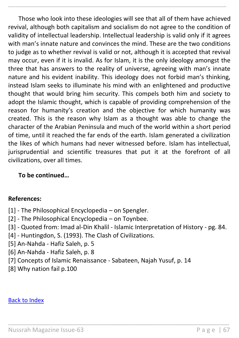Those who look into these ideologies will see that all of them have achieved revival, although both capitalism and socialism do not agree to the condition of validity of intellectual leadership. Intellectual leadership is valid only if it agrees with man's innate nature and convinces the mind. These are the two conditions to judge as to whether revival is valid or not, although it is accepted that revival may occur, even if it is invalid. As for Islam, it is the only ideology amongst the three that has answers to the reality of universe, agreeing with man's innate nature and his evident inability. This ideology does not forbid man's thinking, instead Islam seeks to illuminate his mind with an enlightened and productive thought that would bring him security. This compels both him and society to adopt the Islamic thought, which is capable of providing comprehension of the reason for humanity's creation and the objective for which humanity was created. This is the reason why Islam as a thought was able to change the character of the Arabian Peninsula and much of the world within a short period of time, until it reached the far ends of the earth. Islam generated a civilization the likes of which humans had never witnessed before. Islam has intellectual, jurisprudential and scientific treasures that put it at the forefront of all civilizations, over all times.

\_\_\_\_\_\_\_\_\_\_\_\_\_\_\_\_\_\_\_\_\_\_\_\_\_\_\_\_\_\_\_\_\_\_\_\_\_\_\_\_\_\_\_\_\_\_\_\_\_\_\_\_\_\_\_\_\_\_\_\_\_\_\_\_\_\_\_\_\_\_

### **To be continued…**

#### **References:**

- [1] The Philosophical Encyclopedia on Spengler.
- [2] The Philosophical Encyclopedia on Toynbee.
- [3] Quoted from: Imad al-Din Khalil Islamic Interpretation of History pg. 84.

\_\_\_\_\_\_\_\_\_\_\_\_\_\_\_\_\_\_\_\_\_\_\_\_\_\_\_\_\_\_\_\_\_\_\_\_\_\_\_\_\_\_\_\_\_\_\_\_\_\_\_\_\_\_\_\_\_\_\_\_\_\_\_\_\_

- [4] Huntingdon, S. (1993). The Clash of Civilizations.
- [5] An-Nahda Hafiz Saleh, p. 5
- [6] An-Nahda Hafiz Saleh, p. 8
- [7] Concepts of Islamic Renaissance Sabateen, Najah Yusuf, p. 14
- [8] Why nation fail p.100

#### [Back to Index](#page-1-0)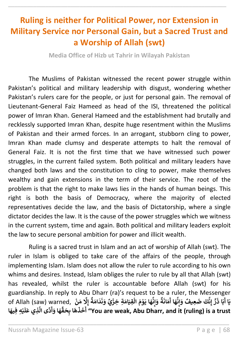# **Ruling is neither for Political Power, nor Extension in Military Service nor Personal Gain, but a Sacred Trust and a Worship of Allah (swt)**

\_\_\_\_\_\_\_\_\_\_\_\_\_\_\_\_\_\_\_\_\_\_\_\_\_\_\_\_\_\_\_\_\_\_\_\_\_\_\_\_\_\_\_\_\_\_\_\_\_\_\_\_\_\_\_\_\_\_\_\_\_\_\_\_\_\_\_\_\_\_

**Media Office of Hizb ut Tahrir in Wilayah Pakistan**

The Muslims of Pakistan witnessed the recent power struggle within Pakistan's political and military leadership with disgust, wondering whether Pakistan's rulers care for the people, or just for personal gain. The removal of Lieutenant-General Faiz Hameed as head of the ISI, threatened the political power of Imran Khan. General Hameed and the establishment had brutally and recklessly supported Imran Khan, despite huge resentment within the Muslims of Pakistan and their armed forces. In an arrogant, stubborn cling to power, Imran Khan made clumsy and desperate attempts to halt the removal of General Faiz. It is not the first time that we have witnessed such power struggles, in the current failed system. Both political and military leaders have changed both laws and the constitution to cling to power, make themselves wealthy and gain extensions in the term of their service. The root of the problem is that the right to make laws lies in the hands of human beings. This right is both the basis of Democracy, where the majority of elected representatives decide the law, and the basis of Dictatorship, where a single dictator decides the law. It is the cause of the power struggles which we witness in the current system, time and again. Both political and military leaders exploit the law to secure personal ambition for power and illicit wealth.

Ruling is a sacred trust in Islam and an act of worship of Allah (swt). The ruler in Islam is obliged to take care of the affairs of the people, through implementing Islam. Islam does not allow the ruler to rule according to his own whims and desires. Instead, Islam obliges the ruler to rule by all that Allah (swt) has revealed, whilst the ruler is accountable before Allah (swt) for his guardianship. In reply to Abu Dharr (ra)'s request to be a ruler, the Messenger of Allah (saw) warned, **ْ ن َ م َِل إ ٌ ة َ ام َ د َ ن َ و يٌ ِة ِخز َ ام َ ِقي ال َ م و َ ا ي َ ه ْ ْ ْ ن ِ إ َ و ٌ ة َ ان َ م َ ا أ َ ه ن ِ إ َ و ِعيفٌ َ ض كَ ن ِ إ ر َ ا ذ َ ب** ا<br>۽ **ا أ َ ي ِّ ق َ ِح ا ب َ ه َ ذ َ خ َ** أَخَذَهَا بِحَقِّهَا وَأَدَّى<sup>ٰ</sup> الَّذِي عَلَيْهِ فِيهَا **ْ َ ل َ ِذي ع َّ** ِ<br>دًى الَّ **َ َ ا و َ ه" You are weak, Abu Dharr, and it (ruling) is a trust أ**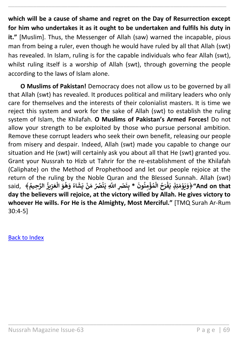**which will be a cause of shame and regret on the Day of Resurrection except for him who undertakes it as it ought to be undertaken and fulfils his duty in it."** [Muslim]. Thus, the Messenger of Allah (saw) warned the incapable, pious man from being a ruler, even though he would have ruled by all that Allah (swt) has revealed. In Islam, ruling is for the capable individuals who fear Allah (swt), whilst ruling itself is a worship of Allah (swt), through governing the people according to the laws of Islam alone.

\_\_\_\_\_\_\_\_\_\_\_\_\_\_\_\_\_\_\_\_\_\_\_\_\_\_\_\_\_\_\_\_\_\_\_\_\_\_\_\_\_\_\_\_\_\_\_\_\_\_\_\_\_\_\_\_\_\_\_\_\_\_\_\_\_\_\_\_\_\_

**O Muslims of Pakistan!** Democracy does not allow us to be governed by all that Allah (swt) has revealed. It produces political and military leaders who only care for themselves and the interests of their colonialist masters. It is time we reject this system and work for the sake of Allah (swt) to establish the ruling system of Islam, the Khilafah. **O Muslims of Pakistan's Armed Forces!** Do not allow your strength to be exploited by those who pursue personal ambition. Remove these corrupt leaders who seek their own benefit, releasing our people from misery and despair. Indeed, Allah (swt) made you capable to change our situation and He (swt) will certainly ask you about all that He (swt) granted you. Grant your Nussrah to Hizb ut Tahrir for the re-establishment of the Khilafah (Caliphate) on the Method of Prophethood and let our people rejoice at the return of the ruling by the Noble Quran and the Blessed Sunnah. Allah (swt) return of the Tunng by the Noble Quran and the Blessed Samilan. Allah (SWI)<br>Said, ﴿وَيَوْمَئِذٍ يَفْرَحُ الْمُؤْمِنُونَ \* بِنَصْرِ اللَّهِ يَنْصُرُ مَنْ يَشَاءُ وَهُوَ الْعَزِيزُ الرَّحِيمُ﴾ **ُ ُ ْ ُ ُ ْ ْ ُ ْ ُ ْ ُ ْ ْ day the believers will rejoice, at the victory willed by Allah. He gives victory to whoever He wills. For He is the Almighty, Most Merciful."** [TMQ Surah Ar-Rum 30:4-5]

\_\_\_\_\_\_\_\_\_\_\_\_\_\_\_\_\_\_\_\_\_\_\_\_\_\_\_\_\_\_\_\_\_\_\_\_\_\_\_\_\_\_\_\_\_\_\_\_\_\_\_\_\_\_\_\_\_\_\_\_\_\_\_\_\_

[Back to Index](#page-1-0)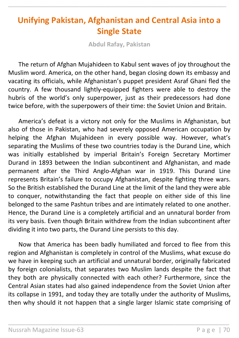# **Unifying Pakistan, Afghanistan and Central Asia into a Single State**

\_\_\_\_\_\_\_\_\_\_\_\_\_\_\_\_\_\_\_\_\_\_\_\_\_\_\_\_\_\_\_\_\_\_\_\_\_\_\_\_\_\_\_\_\_\_\_\_\_\_\_\_\_\_\_\_\_\_\_\_\_\_\_\_\_\_\_\_\_\_

**Abdul Rafay, Pakistan**

The return of Afghan Mujahideen to Kabul sent waves of joy throughout the Muslim word. America, on the other hand, began closing down its embassy and vacating its officials, while Afghanistan's puppet president Asraf Ghani fled the country. A few thousand lightly-equipped fighters were able to destroy the hubris of the world's only superpower, just as their predecessors had done twice before, with the superpowers of their time: the Soviet Union and Britain.

America's defeat is a victory not only for the Muslims in Afghanistan, but also of those in Pakistan, who had severely opposed American occupation by helping the Afghan Mujahideen in every possible way. However, what's separating the Muslims of these two countries today is the Durand Line, which was initially established by imperial Britain's Foreign Secretary Mortimer Durand in 1893 between the Indian subcontinent and Afghanistan, and made permanent after the Third Anglo-Afghan war in 1919. This Durand Line represents Britain's failure to occupy Afghanistan, despite fighting three wars. So the British established the Durand Line at the limit of the land they were able to conquer, notwithstanding the fact that people on either side of this line belonged to the same Pashtun tribes and are intimately related to one another. Hence, the Durand Line is a completely artificial and an unnatural border from its very basis. Even though Britain withdrew from the Indian subcontinent after dividing it into two parts, the Durand Line persists to this day.

Now that America has been badly humiliated and forced to flee from this region and Afghanistan is completely in control of the Muslims, what excuse do we have in keeping such an artificial and unnatural border, originally fabricated by foreign colonialists, that separates two Muslim lands despite the fact that they both are physically connected with each other? Furthermore, since the Central Asian states had also gained independence from the Soviet Union after its collapse in 1991, and today they are totally under the authority of Muslims, then why should it not happen that a single larger Islamic state comprising of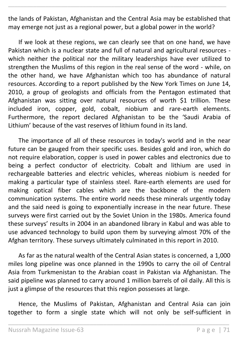the lands of Pakistan, Afghanistan and the Central Asia may be established that may emerge not just as a regional power, but a global power in the world?

\_\_\_\_\_\_\_\_\_\_\_\_\_\_\_\_\_\_\_\_\_\_\_\_\_\_\_\_\_\_\_\_\_\_\_\_\_\_\_\_\_\_\_\_\_\_\_\_\_\_\_\_\_\_\_\_\_\_\_\_\_\_\_\_\_\_\_\_\_\_

If we look at these regions, we can clearly see that on one hand, we have Pakistan which is a nuclear state and full of natural and agricultural resources which neither the political nor the military leaderships have ever utilized to strengthen the Muslims of this region in the real sense of the word - while, on the other hand, we have Afghanistan which too has abundance of natural resources. According to a report published by the New York Times on June 14, 2010, a group of geologists and officials from the Pentagon estimated that Afghanistan was sitting over natural resources of worth \$1 trillion. These included iron, copper, gold, cobalt, niobium and rare-earth elements. Furthermore, the report declared Afghanistan to be the 'Saudi Arabia of Lithium' because of the vast reserves of lithium found in its land.

The importance of all of these resources in today's world and in the near future can be gauged from their specific uses. Besides gold and iron, which do not require elaboration, copper is used in power cables and electronics due to being a perfect conductor of electricity. Cobalt and lithium are used in rechargeable batteries and electric vehicles, whereas niobium is needed for making a particular type of stainless steel. Rare-earth elements are used for making optical fiber cables which are the backbone of the modern communication systems. The entire world needs these minerals urgently today and the said need is going to exponentially increase in the near future. These surveys were first carried out by the Soviet Union in the 1980s. America found these surveys' results in 2004 in an abandoned library in Kabul and was able to use advanced technology to build upon them by surveying almost 70% of the Afghan territory. These surveys ultimately culminated in this report in 2010.

As far as the natural wealth of the Central Asian states is concerned, a 1,000 miles long pipeline was once planned in the 1990s to carry the oil of Central Asia from Turkmenistan to the Arabian coast in Pakistan via Afghanistan. The said pipeline was planned to carry around 1 million barrels of oil daily. All this is just a glimpse of the resources that this region possesses at large.

Hence, the Muslims of Pakistan, Afghanistan and Central Asia can join together to form a single state which will not only be self-sufficient in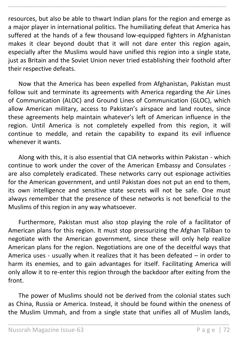resources, but also be able to thwart Indian plans for the region and emerge as a major player in international politics. The humiliating defeat that America has suffered at the hands of a few thousand low-equipped fighters in Afghanistan makes it clear beyond doubt that it will not dare enter this region again, especially after the Muslims would have unified this region into a single state, just as Britain and the Soviet Union never tried establishing their foothold after their respective defeats.

\_\_\_\_\_\_\_\_\_\_\_\_\_\_\_\_\_\_\_\_\_\_\_\_\_\_\_\_\_\_\_\_\_\_\_\_\_\_\_\_\_\_\_\_\_\_\_\_\_\_\_\_\_\_\_\_\_\_\_\_\_\_\_\_\_\_\_\_\_\_

Now that the America has been expelled from Afghanistan, Pakistan must follow suit and terminate its agreements with America regarding the Air Lines of Communication (ALOC) and Ground Lines of Communication (GLOC), which allow American military, access to Pakistan's airspace and land routes, since these agreements help maintain whatever's left of American influence in the region. Until America is not completely expelled from this region, it will continue to meddle, and retain the capability to expand its evil influence whenever it wants.

Along with this, it is also essential that CIA networks within Pakistan - which continue to work under the cover of the American Embassy and Consulates are also completely eradicated. These networks carry out espionage activities for the American government, and until Pakistan does not put an end to them, its own intelligence and sensitive state secrets will not be safe. One must always remember that the presence of these networks is not beneficial to the Muslims of this region in any way whatsoever.

Furthermore, Pakistan must also stop playing the role of a facilitator of American plans for this region. It must stop pressurizing the Afghan Taliban to negotiate with the American government, since these will only help realize American plans for the region. Negotiations are one of the deceitful ways that America uses - usually when it realizes that it has been defeated – in order to harm its enemies, and to gain advantages for itself. Facilitating America will only allow it to re-enter this region through the backdoor after exiting from the front.

The power of Muslims should not be derived from the colonial states such as China, Russia or America. Instead, it should be found within the oneness of the Muslim Ummah, and from a single state that unifies all of Muslim lands,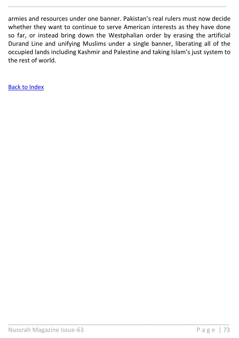armies and resources under one banner. Pakistan's real rulers must now decide whether they want to continue to serve American interests as they have done so far, or instead bring down the Westphalian order by erasing the artificial Durand Line and unifying Muslims under a single banner, liberating all of the occupied lands including Kashmir and Palestine and taking Islam's just system to the rest of world.

\_\_\_\_\_\_\_\_\_\_\_\_\_\_\_\_\_\_\_\_\_\_\_\_\_\_\_\_\_\_\_\_\_\_\_\_\_\_\_\_\_\_\_\_\_\_\_\_\_\_\_\_\_\_\_\_\_\_\_\_\_\_\_\_\_

\_\_\_\_\_\_\_\_\_\_\_\_\_\_\_\_\_\_\_\_\_\_\_\_\_\_\_\_\_\_\_\_\_\_\_\_\_\_\_\_\_\_\_\_\_\_\_\_\_\_\_\_\_\_\_\_\_\_\_\_\_\_\_\_\_\_\_\_\_\_

[Back to Index](#page-1-0)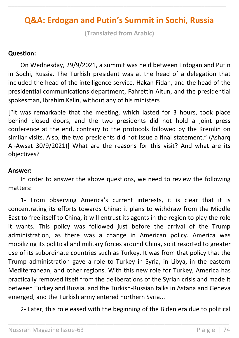# **Q&A: Erdogan and Putin's Summit in Sochi, Russia**

\_\_\_\_\_\_\_\_\_\_\_\_\_\_\_\_\_\_\_\_\_\_\_\_\_\_\_\_\_\_\_\_\_\_\_\_\_\_\_\_\_\_\_\_\_\_\_\_\_\_\_\_\_\_\_\_\_\_\_\_\_\_\_\_\_\_\_\_\_\_

**(Translated from Arabic)**

#### **Question:**

On Wednesday, 29/9/2021, a summit was held between Erdogan and Putin in Sochi, Russia. The Turkish president was at the head of a delegation that included the head of the intelligence service, Hakan Fidan, and the head of the presidential communications department, Fahrettin Altun, and the presidential spokesman, Ibrahim Kalin, without any of his ministers!

["It was remarkable that the meeting, which lasted for 3 hours, took place behind closed doors, and the two presidents did not hold a joint press conference at the end, contrary to the protocols followed by the Kremlin on similar visits. Also, the two presidents did not issue a final statement." (Asharq Al-Awsat 30/9/2021)] What are the reasons for this visit? And what are its objectives?

#### **Answer:**

In order to answer the above questions, we need to review the following matters:

1- From observing America's current interests, it is clear that it is concentrating its efforts towards China; it plans to withdraw from the Middle East to free itself to China, it will entrust its agents in the region to play the role it wants. This policy was followed just before the arrival of the Trump administration, as there was a change in American policy. America was mobilizing its political and military forces around China, so it resorted to greater use of its subordinate countries such as Turkey. It was from that policy that the Trump administration gave a role to Turkey in Syria, in Libya, in the eastern Mediterranean, and other regions. With this new role for Turkey, America has practically removed itself from the deliberations of the Syrian crisis and made it between Turkey and Russia, and the Turkish-Russian talks in Astana and Geneva emerged, and the Turkish army entered northern Syria...

2- Later, this role eased with the beginning of the Biden era due to political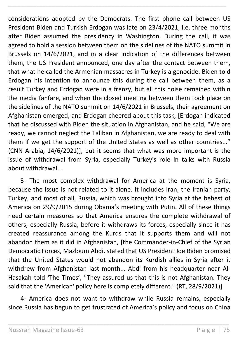considerations adopted by the Democrats. The first phone call between US President Biden and Turkish Erdogan was late on 23/4/2021, i.e. three months after Biden assumed the presidency in Washington. During the call, it was agreed to hold a session between them on the sidelines of the NATO summit in Brussels on 14/6/2021, and in a clear indication of the differences between them, the US President announced, one day after the contact between them, that what he called the Armenian massacres in Turkey is a genocide. Biden told Erdogan his intention to announce this during the call between them, as a result Turkey and Erdogan were in a frenzy, but all this noise remained within the media fanfare, and when the closed meeting between them took place on the sidelines of the NATO summit on 14/6/2021 in Brussels, their agreement on Afghanistan emerged, and Erdogan cheered about this task, [Erdogan indicated that he discussed with Biden the situation in Afghanistan, and he said, "We are ready, we cannot neglect the Taliban in Afghanistan, we are ready to deal with them if we get the support of the United States as well as other countries..." (CNN Arabia, 14/6/2021)], but it seems that what was more important is the issue of withdrawal from Syria, especially Turkey's role in talks with Russia about withdrawal...

\_\_\_\_\_\_\_\_\_\_\_\_\_\_\_\_\_\_\_\_\_\_\_\_\_\_\_\_\_\_\_\_\_\_\_\_\_\_\_\_\_\_\_\_\_\_\_\_\_\_\_\_\_\_\_\_\_\_\_\_\_\_\_\_\_\_\_\_\_\_

3- The most complex withdrawal for America at the moment is Syria, because the issue is not related to it alone. It includes Iran, the Iranian party, Turkey, and most of all, Russia, which was brought into Syria at the behest of America on 29/9/2015 during Obama's meeting with Putin. All of these things need certain measures so that America ensures the complete withdrawal of others, especially Russia, before it withdraws its forces, especially since it has created reassurance among the Kurds that it supports them and will not abandon them as it did in Afghanistan, [the Commander-in-Chief of the Syrian Democratic Forces, Mazloum Abdi, stated that US President Joe Biden promised that the United States would not abandon its Kurdish allies in Syria after it withdrew from Afghanistan last month... Abdi from his headquarter near Al-Hasakah told 'The Times', "They assured us that this is not Afghanistan. They said that the 'American' policy here is completely different." (RT, 28/9/2021)]

4- America does not want to withdraw while Russia remains, especially since Russia has begun to get frustrated of America's policy and focus on China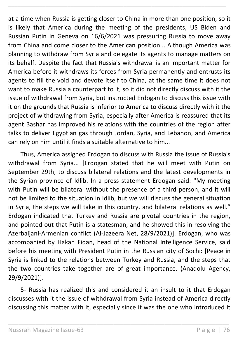at a time when Russia is getting closer to China in more than one position, so it is likely that America during the meeting of the presidents, US Biden and Russian Putin in Geneva on 16/6/2021 was pressuring Russia to move away from China and come closer to the American position... Although America was planning to withdraw from Syria and delegate its agents to manage matters on its behalf. Despite the fact that Russia's withdrawal is an important matter for America before it withdraws its forces from Syria permanently and entrusts its agents to fill the void and devote itself to China, at the same time it does not want to make Russia a counterpart to it, so it did not directly discuss with it the issue of withdrawal from Syria, but instructed Erdogan to discuss this issue with it on the grounds that Russia is inferior to America to discuss directly with it the project of withdrawing from Syria, especially after America is reassured that its agent Bashar has improved his relations with the countries of the region after talks to deliver Egyptian gas through Jordan, Syria, and Lebanon, and America can rely on him until it finds a suitable alternative to him...

\_\_\_\_\_\_\_\_\_\_\_\_\_\_\_\_\_\_\_\_\_\_\_\_\_\_\_\_\_\_\_\_\_\_\_\_\_\_\_\_\_\_\_\_\_\_\_\_\_\_\_\_\_\_\_\_\_\_\_\_\_\_\_\_\_\_\_\_\_\_

Thus, America assigned Erdogan to discuss with Russia the issue of Russia's withdrawal from Syria... [Erdogan stated that he will meet with Putin on September 29th, to discuss bilateral relations and the latest developments in the Syrian province of Idlib. In a press statement Erdogan said: "My meeting with Putin will be bilateral without the presence of a third person, and it will not be limited to the situation in Idlib, but we will discuss the general situation in Syria, the steps we will take in this country, and bilateral relations as well." Erdogan indicated that Turkey and Russia are pivotal countries in the region, and pointed out that Putin is a statesman, and he showed this in resolving the Azerbaijani-Armenian conflict (Al-Jazeera Net, 28/9/2021)]. Erdogan, who was accompanied by Hakan Fidan, head of the National Intelligence Service, said before his meeting with President Putin in the Russian city of Sochi: [Peace in Syria is linked to the relations between Turkey and Russia, and the steps that the two countries take together are of great importance. (Anadolu Agency, 29/9/2021)].

5- Russia has realized this and considered it an insult to it that Erdogan discusses with it the issue of withdrawal from Syria instead of America directly discussing this matter with it, especially since it was the one who introduced it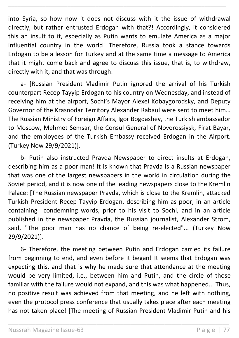into Syria, so how now it does not discuss with it the issue of withdrawal directly, but rather entrusted Erdogan with that?! Accordingly, it considered this an insult to it, especially as Putin wants to emulate America as a major influential country in the world! Therefore, Russia took a stance towards Erdogan to be a lesson for Turkey and at the same time a message to America that it might come back and agree to discuss this issue, that is, to withdraw, directly with it, and that was through:

\_\_\_\_\_\_\_\_\_\_\_\_\_\_\_\_\_\_\_\_\_\_\_\_\_\_\_\_\_\_\_\_\_\_\_\_\_\_\_\_\_\_\_\_\_\_\_\_\_\_\_\_\_\_\_\_\_\_\_\_\_\_\_\_\_\_\_\_\_\_

a- [Russian President Vladimir Putin ignored the arrival of his Turkish counterpart Recep Tayyip Erdogan to his country on Wednesday, and instead of receiving him at the airport, Sochi's Mayor Alexei Kobaygorodsky, and Deputy Governor of the Krasnodar Territory Alexander Rabaul were sent to meet him… The Russian Ministry of Foreign Affairs, Igor Bogdashev, the Turkish ambassador to Moscow, Mehmet Semsar, the Consul General of Novorossiysk, Firat Bayar, and the employees of the Turkish Embassy received Erdogan in the Airport. (Turkey Now 29/9/2021)].

b- Putin also instructed Pravda Newspaper to direct insults at Erdogan, describing him as a poor man! It is known that Pravda is a Russian newspaper that was one of the largest newspapers in the world in circulation during the Soviet period, and it is now one of the leading newspapers close to the Kremlin Palace: [The Russian newspaper Pravda, which is close to the Kremlin, attacked Turkish President Recep Tayyip Erdogan, describing him as poor, in an article containing condemning words, prior to his visit to Sochi, and in an article published in the newspaper Pravda, the Russian journalist, Alexander Strom, said, "The poor man has no chance of being re-elected"... (Turkey Now 29/9/2021)].

6- Therefore, the meeting between Putin and Erdogan carried its failure from beginning to end, and even before it began! It seems that Erdogan was expecting this, and that is why he made sure that attendance at the meeting would be very limited, i.e., between him and Putin, and the circle of those familiar with the failure would not expand, and this was what happened... Thus, no positive result was achieved from that meeting, and he left with nothing, even the protocol press conference that usually takes place after each meeting has not taken place! [The meeting of Russian President Vladimir Putin and his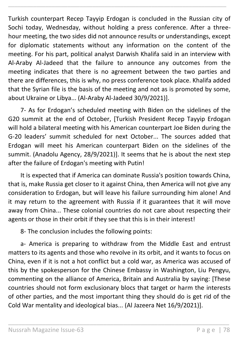Turkish counterpart Recep Tayyip Erdogan is concluded in the Russian city of Sochi today, Wednesday, without holding a press conference. After a threehour meeting, the two sides did not announce results or understandings, except for diplomatic statements without any information on the content of the meeting. For his part, political analyst Darwish Khalifa said in an interview with Al-Araby Al-Jadeed that the failure to announce any outcomes from the meeting indicates that there is no agreement between the two parties and there are differences, this is why, no press conference took place. Khalifa added that the Syrian file is the basis of the meeting and not as is promoted by some, about Ukraine or Libya... (Al-Araby Al-Jadeed 30/9/2021)].

\_\_\_\_\_\_\_\_\_\_\_\_\_\_\_\_\_\_\_\_\_\_\_\_\_\_\_\_\_\_\_\_\_\_\_\_\_\_\_\_\_\_\_\_\_\_\_\_\_\_\_\_\_\_\_\_\_\_\_\_\_\_\_\_\_\_\_\_\_\_

7- As for Erdogan's scheduled meeting with Biden on the sidelines of the G20 summit at the end of October, [Turkish President Recep Tayyip Erdogan will hold a bilateral meeting with his American counterpart Joe Biden during the G-20 leaders' summit scheduled for next October... The sources added that Erdogan will meet his American counterpart Biden on the sidelines of the summit. (Anadolu Agency, 28/9/2021)]. It seems that he is about the next step after the failure of Erdogan's meeting with Putin!

It is expected that if America can dominate Russia's position towards China, that is, make Russia get closer to it against China, then America will not give any consideration to Erdogan, but will leave his failure surrounding him alone! And it may return to the agreement with Russia if it guarantees that it will move away from China... These colonial countries do not care about respecting their agents or those in their orbit if they see that this is in their interest!

8- The conclusion includes the following points:

a- America is preparing to withdraw from the Middle East and entrust matters to its agents and those who revolve in its orbit, and it wants to focus on China, even if it is not a hot conflict but a cold war, as America was accused of this by the spokesperson for the Chinese Embassy in Washington, Liu Pengyu, commenting on the alliance of America, Britain and Australia by saying: [These countries should not form exclusionary blocs that target or harm the interests of other parties, and the most important thing they should do is get rid of the Cold War mentality and ideological bias... (Al Jazeera Net 16/9/2021)].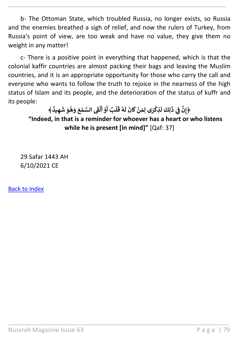b- The Ottoman State, which troubled Russia, no longer exists, so Russia and the enemies breathed a sigh of relief, and now the rulers of Turkey, from Russia's point of view, are too weak and have no value, they give them no weight in any matter!

\_\_\_\_\_\_\_\_\_\_\_\_\_\_\_\_\_\_\_\_\_\_\_\_\_\_\_\_\_\_\_\_\_\_\_\_\_\_\_\_\_\_\_\_\_\_\_\_\_\_\_\_\_\_\_\_\_\_\_\_\_\_\_\_\_\_\_\_\_\_

c- There is a positive point in everything that happened, which is that the colonial kaffir countries are almost packing their bags and leaving the Muslim countries, and it is an appropriate opportunity for those who carry the call and everyone who wants to follow the truth to rejoice in the nearness of the high status of Islam and its people, and the deterioration of the status of kuffr and its people:

**﴾ ٌ يد ِ ه َ ش َ و ه َ و َ ع م الس َ ف ٰ ل ُ ْ ْ َ أ ْ و َ بٌ ل أ ْ َ ق ه ُ َ ل َ ان َ ك ن َ ِ م ى ل َ ر ِذك ْ ْ َ** لِ<mark>كَ لَ</mark> **َ ِي ذ ف ِن ﴿إ ن "Indeed, in that is a reminder for whoever has a heart or who listens while he is present [in mind]"** [Qaf: 37]

\_\_\_\_\_\_\_\_\_\_\_\_\_\_\_\_\_\_\_\_\_\_\_\_\_\_\_\_\_\_\_\_\_\_\_\_\_\_\_\_\_\_\_\_\_\_\_\_\_\_\_\_\_\_\_\_\_\_\_\_\_\_\_\_\_

29 Safar 1443 AH 6/10/2021 CE

[Back to Index](#page-1-0)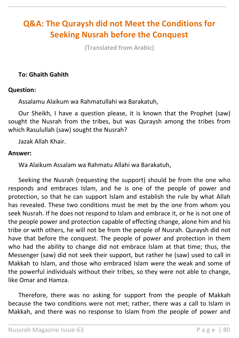# **Q&A: The Quraysh did not Meet the Conditions for Seeking Nusrah before the Conquest**

\_\_\_\_\_\_\_\_\_\_\_\_\_\_\_\_\_\_\_\_\_\_\_\_\_\_\_\_\_\_\_\_\_\_\_\_\_\_\_\_\_\_\_\_\_\_\_\_\_\_\_\_\_\_\_\_\_\_\_\_\_\_\_\_\_\_\_\_\_\_

**(Translated from Arabic)**

### **To: Ghaith Gahith**

#### **Question:**

Assalamu Alaikum wa Rahmatullahi wa Barakatuh,

Our Sheikh, I have a question please, it is known that the Prophet (saw) sought the Nusrah from the tribes, but was Quraysh among the tribes from which Rasulullah (saw) sought the Nusrah?

Jazak Allah Khair.

#### **Answer:**

Wa Alaikum Assalam wa Rahmatu Allahi wa Barakatuh,

Seeking the Nusrah (requesting the support) should be from the one who responds and embraces Islam, and he is one of the people of power and protection, so that he can support Islam and establish the rule by what Allah has revealed. These two conditions must be met by the one from whom you seek Nusrah. If he does not respond to Islam and embrace it, or he is not one of the people power and protection capable of effecting change, alone him and his tribe or with others, he will not be from the people of Nusrah. Quraysh did not have that before the conquest. The people of power and protection in them who had the ability to change did not embrace Islam at that time; thus, the Messenger (saw) did not seek their support, but rather he (saw) used to call in Makkah to Islam, and those who embraced Islam were the weak and some of the powerful individuals without their tribes, so they were not able to change, like Omar and Hamza.

Therefore, there was no asking for support from the people of Makkah because the two conditions were not met; rather, there was a call to Islam in Makkah, and there was no response to Islam from the people of power and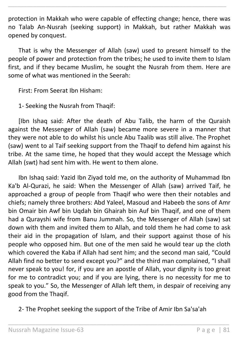protection in Makkah who were capable of effecting change; hence, there was no Talab An-Nusrah (seeking support) in Makkah, but rather Makkah was opened by conquest.

\_\_\_\_\_\_\_\_\_\_\_\_\_\_\_\_\_\_\_\_\_\_\_\_\_\_\_\_\_\_\_\_\_\_\_\_\_\_\_\_\_\_\_\_\_\_\_\_\_\_\_\_\_\_\_\_\_\_\_\_\_\_\_\_\_\_\_\_\_\_

That is why the Messenger of Allah (saw) used to present himself to the people of power and protection from the tribes; he used to invite them to Islam first, and if they became Muslim, he sought the Nusrah from them. Here are some of what was mentioned in the Seerah:

First: From Seerat Ibn Hisham:

1- Seeking the Nusrah from Thaqif:

[Ibn Ishaq said: After the death of Abu Talib, the harm of the Quraish against the Messenger of Allah (saw) became more severe in a manner that they were not able to do whilst his uncle Abu Taalib was still alive. The Prophet (saw) went to al Taif seeking support from the Thaqif to defend him against his tribe. At the same time, he hoped that they would accept the Message which Allah (swt) had sent him with. He went to them alone.

Ibn Ishaq said: Yazid Ibn Ziyad told me, on the authority of Muhammad Ibn Ka'b Al-Qurazi, he said: When the Messenger of Allah (saw) arrived Taif, he approached a group of people from Thaqif who were then their notables and chiefs; namely three brothers: Abd Yaleel, Masoud and Habeeb the sons of Amr bin Omair bin Awf bin Uqdah bin Ghairah bin Auf bin Thaqif, and one of them had a Qurayshi wife from Banu Jummah. So, the Messenger of Allah (saw) sat down with them and invited them to Allah, and told them he had come to ask their aid in the propagation of Islam, and their support against those of his people who opposed him. But one of the men said he would tear up the cloth which covered the Kaba if Allah had sent him; and the second man said, "Could Allah find no better to send except you?" and the third man complained, "I shall never speak to you! for, if you are an apostle of Allah, your dignity is too great for me to contradict you; and if you are lying, there is no necessity for me to speak to you." So, the Messenger of Allah left them, in despair of receiving any good from the Thaqif.

2- The Prophet seeking the support of the Tribe of Amir Ibn Sa'sa'ah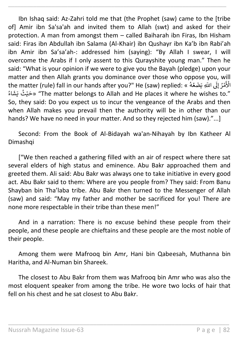Ibn Ishaq said: Az-Zahri told me that (the Prophet (saw) came to the [tribe of] Amir ibn Sa'sa'ah and invited them to Allah (swt) and asked for their protection. A man from amongst them – called Baiharah ibn Firas, Ibn Hisham said: Firas ibn Abdullah ibn Salama (Al-Khair) ibn Qushayr ibn Ka'b ibn Rabi'ah ibn Amir ibn Sa'sa'ah-: addressed him (saying): "By Allah I swear, I will overcome the Arabs if I only assent to this Qurayshite young man." Then he said: "What is your opinion if we were to give you the Bayah (pledge) upon your matter and then Allah grants you dominance over those who oppose you, will rhatter and then Allah grants you dominance over those who oppose you.<br>لَى اللّهِ يَضَعُهُ » :Pe (saw) replied: « فَلَى اللّهِ يَضَعُهُ ُ مْرُ إِلَى ر ر ن الأ ٍ<br>ءُ ستورين شده المستقلّ المستقلّ بين المستقلّ بين المستقلّ المستقلّ المستقلّ المستقلّ بين المستقلّ المستقلّ المستق<br>"The matter belongs to Allah and He places it where he wishes to." So, they said: Do you expect us to incur the vengeance of the Arabs and then when Allah makes you prevail then the authority will be in other than our hands? We have no need in your matter. And so they rejected him (saw)."...]

\_\_\_\_\_\_\_\_\_\_\_\_\_\_\_\_\_\_\_\_\_\_\_\_\_\_\_\_\_\_\_\_\_\_\_\_\_\_\_\_\_\_\_\_\_\_\_\_\_\_\_\_\_\_\_\_\_\_\_\_\_\_\_\_\_\_\_\_\_\_

Second: From the Book of Al-Bidayah wa'an-Nihayah by Ibn Katheer Al Dimashqi

["We then reached a gathering filled with an air of respect where there sat several elders of high status and eminence. Abu Bakr approached them and greeted them. Ali said: Abu Bakr was always one to take initiative in every good act. Abu Bakr said to them: Where are you people from? They said: From Banu Shayban bin Tha'laba tribe. Abu Bakr then turned to the Messenger of Allah (saw) and said: "May my father and mother be sacrificed for you! There are none more respectable in their tribe than these men!"

And in a narration: There is no excuse behind these people from their people, and these people are chieftains and these people are the most noble of their people.

Among them were Mafrooq bin Amr, Hani bin Qabeesah, Muthanna bin Haritha, and Al-Numan bin Shareek.

The closest to Abu Bakr from them was Mafrooq bin Amr who was also the most eloquent speaker from among the tribe. He wore two locks of hair that fell on his chest and he sat closest to Abu Bakr.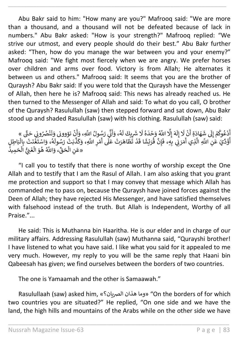Abu Bakr said to him: "How many are you?" Mafrooq said: "We are more than a thousand, and a thousand will not be defeated because of lack in numbers." Abu Bakr asked: "How is your strength?" Mafrooq replied: "We strive our utmost, and every people should do their best." Abu Bakr further asked: "Then, how do you manage the war between you and your enemy?" Mafrooq said: "We fight most fiercely when we are angry. We prefer horses over children and arms over food. Victory is from Allah; He alternates it between us and others." Mafrooq said: It seems that you are the brother of Quraysh? Abu Bakr said: If you were told that the Quraysh have the Messenger of Allah, then here he is? Mafrooq said: This news has already reached us. He then turned to the Messenger of Allah and said: To what do you call, O brother of the Quraysh? Rasulullah (saw) then stepped forward and sat down, Abu Bakr stood up and shaded Rasulullah (saw) with his clothing. Rasulullah (saw) said:

\_\_\_\_\_\_\_\_\_\_\_\_\_\_\_\_\_\_\_\_\_\_\_\_\_\_\_\_\_\_\_\_\_\_\_\_\_\_\_\_\_\_\_\_\_\_\_\_\_\_\_\_\_\_\_\_\_\_\_\_\_\_\_\_\_\_\_\_\_\_

ِّلًا اللَّهُ وَحْدَهُ لَا شَرِيكَ لَهُ، وَأَنِّي رَسُولُ اللَّهِ، وَأَنْ تؤوونى وَتَنْصُرُونِي حَتَّى » َل ن ه إ ً<br>آ ل إ ن َل ن ر َ شَهَادَةِ أَ ً<br>آ دْعُوكمْ إِلَى<br>ءَ إ ر ُ ٍ<br>م ر .<br>أَدْعُوكُمْ إِلَى شَهَادَةِ أَنْ لَا إِلَهَ إِلَّا اللَّهُ وَحْدَهُ لَا شَرِيكَ لَهُ، وَأَنِّي رَسُولُ اللَّهِ، وَأَنْ تؤوونى وَتَنْصُرُونِي حَتَّى<br>أَمَّةٌ أ ر ر ل<br>لهُ، وَأَنِّي رَسُولُ اللَّهِ، وَأَ أ ُ أ و<br>ام ً<br>آ لَّا شَرِيكَ لَ<br>مُقَاتَمَتُ وَحْدَهُ لَا ۶<br>۸ ر .<br>م ه ً<br>آ .<br>بَتْ رَسُولَ ֦֦֦֦֦֪֦֦֪֦֦֪֦֪֦֪֦֪֦֪֪֦֪֪֦֪֪֦֪֪֦֝֝֝֝֝֝֟֟֟֟֟֟֟֟֟֟֓֕֟֓֕֟֓֟֓֕֟֓֟֓֕֝֟֓֡֟֟֓֡֟֟֓֡֟֟֟֟֟֟֟֟ موں متحرہ وار<br>مْرِ اللَّهِ، وَكَذَّ ر سريت ته، وايي ره<br>دْ تَظَاهَرَتْ عَلَى أَ أ ر ن ۔<br>إِنَّ قُ<sub>َرَ</sub>يْشًا قَ ر ُ ن مَرَيْي بِهِ، فَ<sub>َ</sub> ا<br>۽ ذي أ ۔<br>آ ع كر الحكم على اللهِ الَّذِي أَمِّرَ فِي الْجِمْعِ وَسَمْعَتْ مَسْرَحِينَ وَسِينَ مَسْرٍ مِنْ مَسْرِدِينَ وَسَ<br>أَوَّذَّيَ عَنِ اللَّهِ الَّذِي أَمَرَنِي بِهِ، فَإِنَّ قُرَيْشًا قَدْ تَظَاهَرَتْ عَلَى أَهْرِ اللَّهِ، وَكَذ ا<br>چ `<br>أ ر ر .<br>«عَنِ الْحَقِّ، وَاللَّهُ هُوَ الْغَنِيُّ الْحَمِيدُ ْ ۔<br>آ ֧֖֖֧֚֚֚֝֝֝֝֝֝֟֓֟֓֟֓֟֓֟֓֟֓֟֓֟֓֟֓֟֓֟֓֟֓֟֓֟֓֟֓֟֓֟֓ ي ْ ُ

"I call you to testify that there is none worthy of worship except the One Allah and to testify that I am the Rasul of Allah. I am also asking that you grant me protection and support so that I may convey that message which Allah has commanded me to pass on, because the Quraysh have joined forces against the Deen of Allah; they have rejected His Messenger, and have satisfied themselves with falsehood instead of the truth. But Allah is Independent, Worthy of all Praise."...

He said: This is Muthanna bin Haaritha. He is our elder and in charge of our military affairs. Addressing Rasulullah (saw) Muthanna said, "Qurayshi brother! I have listened to what you have said. I like what you said for it appealed to me very much. However, my reply to you will be the same reply that Haani bin Qabeesah has given; we find ourselves between the borders of two countries.

The one is Yamaamah and the other is Samaawah."

Rasulullaah (saw) asked him, «الرصيان؟ هذان وما" «On the borders of for which two countries you are situated?" He replied, "On one side and we have the land, the high hills and mountains of the Arabs while on the other side we have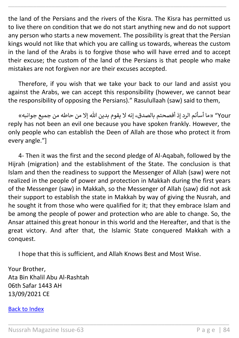the land of the Persians and the rivers of the Kisra. The Kisra has permitted us to live there on condition that we do not start anything new and do not support any person who starts a new movement. The possibility is great that the Persian kings would not like that which you are calling us towards, whereas the custom in the land of the Arabs is to forgive those who will have erred and to accept their excuse; the custom of the land of the Persians is that people who make mistakes are not forgiven nor are their excuses accepted.

\_\_\_\_\_\_\_\_\_\_\_\_\_\_\_\_\_\_\_\_\_\_\_\_\_\_\_\_\_\_\_\_\_\_\_\_\_\_\_\_\_\_\_\_\_\_\_\_\_\_\_\_\_\_\_\_\_\_\_\_\_\_\_\_\_\_\_\_\_\_

Therefore, if you wish that we take your back to our land and assist you against the Arabs, we can accept this responsibility (however, we cannot bear the responsibility of opposing the Persians)." Rasulullaah (saw) said to them,

 Your» "ما أسأتم الرد إذ أفصحتم بالصدق، إنه ال يقوم بدين هللا إال من حاطه من جميع جوانبه» reply has not been an evil one because you have spoken frankly. However, the only people who can establish the Deen of Allah are those who protect it from every angle."]

4- Then it was the first and the second pledge of Al-Aqabah, followed by the Hijrah (migration) and the establishment of the State. The conclusion is that Islam and then the readiness to support the Messenger of Allah (saw) were not realized in the people of power and protection in Makkah during the first years of the Messenger (saw) in Makkah, so the Messenger of Allah (saw) did not ask their support to establish the state in Makkah by way of giving the Nusrah, and he sought it from those who were qualified for it; that they embrace Islam and be among the people of power and protection who are able to change. So, the Ansar attained this great honour in this world and the Hereafter, and that is the great victory. And after that, the Islamic State conquered Makkah with a conquest.

I hope that this is sufficient, and Allah Knows Best and Most Wise.

\_\_\_\_\_\_\_\_\_\_\_\_\_\_\_\_\_\_\_\_\_\_\_\_\_\_\_\_\_\_\_\_\_\_\_\_\_\_\_\_\_\_\_\_\_\_\_\_\_\_\_\_\_\_\_\_\_\_\_\_\_\_\_\_\_

Your Brother, Ata Bin Khalil Abu Al-Rashtah 06th Safar 1443 AH 13/09/2021 CE

#### [Back to Index](#page-1-0)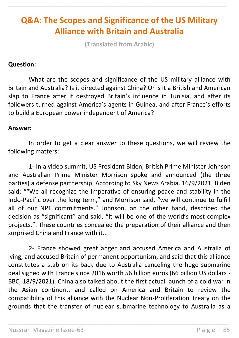# **Q&A: The Scopes and Significance of the US Military Alliance with Britain and Australia**

\_\_\_\_\_\_\_\_\_\_\_\_\_\_\_\_\_\_\_\_\_\_\_\_\_\_\_\_\_\_\_\_\_\_\_\_\_\_\_\_\_\_\_\_\_\_\_\_\_\_\_\_\_\_\_\_\_\_\_\_\_\_\_\_\_\_\_\_\_\_

**(Translated from Arabic)**

#### **Question:**

What are the scopes and significance of the US military alliance with Britain and Australia? Is it directed against China? Or is it a British and American slap to France after it destroyed Britain's influence in Tunisia, and after its followers turned against America's agents in Guinea, and after France's efforts to build a European power independent of America?

#### **Answer:**

In order to get a clear answer to these questions, we will review the following matters:

1- In a video summit, US President Biden, British Prime Minister Johnson and Australian Prime Minister Morrison spoke and announced (the three parties) a defense partnership. According to Sky News Arabia, 16/9/2021, Biden said: ""We all recognize the imperative of ensuring peace and stability in the Indo-Pacific over the long term," and Morrison said, "we will continue to fulfill all of our NPT commitments." Johnson, on the other hand, described the decision as "significant" and said, "It will be one of the world's most complex projects.". These countries concealed the preparation of their alliance and then surprised China and France with it...

2- France showed great anger and accused America and Australia of lying, and accused Britain of permanent opportunism, and said that this alliance constitutes a stab on its back due to Australia canceling the huge submarine deal signed with France since 2016 worth 56 billion euros (66 billion US dollars - BBC, 18/9/2021). China also talked about the first actual launch of a cold war in the Asian continent, and called on America and Britain to review the compatibility of this alliance with the Nuclear Non-Proliferation Treaty on the grounds that the transfer of nuclear submarine technology to Australia as a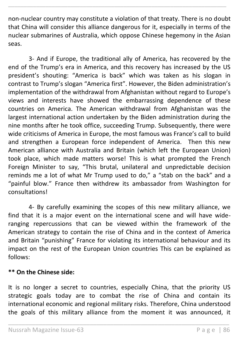non-nuclear country may constitute a violation of that treaty. There is no doubt that China will consider this alliance dangerous for it, especially in terms of the nuclear submarines of Australia, which oppose Chinese hegemony in the Asian seas.

\_\_\_\_\_\_\_\_\_\_\_\_\_\_\_\_\_\_\_\_\_\_\_\_\_\_\_\_\_\_\_\_\_\_\_\_\_\_\_\_\_\_\_\_\_\_\_\_\_\_\_\_\_\_\_\_\_\_\_\_\_\_\_\_\_\_\_\_\_\_

3- And if Europe, the traditional ally of America, has recovered by the end of the Trump's era in America, and this recovery has increased by the US president's shouting: "America is back" which was taken as his slogan in contrast to Trump's slogan "America first". However, the Biden administration's implementation of the withdrawal from Afghanistan without regard to Europe's views and interests have showed the embarrassing dependence of these countries on America. The American withdrawal from Afghanistan was the largest international action undertaken by the Biden administration during the nine months after he took office, succeeding Trump. Subsequently, there were wide criticisms of America in Europe, the most famous was France's call to build and strengthen a European force independent of America. Then this new American alliance with Australia and Britain (which left the European Union) took place, which made matters worse! This is what prompted the French Foreign Minister to say, "This brutal, unilateral and unpredictable decision reminds me a lot of what Mr Trump used to do," a "stab on the back" and a "painful blow." France then withdrew its ambassador from Washington for consultations!

4- By carefully examining the scopes of this new military alliance, we find that it is a major event on the international scene and will have wideranging repercussions that can be viewed within the framework of the American strategy to contain the rise of China and in the context of America and Britain "punishing" France for violating its international behaviour and its impact on the rest of the European Union countries This can be explained as follows:

#### **\*\* On the Chinese side:**

It is no longer a secret to countries, especially China, that the priority US strategic goals today are to combat the rise of China and contain its international economic and regional military risks. Therefore, China understood the goals of this military alliance from the moment it was announced, it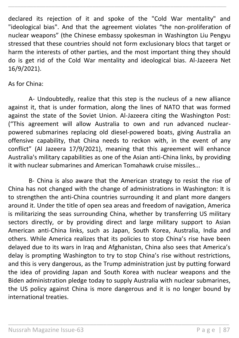declared its rejection of it and spoke of the "Cold War mentality" and "ideological bias". And that the agreement violates "the non-proliferation of nuclear weapons" (the Chinese embassy spokesman in Washington Liu Pengyu stressed that these countries should not form exclusionary blocs that target or harm the interests of other parties, and the most important thing they should do is get rid of the Cold War mentality and ideological bias. Al-Jazeera Net 16/9/2021).

\_\_\_\_\_\_\_\_\_\_\_\_\_\_\_\_\_\_\_\_\_\_\_\_\_\_\_\_\_\_\_\_\_\_\_\_\_\_\_\_\_\_\_\_\_\_\_\_\_\_\_\_\_\_\_\_\_\_\_\_\_\_\_\_\_\_\_\_\_\_

#### As for China:

A- Undoubtedly, realize that this step is the nucleus of a new alliance against it, that is under formation, along the lines of NATO that was formed against the state of the Soviet Union. Al-Jazeera citing the Washington Post: ("This agreement will allow Australia to own and run advanced nuclearpowered submarines replacing old diesel-powered boats, giving Australia an offensive capability, that China needs to reckon with, in the event of any conflict" (Al Jazeera 17/9/2021), meaning that this agreement will enhance Australia's military capabilities as one of the Asian anti-China links, by providing it with nuclear submarines and American Tomahawk cruise missiles...

B- China is also aware that the American strategy to resist the rise of China has not changed with the change of administrations in Washington: It is to strengthen the anti-China countries surrounding it and plant more dangers around it. Under the title of open sea areas and freedom of navigation, America is militarizing the seas surrounding China, whether by transferring US military sectors directly, or by providing direct and large military support to Asian American anti-China links, such as Japan, South Korea, Australia, India and others. While America realizes that its policies to stop China's rise have been delayed due to its wars in Iraq and Afghanistan, China also sees that America's delay is prompting Washington to try to stop China's rise without restrictions, and this is very dangerous, as the Trump administration just by putting forward the idea of providing Japan and South Korea with nuclear weapons and the Biden administration pledge today to supply Australia with nuclear submarines, the US policy against China is more dangerous and it is no longer bound by international treaties.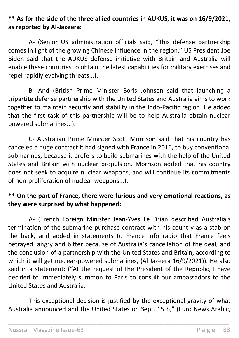## **\*\* As for the side of the three allied countries in AUKUS, it was on 16/9/2021, as reported by Al-Jazeera:**

\_\_\_\_\_\_\_\_\_\_\_\_\_\_\_\_\_\_\_\_\_\_\_\_\_\_\_\_\_\_\_\_\_\_\_\_\_\_\_\_\_\_\_\_\_\_\_\_\_\_\_\_\_\_\_\_\_\_\_\_\_\_\_\_\_\_\_\_\_\_

A- (Senior US administration officials said, "This defense partnership comes in light of the growing Chinese influence in the region." US President Joe Biden said that the AUKUS defense initiative with Britain and Australia will enable these countries to obtain the latest capabilities for military exercises and repel rapidly evolving threats...).

B- And (British Prime Minister Boris Johnson said that launching a tripartite defense partnership with the United States and Australia aims to work together to maintain security and stability in the Indo-Pacific region. He added that the first task of this partnership will be to help Australia obtain nuclear powered submarines...).

C- Australian Prime Minister Scott Morrison said that his country has canceled a huge contract it had signed with France in 2016, to buy conventional submarines, because it prefers to build submarines with the help of the United States and Britain with nuclear propulsion. Morrison added that his country does not seek to acquire nuclear weapons, and will continue its commitments of non-proliferation of nuclear weapons...).

## **\*\* On the part of France, there were furious and very emotional reactions, as they were surprised by what happened:**

A- (French Foreign Minister Jean-Yves Le Drian described Australia's termination of the submarine purchase contract with his country as a stab on the back, and added in statements to France Info radio that France feels betrayed, angry and bitter because of Australia's cancellation of the deal, and the conclusion of a partnership with the United States and Britain, according to which it will get nuclear-powered submarines, (Al Jazeera 16/9/2021)). He also said in a statement: ("At the request of the President of the Republic, I have decided to immediately summon to Paris to consult our ambassadors to the United States and Australia.

This exceptional decision is justified by the exceptional gravity of what Australia announced and the United States on Sept. 15th," (Euro News Arabic,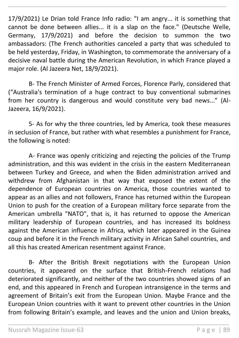17/9/2021) Le Drian told France Info radio: "I am angry... it is something that cannot be done between allies... it is a slap on the face." (Deutsche Welle, Germany, 17/9/2021) and before the decision to summon the two ambassadors: (The French authorities canceled a party that was scheduled to be held yesterday, Friday, in Washington, to commemorate the anniversary of a decisive naval battle during the American Revolution, in which France played a major role. (Al Jazeera Net, 18/9/2021).

\_\_\_\_\_\_\_\_\_\_\_\_\_\_\_\_\_\_\_\_\_\_\_\_\_\_\_\_\_\_\_\_\_\_\_\_\_\_\_\_\_\_\_\_\_\_\_\_\_\_\_\_\_\_\_\_\_\_\_\_\_\_\_\_\_\_\_\_\_\_

B- The French Minister of Armed Forces, Florence Parly, considered that ("Australia's termination of a huge contract to buy conventional submarines from her country is dangerous and would constitute very bad news..." (Al-Jazeera, 16/9/2021).

5- As for why the three countries, led by America, took these measures in seclusion of France, but rather with what resembles a punishment for France, the following is noted:

A- France was openly criticizing and rejecting the policies of the Trump administration, and this was evident in the crisis in the eastern Mediterranean between Turkey and Greece, and when the Biden administration arrived and withdrew from Afghanistan in that way that exposed the extent of the dependence of European countries on America, those countries wanted to appear as an allies and not followers, France has returned within the European Union to push for the creation of a European military force separate from the American umbrella "NATO", that is, it has returned to oppose the American military leadership of European countries, and has increased its boldness against the American influence in Africa, which later appeared in the Guinea coup and before it in the French military activity in African Sahel countries, and all this has created American resentment against France.

B- After the British Brexit negotiations with the European Union countries, it appeared on the surface that British-French relations had deteriorated significantly, and neither of the two countries showed signs of an end, and this appeared in French and European intransigence in the terms and agreement of Britain's exit from the European Union. Maybe France and the European Union countries with it want to prevent other countries in the Union from following Britain's example, and leaves and the union and Union breaks,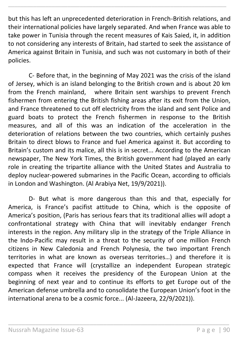but this has left an unprecedented deterioration in French-British relations, and their international policies have largely separated. And when France was able to take power in Tunisia through the recent measures of Kais Saied, it, in addition to not considering any interests of Britain, had started to seek the assistance of America against Britain in Tunisia, and such was not customary in both of their policies.

\_\_\_\_\_\_\_\_\_\_\_\_\_\_\_\_\_\_\_\_\_\_\_\_\_\_\_\_\_\_\_\_\_\_\_\_\_\_\_\_\_\_\_\_\_\_\_\_\_\_\_\_\_\_\_\_\_\_\_\_\_\_\_\_\_\_\_\_\_\_

C- Before that, in the beginning of May 2021 was the crisis of the island of Jersey, which is an island belonging to the British crown and is about 20 km from the French mainland, where Britain sent warships to prevent French fishermen from entering the British fishing areas after its exit from the Union, and France threatened to cut off electricity from the island and sent Police and guard boats to protect the French fishermen in response to the British measures, and all of this was an indication of the acceleration in the deterioration of relations between the two countries, which certainly pushes Britain to direct blows to France and fuel America against it. But according to Britain's custom and its malice, all this is in secret... According to the American newspaper, The New York Times, the British government had (played an early role in creating the tripartite alliance with the United States and Australia to deploy nuclear-powered submarines in the Pacific Ocean, according to officials in London and Washington. (Al Arabiya Net, 19/9/2021)).

D- But what is more dangerous than this and that, especially for America, is France's pacifist attitude to China, which is the opposite of America's position, (Paris has serious fears that its traditional allies will adopt a confrontational strategy with China that will inevitably endanger French interests in the region. Any military slip in the strategy of the Triple Alliance in the Indo-Pacific may result in a threat to the security of one million French citizens in New Caledonia and French Polynesia, the two important French territories in what are known as overseas territories…) and therefore it is expected that France will (crystallize an independent European strategic compass when it receives the presidency of the European Union at the beginning of next year and to continue its efforts to get Europe out of the American defense umbrella and to consolidate the European Union's foot in the international arena to be a cosmic force... (Al-Jazeera, 22/9/2021)).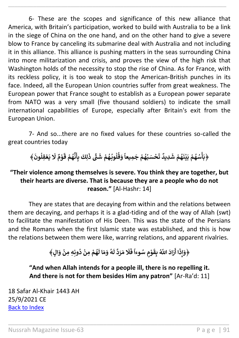6- These are the scopes and significance of this new alliance that America, with Britain's participation, worked to build with Australia to be a link in the siege of China on the one hand, and on the other hand to give a severe blow to France by canceling its submarine deal with Australia and not including it in this alliance. This alliance is pushing matters in the seas surrounding China into more militarization and crisis, and proves the view of the high risk that Washington holds of the necessity to stop the rise of China. As for France, with its reckless policy, it is too weak to stop the American-British punches in its face. Indeed, all the European Union countries suffer from great weakness. The European power that France sought to establish as a European power separate from NATO was a very small (five thousand soldiers) to indicate the small international capabilities of Europe, especially after Britain's exit from the European Union.

\_\_\_\_\_\_\_\_\_\_\_\_\_\_\_\_\_\_\_\_\_\_\_\_\_\_\_\_\_\_\_\_\_\_\_\_\_\_\_\_\_\_\_\_\_\_\_\_\_\_\_\_\_\_\_\_\_\_\_\_\_\_\_\_\_\_\_\_\_\_

7- And so...there are no fixed values for these countries so-called the great countries today

> **ْ م ه وبـ ل ق َ و ُ ُ ُ ُ ً ِميعا َ ج م ه ب سَ ح ْ ُ ُ ْ َ ت ٌ ِديد َ** ﴿بَأْسُهُمْ بَيْنَهُمْ شَدِيدٌ تَحْسَبُهُمْ جَمِيعاً وَقُلُوبُهُمْ شَتَّى ذَلِكَ بِأَنَّهُمْ قَوْمٌ لَا يَعْقِلُونَ﴾ **ْ ُ ْ ْ ُ ْ ُ ْ َ َل ٌ م و ْ َ ق م ه ْ ُ ن َ أ ِ ب ِكَ ل َ** شَقَّ ذَ **ش**

## **"Their violence among themselves is severe. You think they are together, but their hearts are diverse. That is because they are a people who do not reason."** [Al-Hashr: 14]

They are states that are decaying from within and the relations between them are decaying, and perhaps it is a glad-tiding and of the way of Allah (swt) to facilitate the manifestation of His Deen. This was the state of the Persians and the Romans when the first Islamic state was established, and this is how the relations between them were like, warring relations, and apparent rivalries.

> **ٍل﴾ َ و ِ ِه ِمن ون د ِمن م ه ا ْ ُ ْ ْ ُ َ ا ل َ م َ و ه ُ َ ل د َ ر َ م َ َل َ ف ً وءا ٍ سُ م و ْ َ ِق ب اّٰلل َّ ُ َ اد َ ر َ ا أ َ ذ ِ إ َ ﴿و**

**"And when Allah intends for a people ill, there is no repelling it. And there is not for them besides Him any patron"** [Ar-Ra'd: 11]

\_\_\_\_\_\_\_\_\_\_\_\_\_\_\_\_\_\_\_\_\_\_\_\_\_\_\_\_\_\_\_\_\_\_\_\_\_\_\_\_\_\_\_\_\_\_\_\_\_\_\_\_\_\_\_\_\_\_\_\_\_\_\_\_\_

18 Safar Al-Khair 1443 AH 25/9/2021 CE [Back to Index](#page-1-0)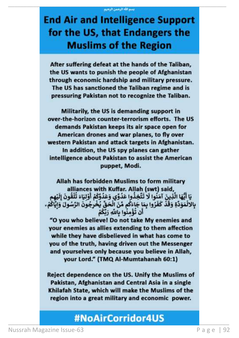# **End Air and Intelligence Support** for the US, that Endangers the **Muslims of the Region**

After suffering defeat at the hands of the Taliban, the US wants to punish the people of Afghanistan through economic hardship and military pressure. The US has sanctioned the Taliban regime and is pressuring Pakistan not to recognize the Taliban.

Militarily, the US is demanding support in over-the-horizon counter-terrorism efforts. The US demands Pakistan keeps its air space open for American drones and war planes, to fly over western Pakistan and attack targets in Afghanistan. In addition, the US spy planes can gather intelligence about Pakistan to assist the American puppet, Modi.

Allah has forbidden Muslims to form military alliances with Kuffar. Allah (swt) said, يَا أَيُّهَا الَّذِينَ آمَنُوا لَا تَتَّخِذُوا عَدُوِّي وَعَدُوَّكُمْ أَوْلِيَاءَ تُلْقُونَ إِلَيْهِم بِالالْمَوَدَّةِ وَقَدْ كَفَرُوا بِمَا جَاءَكُم مِّنَ الْحَقِّ يُخْرِجُونَ الرَّسُولَ وَايَّاكُمْ. أَن تَؤْمِنُوا بِاللَّهِ رَبِّكُمْ

"O you who believe! Do not take My enemies and your enemies as allies extending to them affection while they have disbelieved in what has come to you of the truth, having driven out the Messenger and yourselves only because you believe in Allah, your Lord." (TMQ Al-Mumtahanah 60:1)

Reject dependence on the US. Unify the Muslims of Pakistan, Afghanistan and Central Asia in a single Khilafah State, which will make the Muslims of the region into a great military and economic power.

# #NoAirCorridor4US